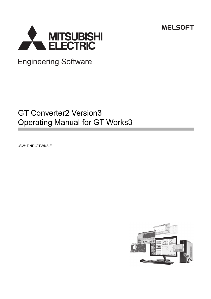**MELSOFT** 



**Engineering Software** 

# GT Converter2 Version3 Operating Manual for GT Works3

-SW1DND-GTWK3-E

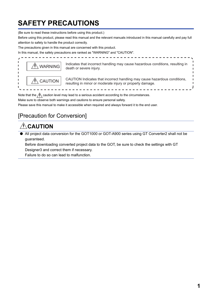# <span id="page-2-0"></span>**SAFETY PRECAUTIONS**

(Be sure to read these instructions before using this product.)

Before using this product, please read this manual and the relevant manuals introduced in this manual carefully and pay full attention to safety to handle the product correctly.

The precautions given in this manual are concerned with this product.

In this manual, the safety precautions are ranked as "WARNING" and "CAUTION".



Note that the  $\bigwedge$  caution level may lead to a serious accident according to the circumstances.

Make sure to observe both warnings and cautions to ensure personal safety.

Please save this manual to make it accessible when required and always forward it to the end user.

### [Precaution for Conversion]

## **CAUTION**

● All project data conversion for the GOT1000 or GOT-A900 series using GT Converter2 shall not be guaranteed.

Before downloading converted project data to the GOT, be sure to check the settings with GT Designer3 and correct them if necessary.

Failure to do so can lead to malfunction.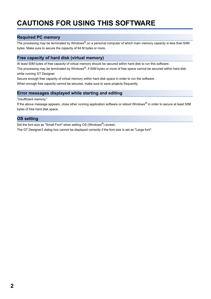# <span id="page-3-0"></span>**CAUTIONS FOR USING THIS SOFTWARE**

### **Required PC memory**

The processing may be terminated by Windows® on a personal computer of which main memory capacity is less than 64M bytes. Make sure to secure the capacity of 64 M bytes or more.

### **Free capacity of hard disk (virtual memory)**

At least 50M bytes of free capacity of virtual memory should be secured within hard disk to run this software.

The processing may be terminated by Windows<sup>®</sup>, if 50M bytes or more of free space cannot be secured within hard disk while running GT Designer.

Secure enough free capacity of virtual memory within hard disk space in order to run the software.

When enough free capacity cannot be secured, make sure to save projects frequently.

### **Error messages displayed while starting and editing**

"Insufficient memory."

If the above message appears, close other running application software or reboot Windows® in order to secure at least 50M bytes of free hard disk space.

### **OS setting**

Set the font size as "Small Font" when setting OS (Windows®) screen.

The GT Designer3 dialog box cannot be displayed correctly if the font size is set as "Large font".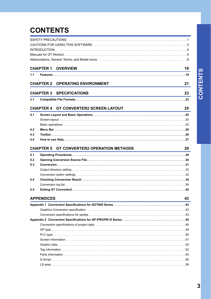# **CONTENTS**

|     | <b>CHAPTER 1</b><br><b>OVERVIEW</b><br>and the control of the control of the control of the control of the control of the control of the control of the           | 19 |
|-----|-------------------------------------------------------------------------------------------------------------------------------------------------------------------|----|
| 1.1 |                                                                                                                                                                   |    |
|     | <b>OPERATING ENVIRONMENT</b><br><b>CHAPTER 2</b>                                                                                                                  | 21 |
|     | <b>CHAPTER 3</b><br><b>SPECIFICATIONS</b><br><u> 1989 - Johann Stein, marwolaethau a bhann an t-Amhainn an t-Amhainn an t-Amhainn an t-Amhainn an t-Amhainn a</u> | 23 |
| 3.1 |                                                                                                                                                                   |    |
|     | <b>CHAPTER 4</b><br><b>GT CONVERTER2 SCREEN LAYOUT</b>                                                                                                            | 25 |
| 4.1 | <u> 1989 - Johann Barbara, martxa alemaniar a</u>                                                                                                                 |    |
|     |                                                                                                                                                                   |    |
|     |                                                                                                                                                                   |    |
| 4.2 |                                                                                                                                                                   |    |
| 4.3 |                                                                                                                                                                   |    |
| 4.4 |                                                                                                                                                                   |    |
|     |                                                                                                                                                                   |    |
|     | <b>GT CONVERTER2 OPERATION METHODS</b><br><b>CHAPTER 5</b>                                                                                                        | 29 |
| 5.1 |                                                                                                                                                                   |    |
| 5.2 |                                                                                                                                                                   |    |
| 5.3 |                                                                                                                                                                   |    |
|     |                                                                                                                                                                   |    |
|     |                                                                                                                                                                   |    |
| 5.4 |                                                                                                                                                                   |    |
|     |                                                                                                                                                                   |    |
| 5.5 |                                                                                                                                                                   |    |
|     |                                                                                                                                                                   |    |
|     | <b>APPENDICES</b>                                                                                                                                                 | 43 |
|     |                                                                                                                                                                   |    |
|     |                                                                                                                                                                   |    |
|     |                                                                                                                                                                   |    |
|     |                                                                                                                                                                   |    |
|     |                                                                                                                                                                   |    |
|     |                                                                                                                                                                   |    |
|     |                                                                                                                                                                   |    |
|     |                                                                                                                                                                   |    |
|     |                                                                                                                                                                   |    |
|     |                                                                                                                                                                   |    |
|     |                                                                                                                                                                   |    |
|     |                                                                                                                                                                   |    |
|     |                                                                                                                                                                   |    |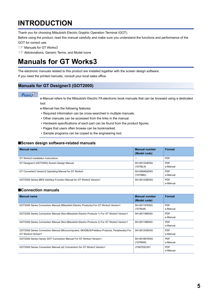# <span id="page-6-0"></span>**INTRODUCTION**

Thank you for choosing Mitsubishi Electric Graphic Operation Terminal (GOT).

Before using the product, read this manual carefully and make sure you understand the functions and performance of the GOT for correct use.

**IS [Manuals for GT Works3](#page-6-1)** 

**Example 2** [Abbreviations, Generic Terms, and Model Icons](#page-9-0)

# <span id="page-6-1"></span>**Manuals for GT Works3**

The electronic manuals related to this product are installed together with the screen design software.

If you need the printed manuals, consult your local sales office.

### **Manuals for GT Designer3 (GOT2000)**

### $Point<sup>°</sup>$

e-Manual refers to the Mitsubishi Electric FA electronic book manuals that can be browsed using a dedicated tool.

- e-Manual has the following features:
- Required information can be cross-searched in multiple manuals.
- Other manuals can be accessed from the links in the manual.
- Hardware specifications of each part can be found from the product figures.
- Pages that users often browse can be bookmarked.
- Sample programs can be copied to the engineering tool.

### ■**Screen design software-related manuals**

| <b>Manual name</b>                                                  | <b>Manual number</b><br>(Model code) | Format                 |
|---------------------------------------------------------------------|--------------------------------------|------------------------|
| GT Works3 Installation Instructions                                 |                                      | <b>PDF</b>             |
| GT Designer3 (GOT2000) Screen Design Manual                         | SH-081220ENG<br>(1D7ML9)             | <b>PDF</b><br>e-Manual |
| GT Converter2 Version3 Operating Manual for GT Works3               | SH-080862ENG<br>(1D7MB2)             | <b>PDF</b><br>e-Manual |
| GOT2000 Series MES Interface Function Manual for GT Works3 Version1 | SH-081228ENG                         | <b>PDF</b><br>e-Manual |

### ■**Connection manuals**

| <b>Manual name</b>                                                                                                 | <b>Manual number</b><br>(Model code) | Format                 |
|--------------------------------------------------------------------------------------------------------------------|--------------------------------------|------------------------|
| GOT2000 Series Connection Manual (Mitsubishi Electric Products) For GT Works3 Version1                             | SH-081197ENG<br>(1D7MJ8)             | <b>PDF</b><br>e-Manual |
| GOT2000 Series Connection Manual (Non-Mitsubishi Electric Products 1) For GT Works3 Version1                       | SH-081198ENG                         | <b>PDF</b><br>e-Manual |
| GOT2000 Series Connection Manual (Non-Mitsubishi Electric Products 2) For GT Works3 Version1                       | SH-081199ENG                         | <b>PDF</b><br>e-Manual |
| GOT2000 Series Connection Manual (Microcomputers, MODBUS/Fieldbus Products, Peripherals) For<br>GT Works3 Version1 | SH-081200ENG                         | <b>PDF</b><br>e-Manual |
| GOT2000 Series Handy GOT Connection Manual For GT Works3 Version1                                                  | SH-081867ENG<br>(1D7MS9)             | <b>PDF</b><br>e-Manual |
| GOT2000 Series Connection Manual (α2 Connection) for GT Works3 Version1                                            | JY997D52301                          | <b>PDF</b><br>e-Manual |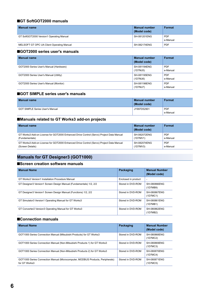### ■**GT SoftGOT2000 manuals**

| <b>Manual name</b>                        | Manual number<br>(Model code) | <b>Format</b>          |
|-------------------------------------------|-------------------------------|------------------------|
| GT SoftGOT2000 Version1 Operating Manual  | SH-081201ENG                  | <b>PDF</b><br>e-Manual |
| MELSOFT GT OPC UA Client Operating Manual | SH-082174ENG                  | <b>PDF</b>             |

### ■**GOT2000 series user's manuals**

| <b>Manual name</b>                      | <b>Manual number</b><br>(Model code) | <b>Format</b>          |
|-----------------------------------------|--------------------------------------|------------------------|
| GOT2000 Series User's Manual (Hardware) | SH-081194ENG<br>(1D7MJ5)             | <b>PDF</b><br>e-Manual |
| GOT2000 Series User's Manual (Utility)  | SH-081195ENG<br>(1D7MJ6)             | <b>PDF</b><br>e-Manual |
| GOT2000 Series User's Manual (Monitor)  | SH-081196ENG<br>(1DTMJ7)             | <b>PDF</b><br>e-Manual |

### ■**GOT SIMPLE series user's manuals**

| <b>Manual name</b>                     | <b>Manual number</b><br>(Model code) | Format     |
|----------------------------------------|--------------------------------------|------------|
| <b>GOT SIMPLE Series User's Manual</b> | JY997D52901                          | <b>PDF</b> |
|                                        |                                      | e-Manual   |

### ■**Manuals related to GT Works3 add-on projects**

| <b>Manual name</b>                                                                      | <b>Manual number</b><br>(Model code) | Format     |
|-----------------------------------------------------------------------------------------|--------------------------------------|------------|
| GT Works3 Add-on License for GOT2000 Enhanced Drive Control (Servo) Project Data Manual | SH-082072ENG                         | <b>PDF</b> |
| (Fundamentals)                                                                          | (1D7MV1)                             | e-Manual   |
| GT Works3 Add-on License for GOT2000 Enhanced Drive Control (Servo) Project Data Manual | SH-082074ENG                         | <b>PDF</b> |
| (Screen Details)                                                                        | (1D7MV3)                             | e-Manual   |

### **Manuals for GT Designer3 (GOT1000)**

### ■**Screen creation software manuals**

| <b>Manual Name</b>                                                 | Packaging           | <b>Manual Number</b><br>(Model code) |
|--------------------------------------------------------------------|---------------------|--------------------------------------|
| GT Works3 Version1 Installation Procedure Manual                   | Enclosed in product | <b>-</b>                             |
| GT Designer3 Version1 Screen Design Manual (Fundamentals) 1/2, 2/2 | Stored in DVD-ROM   | SH-080866ENG<br>(1D7MB9)             |
| GT Designer3 Version1 Screen Design Manual (Functions) 1/2, 2/2    | Stored in DVD-ROM   | SH-080867ENG<br>(1D7MC1)             |
| GT Simulator3 Version1 Operating Manual for GT Works3              | Stored in DVD-ROM   | SH-080861ENG<br>(1D7MB1)             |
| GT Converter2 Version3 Operating Manual for GT Works3              | Stored in DVD-ROM   | SH-080862ENG<br>(1D7MB2)             |

### ■**Connection manuals**

| <b>Manual Name</b>                                                                              | Packaging         | <b>Manual Number</b><br>(Model code) |
|-------------------------------------------------------------------------------------------------|-------------------|--------------------------------------|
| GOT1000 Series Connection Manual (Mitsubishi Products) for GT Works3                            | Stored in DVD-ROM | SH-080868ENG<br>(1D7MC2)             |
| GOT1000 Series Connection Manual (Non-Mitsubishi Products 1) for GT Works3                      | Stored in DVD-ROM | SH-080869ENG<br>(1D7MC3)             |
| GOT1000 Series Connection Manual (Non-Mitsubishi Products 2) for GT Works3                      | Stored in DVD-ROM | SH-080870ENG<br>(1D7MC4)             |
| GOT1000 Series Connection Manual (Microcomputer, MODBUS Products, Peripherals)<br>for GT Works3 | Stored in DVD-ROM | SH-080871ENG<br>(1D7MC5)             |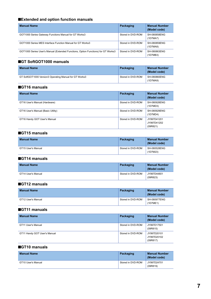### ■**Extended and option function manuals**

| <b>Manual Name</b>                                                                | Packaging         | <b>Manual Number</b><br>(Model code) |
|-----------------------------------------------------------------------------------|-------------------|--------------------------------------|
| GOT1000 Series Gateway Functions Manual for GT Works3                             | Stored in DVD-ROM | SH-080858ENG<br>(1D7MA7)             |
| GOT1000 Series MES Interface Function Manual for GT Works3                        | Stored in DVD-ROM | SH-080859ENG<br>(1D7MA8)             |
| GOT1000 Series User's Manual (Extended Functions, Option Functions) for GT Works3 | Stored in DVD-ROM | SH-080863ENG<br>(1D7MB3)             |

### ■**GT SoftGOT1000 manuals**

| <b>Manual Name</b>                                     | Packaging         | <b>Manual Number</b><br>(Model code) |
|--------------------------------------------------------|-------------------|--------------------------------------|
| GT SoftGOT1000 Version3 Operating Manual for GT Works3 | Stored in DVD-ROM | SH-080860ENG<br>(1D7MA9)             |

#### ■**GT16 manuals**

| <b>Manual Name</b>                 | Packaging         | <b>Manual Number</b><br>(Model code)   |
|------------------------------------|-------------------|----------------------------------------|
| GT16 User's Manual (Hardware)      | Stored in DVD-ROM | SH-080928ENG<br>(1D7MD3)               |
| GT16 User's Manual (Basic Utility) | Stored in DVD-ROM | SH-080929ENG<br>(1D7MD4)               |
| GT16 Handy GOT User's Manual       | Stored in DVD-ROM | JY997D41201<br>JY997D41202<br>(09R821) |

### ■**GT15 manuals**

| <b>Manual Name</b> | Packaging         | <b>Manual Number</b><br>(Model code) |
|--------------------|-------------------|--------------------------------------|
| GT15 User's Manual | Stored in DVD-ROM | SH-080528ENG<br>(1D7M23)             |

### ■**GT14 manuals**

| <b>Manual Name</b> | Packaging         | <b>Manual Number</b><br>(Model code) |
|--------------------|-------------------|--------------------------------------|
| GT14 User's Manual | Stored in DVD-ROM | JY997D44801<br>(09R823)              |

### ■**GT12 manuals**

| <b>Manual Name</b> | Packaging         | <b>Manual Number</b><br>(Model code) |
|--------------------|-------------------|--------------------------------------|
| GT12 User's Manual | Stored in DVD-ROM | SH-080977ENG                         |
|                    |                   | (1D7ME1)                             |

### ■**GT11 manuals**

| <b>Manual Name</b>           | Packaging         | <b>Manual Number</b><br>(Model code)   |
|------------------------------|-------------------|----------------------------------------|
| GT11 User's Manual           | Stored in DVD-ROM | JY997D17501<br>(09R815)                |
| GT11 Handy GOT User's Manual | Stored in DVD-ROM | JY997D20101<br>JY997D20102<br>(09R817) |

### ■**GT10 manuals**

| <b>Manual Name</b> | Packaging         | Manual Number<br>(Model code) |
|--------------------|-------------------|-------------------------------|
| GT10 User's Manual | Stored in DVD-ROM | JY997D24701<br>(09R819)       |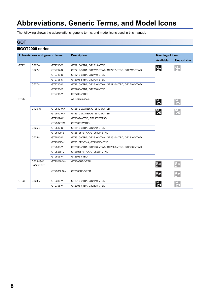# <span id="page-9-0"></span>**Abbreviations, Generic Terms, and Model Icons**

The following shows the abbreviations, generic terms, and model icons used in this manual.

### **GOT**

### ■**GOT2000 series**

|                  | Abbreviations and generic terms |            | <b>Description</b>                                 | <b>Meaning of icon</b>      |                               |
|------------------|---------------------------------|------------|----------------------------------------------------|-----------------------------|-------------------------------|
|                  |                                 |            |                                                    | <b>Available</b>            | <b>Unavailable</b>            |
| GT27             | GT27-X                          | GT2715-X   | GT2715-XTBA, GT2715-XTBD                           |                             |                               |
|                  | GT27-S                          | GT2712-S   | GT2712-STBA, GT2712-STWA, GT2712-STBD, GT2712-STWD | $\frac{c}{27}$              | $\boxed{\frac{GT}{27}}$       |
|                  |                                 | GT2710-S   | GT2710-STBA, GT2710-STBD                           |                             |                               |
|                  |                                 | GT2708-S   | GT2708-STBA, GT2708-STBD                           |                             |                               |
|                  | GT27-V                          | GT2710-V   | GT2710-VTBA, GT2710-VTWA, GT2710-VTBD, GT2710-VTWD |                             |                               |
|                  |                                 | GT2708-V   | GT2708-VTBA, GT2708-VTBD                           |                             |                               |
|                  |                                 | GT2705-V   | GT2705-VTBD                                        |                             |                               |
| GT <sub>25</sub> |                                 |            | All GT25 models                                    | $\frac{GT}{25}$             | $rac{GT}{25}$                 |
|                  | GT25-W                          | GT2512-WX  | GT2512-WXTBD, GT2512-WXTSD                         |                             |                               |
|                  |                                 | GT2510-WX  | GT2510-WXTBD, GT2510-WXTSD                         | $\frac{GT}{25}$             | $rac{\text{G}}{25}$           |
|                  |                                 | GT2507-W   | GT2507-WTBD, GT2507-WTSD                           |                             |                               |
|                  |                                 | GT2507T-W  | GT2507T-WTSD                                       |                             |                               |
|                  | GT25-S                          | GT2512-S   | GT2512-STBA, GT2512-STBD                           |                             |                               |
|                  |                                 | GT2512F-S  | GT2512F-STNA, GT2512F-STND                         |                             |                               |
|                  | GT25-V                          | GT2510-V   | GT2510-VTBA, GT2510-VTWA, GT2510-VTBD, GT2510-VTWD |                             |                               |
|                  |                                 | GT2510F-V  | GT2510F-VTNA, GT2510F-VTND                         |                             |                               |
|                  |                                 | GT2508-V   | GT2508-VTBA, GT2508-VTWA, GT2508-VTBD, GT2508-VTWD |                             |                               |
|                  |                                 | GT2508F-V  | GT2508F-VTNA, GT2508F-VTND                         |                             |                               |
|                  |                                 | GT2505-V   | GT2505-VTBD                                        |                             |                               |
|                  | GT25HS-V<br>Handy GOT           | GT2506HS-V | GT2506HS-VTBD                                      | ст<br>2506<br><sup>HS</sup> | $\frac{GT}{2506}$             |
|                  |                                 | GT2505HS-V | GT2505HS-VTBD                                      | <sub>GT</sub><br>2505       | $\frac{\text{GT}}{\text{HS}}$ |
| GT <sub>23</sub> | GT23-V                          | GT2310-V   | GT2310-VTBA, GT2310-VTBD                           |                             |                               |
|                  |                                 | GT2308-V   | GT2308-VTBA, GT2308-VTBD                           | $\frac{GT}{23}$             | $rac{G}{2}$                   |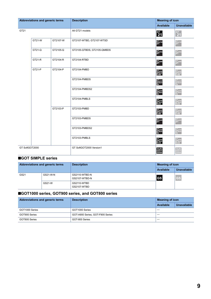| Abbreviations and generic terms |        |          | <b>Description</b>         |                                                                                                                                                 | <b>Meaning of icon</b>                                                                                            |                                   |
|---------------------------------|--------|----------|----------------------------|-------------------------------------------------------------------------------------------------------------------------------------------------|-------------------------------------------------------------------------------------------------------------------|-----------------------------------|
|                                 |        |          |                            | <b>Available</b>                                                                                                                                | <b>Unavailable</b>                                                                                                |                                   |
| GT21                            |        |          | All GT21 models            | $\frac{GT}{21}$                                                                                                                                 | $rac{GT}{21}$                                                                                                     |                                   |
|                                 | GT21-W | GT2107-W | GT2107-WTBD, GT2107-WTSD   | $21^{\circ}$                                                                                                                                    | $21^{\circ}$                                                                                                      |                                   |
|                                 | GT21-Q | GT2105-Q | GT2105-QTBDS, GT2105-QMBDS | $\overset{\scriptscriptstyle \rm GT}{\mathbf{21}}{}^{\scriptscriptstyle \rm 050}$                                                               | GT <sub>05Q</sub>                                                                                                 |                                   |
|                                 | GT21-R | GT2104-R | GT2104-RTBD                | $21^{04R}$                                                                                                                                      | GT <sub>04R</sub>                                                                                                 |                                   |
|                                 | GT21-P | GT2104-P | GT2104-PMBD                | 21 <sub>04P</sub><br>ET/RA                                                                                                                      | $\frac{{}^{G\mathsf{T}}_{{}}\mathsf{21}^{{}^{G\mathsf{3P}}}_{{}^{\mathsf{04P}}_{{}}}}{\mathsf{ET} / \mathsf{R4}}$ |                                   |
|                                 |        |          |                            | GT2104-PMBDS                                                                                                                                    | 21 <sub>04P</sub><br>R4                                                                                           | GT 03P<br>2104P<br>R4             |
|                                 |        |          | GT2104-PMBDS2              | 21 <sub>04P</sub><br>R2                                                                                                                         | $\frac{\text{GT}}{\text{21}^{\text{03P}}_{\text{04P}}}$                                                           |                                   |
|                                 |        |          | GT2104-PMBLS               | $2104PR4-5V$                                                                                                                                    | $\frac{\text{GT}_{03P}}{\text{21}_{04P}}$<br>R4-5V                                                                |                                   |
|                                 |        | GT2103-P | GT2103-PMBD                | $\begin{array}{l} \mathbf{G}^\mathsf{T}{}_\mathbf{0 3 P} \\ \mathbf{21}_{\mathsf{0 4 P}}^\mathsf{0 3 P} \\ \mathsf{ET} \textit{R4} \end{array}$ | $\frac{\text{GT}}{\text{21}_{04\text{P}}^{\text{O3P}}}$ ET/R4                                                     |                                   |
|                                 |        |          | GT2103-PMBDS               | $_{21}^{\sigma_{\tau}}$ 21                                                                                                                      | GT <sub>04R</sub>                                                                                                 |                                   |
|                                 |        |          |                            | GT2103-PMBDS2                                                                                                                                   | 21 <sub>04P</sub><br>R2                                                                                           | GT 03P<br>2104P<br>R <sub>2</sub> |
|                                 |        |          | GT2103-PMBLS               | $2104PR4-5V$                                                                                                                                    | GT <sub>03P</sub><br>21 <sub>04P</sub><br>R4-5V                                                                   |                                   |
| GT SoftGOT2000                  |        |          | GT SoftGOT2000 Version1    | <b>Soft</b><br>000<br>2000                                                                                                                      | Soft<br>GOT<br>2000                                                                                               |                                   |

### ■**GOT SIMPLE series**

| Abbreviations and generic terms |          | <b>Description</b>             | <b>Meaning of icon</b> |                    |
|---------------------------------|----------|--------------------------------|------------------------|--------------------|
|                                 |          |                                | Available              | <b>Unavailable</b> |
| GS21                            | GS21-W-N | GS2110-WTBD-N<br>GS2107-WTBD-N | <b>GS</b>              | <b>GS</b>          |
|                                 | GS21-W   | GS2110-WTBD<br>GS2107-WTBD     |                        |                    |

### ■**GOT1000 series, GOT900 series, and GOT800 series**

| Abbreviations and generic terms | <b>Description</b>               | <b>Meaning of icon</b>   |                    |
|---------------------------------|----------------------------------|--------------------------|--------------------|
|                                 |                                  | Available                | <b>Unavailable</b> |
| GOT1000 Series                  | GOT1000 Series                   |                          |                    |
| GOT900 Series                   | GOT-A900 Series, GOT-F900 Series | $\overline{\phantom{m}}$ |                    |
| GOT800 Series                   | GOT-800 Series                   |                          |                    |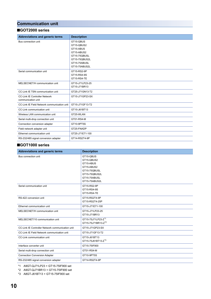### **Communication unit**

### ■**GOT2000 series**

| Abbreviations and generic terms             | <b>Description</b> |
|---------------------------------------------|--------------------|
|                                             |                    |
| Bus connection unit                         | GT15-QBUS          |
|                                             | GT15-QBUS2         |
|                                             | GT15-ABUS          |
|                                             | GT15-ABUS2         |
|                                             | GT15-75QBUSL       |
|                                             | GT15-75QBUS2L      |
|                                             | GT15-75ABUSL       |
|                                             | GT15-75ABUS2L      |
| Serial communication unit                   | GT15-RS2-9P        |
|                                             | GT15-RS4-9S        |
|                                             | GT15-RS4-TE        |
| MELSECNET/H communication unit              | GT15-J71LP23-25    |
|                                             | GT15-J71BR13       |
| CC-Link IE TSN communication unit           | GT25-J71GN13-T2    |
| <b>CC-Link IE Controller Network</b>        | GT15-J71GP23-SX    |
| communication unit                          |                    |
| CC-Link IE Field Network communication unit | GT15-J71GF13-T2    |
| CC-Link communication unit                  | GT15-J61BT13       |
| Wireless LAN communication unit             | GT25-WLAN          |
| Serial multi-drop connection unit           | GT01-RS4-M         |
| Connection conversion adapter               | GT10-9PT5S         |
| Field network adapter unit                  | GT25-FNADP         |
| Ethernet communication unit                 | GT25-J71E71-100    |
| RS-232/485 signal conversion adapter        | GT14-RS2T4-9P      |

### ■**GOT1000 series**

| <b>Abbreviations and generic terms</b>           | <b>Description</b>                                                                                                   |
|--------------------------------------------------|----------------------------------------------------------------------------------------------------------------------|
| Bus connection unit                              | GT15-QBUS<br>GT15-QBUS2<br>GT15-ABUS<br>GT15-ABUS2<br>GT15-75QBUSL<br>GT15-75QBUS2L<br>GT15-75ABUSL<br>GT15-75ABUS2L |
| Serial communication unit                        | GT15-RS2-9P<br>GT15-RS4-9S<br>GT15-RS4-TE                                                                            |
| RS-422 conversion unit                           | GT15-RS2T4-9P<br>GT15-RS2T4-25P                                                                                      |
| Ethernet communication unit                      | GT15-J71E71-100                                                                                                      |
| MELSECNET/H communication unit                   | GT15-J71LP23-25<br>GT15-J71BR13                                                                                      |
| MELSECNET/10 communication unit                  | GT15-75J71LP23-Z <sup>*1</sup><br>GT15-75J71BR13-Z <sup>*2</sup>                                                     |
| CC-Link IE Controller Network communication unit | GT15-J71GP23-SX                                                                                                      |
| CC-Link IE Field Network communication unit      | GT15-J71GF13-T2                                                                                                      |
| CC-Link communication unit                       | GT15-J61BT13<br>GT15-75J61BT13-Z <sup>*3</sup>                                                                       |
| Interface converter unit                         | GT15-75IF900                                                                                                         |
| Serial multi-drop connection unit                | GT01-RS4-M                                                                                                           |
| <b>Connection Conversion Adapter</b>             | GT10-9PT5S                                                                                                           |
| RS-232/485 signal conversion adapter             | GT14-RS2T4-9P                                                                                                        |

<span id="page-11-0"></span>\*1 A9GT-QJ71LP23 + GT15-75IF900 set

<span id="page-11-1"></span>\*2 A9GT-QJ71BR13 + GT15-75IF900 set

<span id="page-11-2"></span>\*3 A8GT-J61BT13 + GT15-75IF900 set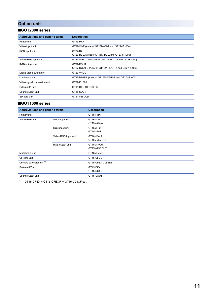### **Option unit**

### ■**GOT2000 series**

| Abbreviations and generic terms | <b>Description</b>                                               |
|---------------------------------|------------------------------------------------------------------|
| Printer unit                    | GT15-PRN                                                         |
| Video input unit                | GT27-V4-Z (A set of GT16M-V4-Z and GT27-IF1000)                  |
| RGB input unit                  | GT27-R2<br>GT27-R2-Z (A set of GT16M-R2-Z and GT27-IF1000)       |
| Video/RGB input unit            | GT27-V4R1-Z (A set of GT16M-V4R1-Z and GT27-IF1000)              |
| RGB output unit                 | GT27-ROUT<br>GT27-ROUT-Z (A set of GT16M-ROUT-Z and GT27-IF1000) |
| Digital video output unit       | GT27-VHOUT                                                       |
| Multimedia unit                 | GT27-MMR-Z (A set of GT16M-MMR-Z and GT27-IF1000)                |
| Video signal conversion unit    | GT27-IF1000                                                      |
| External I/O unit               | GT15-DIO, GT15-DIOR                                              |
| Sound output unit               | GT15-SOUT                                                        |
| SD card unit                    | GT21-03SDCD                                                      |

### ■**GOT1000 series**

| Abbreviations and generic terms      |                      | <b>Description</b>         |
|--------------------------------------|----------------------|----------------------------|
| Printer unit                         |                      | GT15-PRN                   |
| Video/RGB unit                       | Video input unit     | GT16M-V4<br>GT15V-75V4     |
|                                      | RGB input unit       | GT16M-R2<br>GT15V-75R1     |
|                                      | Video/RGB input unit | GT16M-V4R1<br>GT15V-75V4R1 |
|                                      | RGB output unit      | GT16M-ROUT<br>GT15V-75ROUT |
| Multimedia unit                      |                      | GT16M-MMR                  |
| CF card unit                         |                      | GT15-CFCD                  |
| CF card extension unit <sup>*1</sup> |                      | GT15-CFEX-C08SET           |
| External I/O unit                    |                      | GT15-DIO<br>GT15-DIOR      |
| Sound output unit                    |                      | GT15-SOUT                  |

<span id="page-12-0"></span>\*1 GT15-CFEX + GT15-CFEXIF + GT15-C08CF set.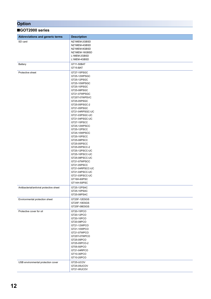### **Option**

| ■GOT2000 series |  |
|-----------------|--|
|-----------------|--|

| $\blacksquare$ UULLUVU JUIIUJ            |                                                                                                                                                                                                                                                                                                                                                                                                                                                                                                         |
|------------------------------------------|---------------------------------------------------------------------------------------------------------------------------------------------------------------------------------------------------------------------------------------------------------------------------------------------------------------------------------------------------------------------------------------------------------------------------------------------------------------------------------------------------------|
| Abbreviations and generic terms          | <b>Description</b>                                                                                                                                                                                                                                                                                                                                                                                                                                                                                      |
| SD card                                  | NZ1MEM-2GBSD<br>NZ1MEM-4GBSD<br>NZ1MEM-8GBSD<br>NZ1MEM-16GBSD<br>L1MEM-2GBSD<br>L1MEM-4GBSD                                                                                                                                                                                                                                                                                                                                                                                                             |
| Battery                                  | GT11-50BAT<br>GT15-BAT                                                                                                                                                                                                                                                                                                                                                                                                                                                                                  |
| Protective sheet                         | GT27-15PSGC<br>GT25-12WPSGC<br>GT25-12PSGC<br>GT25-10WPSGC<br>GT25-10PSGC<br>GT25-08PSGC<br>GT21-07WPSGC<br>GT25T-07WPSVC<br>GT25-05PSGC<br>GT25-05PSGC-2<br>GT21-05PSGC<br>GT21-04RPSGC-UC<br>GT21-03PSGC-UC<br>GT21-04PSGC-UC<br>GT27-15PSCC<br>GT25-12WPSCC<br>GT25-12PSCC<br>GT25-10WPSCC<br>GT25-10PSCC<br>GT25-08PSCC<br>GT25-05PSCC<br>GT25-05PSCC-2<br>GT25-12PSCC-UC<br>GT25-10PSCC-UC<br>GT25-08PSCC-UC<br>GT21-07WPSCC<br>GT21-05PSCC<br>GT21-04RPSCC-UC<br>GT21-04PSCC-UC<br>GT21-03PSCC-UC |
| Antibacterial/antiviral protective sheet | GT16H-60PSC<br>GT14H-50PSC<br>GT25-12PSAC<br>GT25-10PSAC<br>GT25-08PSAC                                                                                                                                                                                                                                                                                                                                                                                                                                 |
| Environmental protection sheet           | GT25F-12ESGS<br>GT25F-10ESGS<br>GT25F-08ESGS                                                                                                                                                                                                                                                                                                                                                                                                                                                            |
| Protective cover for oil                 | GT20-15PCO<br>GT20-12PCO<br>GT20-10PCO<br>GT20-08PCO<br>GT21-12WPCO<br>GT21-10WPCO<br>GT21-07WPCO<br>GT25T-07WPCO<br>GT25-05PCO<br>GT25-05PCO-2<br>GT05-50PCO<br>GT21-04RPCO<br>GT10-30PCO<br>GT10-20PCO                                                                                                                                                                                                                                                                                                |
| USB environmental protection cover       | GT25-UCOV<br>GT25-05UCOV<br>GT21-WUCOV                                                                                                                                                                                                                                                                                                                                                                                                                                                                  |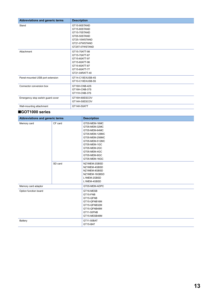| Abbreviations and generic terms   | <b>Description</b>                                                                                                   |
|-----------------------------------|----------------------------------------------------------------------------------------------------------------------|
| Stand                             | GT15-90STAND<br>GT15-80STAND<br>GT15-70STAND<br>GT05-50STAND<br>GT25-10WSTAND<br>GT21-07WSTAND<br>GT25T-07WSTAND     |
| Attachment                        | GT15-70ATT-98<br>GT15-70ATT-87<br>GT15-60ATT-97<br>GT15-60ATT-96<br>GT15-60ATT-87<br>GT15-60ATT-77<br>GT21-04RATT-40 |
| Panel-mounted USB port extension  | GT14-C10EXUSB-4S<br>GT10-C10EXUSB-5S                                                                                 |
| Connector conversion box          | GT16H-CNB-42S<br>GT16H-CNB-37S<br>GT11H-CNB-37S                                                                      |
| Emergency stop switch guard cover | GT16H-60ESCOV<br>GT14H-50ESCOV                                                                                       |
| Wall-mounting attachment          | GT14H-50ATT                                                                                                          |

### ■**GOT1000 series**

| Abbreviations and generic terms |         | <b>Description</b>                                                                                                                                                                     |
|---------------------------------|---------|----------------------------------------------------------------------------------------------------------------------------------------------------------------------------------------|
| Memory card                     | CF card | GT05-MEM-16MC<br>GT05-MEM-32MC<br>GT05-MEM-64MC<br>GT05-MEM-128MC<br>GT05-MEM-256MC<br>GT05-MEM-512MC<br>GT05-MEM-1GC<br>GT05-MEM-2GC<br>GT05-MEM-4GC<br>GT05-MEM-8GC<br>GT05-MEM-16GC |
|                                 | SD card | NZ1MEM-2GBSD<br>NZ1MEM-4GBSD<br>NZ1MEM-8GBSD<br>NZ1MEM-16GBSD<br>L1MEM-2GBSD<br>L1MEM-4GBSD                                                                                            |
| Memory card adaptor             |         | GT05-MEM-ADPC                                                                                                                                                                          |
| Option function board           |         | GT16-MESB<br>GT15-FNB<br>GT15-QFNB<br>GT15-QFNB16M<br>GT15-QFNB32M<br>GT15-QFNB48M<br>GT11-50FNB<br>GT15-MESB48M                                                                       |
| Battery                         |         | GT11-50BAT<br>GT15-BAT                                                                                                                                                                 |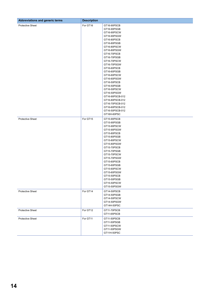| Abbreviations and generic terms | <b>Description</b> |                                                                                                                                                                                                                                                                                                                                                                                                                        |
|---------------------------------|--------------------|------------------------------------------------------------------------------------------------------------------------------------------------------------------------------------------------------------------------------------------------------------------------------------------------------------------------------------------------------------------------------------------------------------------------|
| <b>Protective Sheet</b>         | For GT16           | GT16-90PSCB<br>GT16-90PSGB<br>GT16-90PSCW<br>GT16-90PSGW<br>GT16-80PSCB<br>GT16-80PSGB<br>GT16-80PSCW<br>GT16-80PSGW<br>GT16-70PSCB<br>GT16-70PSGB<br>GT16-70PSCW<br>GT16-70PSGW<br>GT16-60PSCB<br>GT16-60PSGB<br>GT16-60PSCW<br>GT16-60PSGW<br>GT16-50PSCB<br>GT16-50PSGB<br>GT16-50PSCW<br>GT16-50PSGW<br>GT16-90PSCB-012<br>GT16-80PSCB-012<br>GT16-70PSCB-012<br>GT16-60PSCB-012<br>GT16-50PSCB-012<br>GT16H-60PSC |
| <b>Protective Sheet</b>         | For GT15           | GT15-90PSCB<br>GT15-90PSGB<br>GT15-90PSCW<br>GT15-90PSGW<br>GT15-80PSCB<br>GT15-80PSGB<br>GT15-80PSCW<br>GT15-80PSGW<br>GT15-70PSCB<br>GT15-70PSGB<br>GT15-70PSCW<br>GT15-70PSGW<br>GT15-60PSCB<br>GT15-60PSGB<br>GT15-60PSCW<br>GT15-60PSGW<br>GT15-50PSCB<br>GT15-50PSGB<br>GT15-50PSCW<br>GT15-50PSGW                                                                                                               |
| <b>Protective Sheet</b>         | For GT14           | GT14-50PSCB<br>GT14-50PSGB<br>GT14-50PSCW<br>GT14-50PSGW<br>GT14H-50PSC                                                                                                                                                                                                                                                                                                                                                |
| <b>Protective Sheet</b>         | For GT12           | GT11-70PSCB<br>GT11-65PSCB                                                                                                                                                                                                                                                                                                                                                                                             |
| <b>Protective Sheet</b>         | For GT11           | GT11-50PSCB<br>GT11-50PSGB<br>GT11-50PSCW<br>GT11-50PSGW<br>GT11H-50PSC                                                                                                                                                                                                                                                                                                                                                |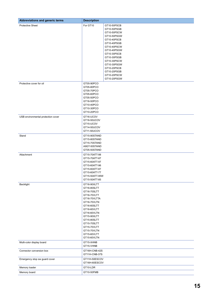| Abbreviations and generic terms    | <b>Description</b>                                                                                                                                                                                                                            |                                                                                                                                                                                                                                              |
|------------------------------------|-----------------------------------------------------------------------------------------------------------------------------------------------------------------------------------------------------------------------------------------------|----------------------------------------------------------------------------------------------------------------------------------------------------------------------------------------------------------------------------------------------|
| <b>Protective Sheet</b>            | For GT10                                                                                                                                                                                                                                      | GT10-50PSCB<br>GT10-50PSGB<br>GT10-50PSCW<br>GT10-50PSGW<br>GT10-40PSCB<br>GT10-40PSGB<br>GT10-40PSCW<br>GT10-40PSGW<br>GT10-30PSCB<br>GT10-30PSGB<br>GT10-30PSCW<br>GT10-30PSGW<br>GT10-20PSCB<br>GT10-20PSGB<br>GT10-20PSCW<br>GT10-20PSGW |
| Protective cover for oil           | GT05-90PCO<br>GT05-80PCO<br>GT05-70PCO<br>GT05-60PCO<br>GT05-50PCO<br>GT16-50PCO<br>GT10-40PCO<br>GT10-30PCO<br>GT10-20PCO                                                                                                                    |                                                                                                                                                                                                                                              |
| USB environmental protection cover | GT16-UCOV<br>GT16-50UCOV<br>GT15-UCOV<br>GT14-50UCOV<br>GT11-50UCOV                                                                                                                                                                           |                                                                                                                                                                                                                                              |
| Stand                              | GT15-90STAND<br>GT15-80STAND<br>GT15-70STAND<br>A9GT-50STAND<br>GT05-50STAND                                                                                                                                                                  |                                                                                                                                                                                                                                              |
| Attachment                         | GT15-70ATT-98<br>GT15-70ATT-87<br>GT15-60ATT-97<br>GT15-60ATT-96<br>GT15-60ATT-87<br>GT15-60ATT-77<br>GT15-50ATT-95W<br>GT15-50ATT-85                                                                                                         |                                                                                                                                                                                                                                              |
| Backlight                          | GT16-90XLTT<br>GT16-80SLTT<br>GT16-70SLTT<br>GT16-70VLTT<br>GT16-70VLTTA<br>GT16-70VLTN<br>GT16-60SLTT<br>GT16-60VLTT<br>GT16-60VLTN<br>GT15-90XLTT<br>GT15-80SLTT<br>GT15-70SLTT<br>GT15-70VLTT<br>GT15-70VLTN<br>GT15-60VLTT<br>GT15-60VLTN |                                                                                                                                                                                                                                              |
| Multi-color display board          | GT15-XHNB<br>GT15-VHNB                                                                                                                                                                                                                        |                                                                                                                                                                                                                                              |
| Connector conversion box           | GT16H-CNB-42S<br>GT11H-CNB-37S                                                                                                                                                                                                                |                                                                                                                                                                                                                                              |
| Emergency stop sw guard cover      | GT11H-50ESCOV<br>GT16H-60ESCOV                                                                                                                                                                                                                |                                                                                                                                                                                                                                              |
| Memory loader                      | GT10-LDR                                                                                                                                                                                                                                      |                                                                                                                                                                                                                                              |
| Memory board                       | GT10-50FMB                                                                                                                                                                                                                                    |                                                                                                                                                                                                                                              |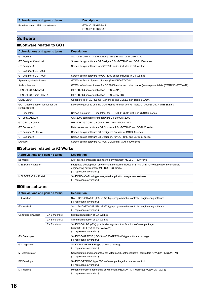| Abbreviations and generic terms  | <b>Description</b>                   |
|----------------------------------|--------------------------------------|
| Panel-mounted USB port extension | GT14-C10EXUSB-4S<br>GT10-C10EXUSB-5S |

### **Software**

### ■**Software related to GOT**

| Abbreviations and generic terms                   | <b>Description</b>                                                                                |
|---------------------------------------------------|---------------------------------------------------------------------------------------------------|
| GT Works3                                         | SW1DND-GTWK3-J, SW1DND-GTWK3-E, SW1DND-GTWK3-C                                                    |
| GT Designer3 Version1                             | Screen design software GT Designer3 for GOT2000 and GOT1000 series                                |
| GT Designer3                                      | Screen design software for GOT2000 series included in GT Works3                                   |
| GT Designer3(GOT2000)                             |                                                                                                   |
| GT Designer3(GOT1000)                             | Screen design software for GOT1000 series included in GT Works3                                   |
| Speech synthesis license                          | GT Works Text to Speech License (SW1DND-GTVO-M)                                                   |
| Add-on license                                    | GT Works3 add-on license for GOT2000 enhanced drive control (servo) project data (SW1DND-GTSV-MZ) |
| GENESIS64 Advanced                                | GENESIS64 server application (GEN64-APP)                                                          |
| <b>GENESIS64 Basic SCADA</b>                      | GENESIS64 server application (GEN64-BASIC)                                                        |
| GENESIS64                                         | Generic term of GENESIS64 Advanced and GENESIS64 Basic SCADA                                      |
| GOT Mobile function license for GT<br>SoftGOT2000 | License required to use the GOT Mobile function with GT SoftGOT2000 (SGT2K-WEBSKEY- $\square$ )   |
| GT Simulator3                                     | Screen simulator GT Simulator3 for GOT2000, GOT1000, and GOT900 series                            |
| GT SoftGOT2000                                    | GOT2000 compatible HMI software GT SoftGOT2000                                                    |
| <b>GT OPC UA Client</b>                           | MELSOFT GT OPC UA Client (SW1DNN-GTOUC-MD)                                                        |
| GT Converter2                                     | Data conversion software GT Converter2 for GOT1000 and GOT900 series                              |
| GT Designer2 Classic                              | Screen design software GT Designer2 Classic for GOT900 series                                     |
| GT Designer2                                      | Screen design software GT Designer2 for GOT1000 and GOT900 series                                 |
| <b>DU/WIN</b>                                     | Screen design software FX-PCS-DU/WIN for GOT-F900 series                                          |

### ■**Software related to iQ Works**

| Abbreviations and generic terms | <b>Description</b>                                                                                                                                                                 |
|---------------------------------|------------------------------------------------------------------------------------------------------------------------------------------------------------------------------------|
| iQ Works                        | iQ Platform compatible engineering environment MELSOFT iQ Works                                                                                                                    |
| <b>MELSOFT Navigator</b>        | Integrated development environment software included in $SW \square DND-IQWK(iQ$ Platform compatible<br>engineering environment MELSOFT iQ Works)<br>$\Box$ represents a version.) |
| MELSOFT iQ AppPortal            | SW□DND-IQAPL-M type integrated application anagement software<br>$\Box$ represents a version.)                                                                                     |

### ■**Other software**

| Abbreviations and generic terms |                     | <b>Description</b>                                                                                                                                   |
|---------------------------------|---------------------|------------------------------------------------------------------------------------------------------------------------------------------------------|
| GX Works3                       |                     | $SW \square$ DND-GXW3-E (-EA, -EAZ) type programmable controller engineering software<br>$($ $\Box$ represents a version.)                           |
| GX Works2                       |                     | $SW \square$ DNC-GXW2-E (-EA, -EAZ) type programmable controller engineering software<br>$\Box$ represents a version.)                               |
| Controller simulator            | GX Simulator3       | Simulation function of GX Works3                                                                                                                     |
|                                 | GX Simulator2       | Simulation function of GX Works2                                                                                                                     |
|                                 | <b>GX Simulator</b> | SW□D5C-LLT-E (-EV) type ladder logic test tool function software package<br>(SW5D5C-LLT (-V) or later versions)<br>$($ $\Box$ represents a version.) |
| <b>GX Developer</b>             |                     | SWID5C-GPPW-E (-EV)/SWID5F-GPPW (-V) type software package<br>$($ $\Box$ represents a version.)                                                      |
| <b>GX LogViewer</b>             |                     | SW□DNN-VIEWER-E type software package<br>$\Box$ represents a version.)                                                                               |
| MI Configurator                 |                     | Configuration and monitor tool for Mitsubishi Electric industrial computers (SWIDNNMICONF-M)<br>$\Box$ represents a version.)                        |
| <b>PX Developer</b>             |                     | SW□D5C-FBDQ-E type FBD software package for process control<br>$($ $\Box$ represents a version.)                                                     |
| MT Works2                       |                     | Motion controller engineering environment MELSOFT MT Works2(SWIDDNDMTW2-E)<br>$\Box$ represents a version.)                                          |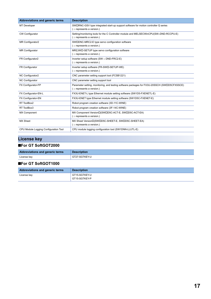| <b>Abbreviations and generic terms</b> | <b>Description</b>                                                                                                                |
|----------------------------------------|-----------------------------------------------------------------------------------------------------------------------------------|
| MT Developer                           | SWIRNC-GSV type integrated start-up support software for motion controller Q series<br>$($ $\Box$ represents a version.)          |
| <b>CW Configurator</b>                 | Setting/monitoring tools for the C Controller module and MELSECWinCPU(SWoDND-RCCPU-E)<br>$($ $\Box$ represents a version.)        |
| MR Configurator2                       | SW□DNC-MRC2-E type servo configuration software<br>$($ $\Box$ represents a version.)                                              |
| <b>MR Configurator</b>                 | MRZJWD-SETUP type servo configuration software<br>( $\Box$ represents a version.)                                                 |
| FR Configurator2                       | Inverter setup software (SW o DND-FRC2-E)<br>$($ $\Box$ represents a version.)                                                    |
| FR Configurator                        | Inverter setup software (FR-SWD-SETUP-WE)<br>( □ represents a version.)                                                           |
| NC Configurator2                       | CNC parameter setting support tool (FCSB1221)                                                                                     |
| <b>NC Configurator</b>                 | CNC parameter setting support tool                                                                                                |
| FX Configurator-FP                     | Parameter setting, monitoring, and testing software packages for FX3U-20SSCH (SWIDD5CFXSSCE)<br>$($ $\Box$ represents a version.) |
| FX Configurator-EN-L                   | FX3U-ENET-L type Ethernet module setting software (SW1D5-FXENETL-E)                                                               |
| FX Configurator-EN                     | FX3U-ENET type Ethernet module setting software (SW1D5C-FXENET-E)                                                                 |
| RT ToolBox2                            | Robot program creation software (3D-11C-WINE)                                                                                     |
| RT ToolBox3                            | Robot program creation software (3F-14C-WINE)                                                                                     |
| <b>MX Component</b>                    | MX Component Version <sup>[(SWI]D5C-ACT-E, SWI]D5C-ACT-EA)</sup><br>$($ $\Box$ represents a version.)                             |
| <b>MX Sheet</b>                        | MX Sheet Version <sup>[</sup> (SWIID5C-SHEET-E, SWIID5C-SHEET-EA)<br>$($ $\Box$ represents a version.)                            |
| CPU Module Logging Configuration Tool  | CPU module logging configuration tool (SW1DNN-LLUTL-E)                                                                            |

### **License key**

### ■**For GT SoftGOT2000**

| Abbreviations and generic terms | <b>Description</b> |
|---------------------------------|--------------------|
| License key                     | GT27-SGTKEY-U      |

### ■**For GT SoftGOT1000**

| Abbreviations and generic terms | <b>Description</b> |
|---------------------------------|--------------------|
| License key                     | GT15-SGTKEY-U      |
|                                 | GT15-SGTKEY-P      |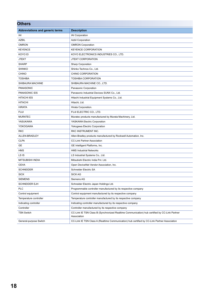| <b>Others</b>                   |                                                                                                              |  |
|---------------------------------|--------------------------------------------------------------------------------------------------------------|--|
| Abbreviations and generic terms | <b>Description</b>                                                                                           |  |
| IAI                             | <b>IAI Corporation</b>                                                                                       |  |
| <b>AZBIL</b>                    | <b>Azbil Corporation</b>                                                                                     |  |
| <b>OMRON</b>                    | <b>OMRON Corporation</b>                                                                                     |  |
| <b>KEYENCE</b>                  | <b>KEYENCE CORPORATION</b>                                                                                   |  |
| KOYO EI                         | KOYO ELECTRONICS INDUSTRIES CO., LTD.                                                                        |  |
| <b>JTEKT</b>                    | <b>JTEKT CORPORATION</b>                                                                                     |  |
| <b>SHARP</b>                    | <b>Sharp Corporation</b>                                                                                     |  |
| <b>SHINKO</b>                   | Shinko Technos Co., Ltd.                                                                                     |  |
| <b>CHINO</b>                    | CHINO CORPORATION                                                                                            |  |
| <b>TOSHIBA</b>                  | <b>TOSHIBA CORPORATION</b>                                                                                   |  |
| SHIBAURA MACHINE                | SHIBAURA MACHINE CO., LTD.                                                                                   |  |
| <b>PANASONIC</b>                | Panasonic Corporation                                                                                        |  |
| PANASONIC IDS                   | Panasonic Industrial Devices SUNX Co., Ltd.                                                                  |  |
| <b>HITACHI IES</b>              | Hitachi Industrial Equipment Systems Co., Ltd.                                                               |  |
| <b>HITACHI</b>                  | Hitachi, Ltd.                                                                                                |  |
| <b>HIRATA</b>                   | Hirata Corporation.                                                                                          |  |
| <b>FUJI</b>                     | FUJI ELECTRIC CO., LTD.                                                                                      |  |
| <b>MURATEC</b>                  | Muratec products manufactured by Murata Machinery, Ltd.                                                      |  |
| YASUKAWA                        | YASKAWA Electric Corporation                                                                                 |  |
| <b>YOKOGAWA</b>                 | Yokogawa Electric Corporation                                                                                |  |
| <b>RKC</b>                      | RKC INSTRUMENT INC.                                                                                          |  |
| ALLEN-BRADLEY                   | Allen-Bradley products manufactured by Rockwell Automation, Inc.                                             |  |
| <b>CLPA</b>                     | <b>CC-Link Partner Association</b>                                                                           |  |
| <b>GE</b>                       | GE Intelligent Platforms, Inc.                                                                               |  |
| <b>HMS</b>                      | <b>HMS Industrial Networks</b>                                                                               |  |
| LS IS                           | LS Industrial Systems Co., Ltd.                                                                              |  |
| MITSUBISHI INDIA                | Mitsubishi Electric India Pvt. Ltd.                                                                          |  |
| <b>ODVA</b>                     | Open DeviceNet Vendor Association, Inc.                                                                      |  |
| <b>SCHNEIDER</b>                | Schneider Electric SA                                                                                        |  |
| <b>SICK</b>                     | <b>SICK AG</b>                                                                                               |  |
| <b>SIEMENS</b>                  | Siemens AG                                                                                                   |  |
| <b>SCHNEIDER EJH</b>            | Schneider Electric Japan Holdings Ltd.                                                                       |  |
| <b>PLC</b>                      | Programmable controller manufactured by its respective company                                               |  |
| Control equipment               | Control equipment manufactured by its respective company                                                     |  |
| Temperature controller          | Temperature controller manufactured by its respective company                                                |  |
| Indicating controller           | Indicating controller manufactured by its respective company                                                 |  |
| Controller                      | Controller manufactured by its respective company                                                            |  |
| <b>TSN Switch</b>               | CC-Link IE TSN Class B (Synchronized Realtime Communication) hub certified by CC-Link Partner<br>Association |  |
| General-purpose Switch          | CC-Link IE TSN Class A (Realtime Communication) hub certified by CC-Link Partner Association                 |  |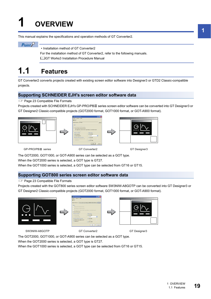# <span id="page-20-0"></span>**1 OVERVIEW**

This manual explains the specifications and operation methods of GT Converter2.

 $Point<sup>°</sup>$ 

• Installation method of GT Converter2

For the installation method of GT Converter2, refer to the following manuals.

GT Works3 Installation Procedure Manual

# <span id="page-20-1"></span>**1.1 Features**

GT Converter2 converts projects created with existing screen editor software into Designer3 or GTD2 Classic-compatible projects.

### **Supporting SCHNEIDER EJH's screen editor software data**

**Fage 23 Compatible File Formats** 

Projects created with SCHNEIDER EJH's GP-PRO/PBII series screen editor software can be converted into GT Designer3 or GT Designer2 Classic-compatible projects (GOT2000 format, GOT1000 format, or GOT-A900 format).







GP-PRO/PBIII series GT Converter2 GT Designer3

The GOT2000, GOT1000, or GOT-A900 series can be selected as a GOT type.

When the GOT2000 series is selected, a GOT type is GT27.

When the GOT1000 series is selected, a GOT type can be selected from GT16 or GT15.

### **Supporting GOT800 series screen editor software data**

**F** [Page 23 Compatible File Formats](#page-24-2)

Projects created with the GOT800 series screen editor software SW3NIW-A8GOTP can be converted into GT Designer3 or GT Designer2 Classic-compatible projects (GOT2000 format, GOT1000 format, or GOT-A900 format).







SW3NIW-A8GOTP GT Converter2 GT Converter2 GT Designer3

The GOT2000, GOT1000, or GOT-A900 series can be selected as a GOT type.

When the GOT2000 series is selected, a GOT type is GT27.

When the GOT1000 series is selected, a GOT type can be selected from GT16 or GT15.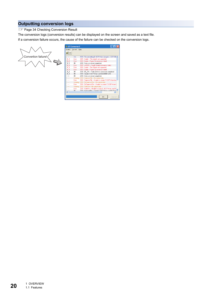### **Outputting conversion logs**

**F** [Page 34 Checking Conversion Result](#page-35-1)

The conversion logs (conversion results) can be displayed on the screen and saved as a text file.

If a conversion failure occurs, the cause of the failure can be checked on the conversion logs.



|            | Project Convert | Help                                                      |
|------------|-----------------|-----------------------------------------------------------|
|            |                 |                                                           |
|            | Info            | 1000 : File converting (C:\GOT\Main-Line.prw -> GOT100I A |
| B 1        | Error           | 3001 : Scale > The objects not supported.                 |
| $B_1$ 1    | Error           | 3003 : Scale -> Figure (1) conversion failed.             |
| $B_1$      | OK.             | 2008 : Data conversion completed.                         |
| <b>B</b> 1 | Error           | 3005 : w00000 -> Tag (D-Script) conversion failed.        |
| <b>B</b> 1 | Error           | 3001 : Scale >> The objects not supported.                |
| <b>B</b> 1 | Error           | 3003 : Scale -> Figure [1] conversion failed.             |
| <b>B</b> 1 | ΠK.             | 3006 : BS 001 > Parts (Switch) conversion completed.      |
| $B_1$      | nĸ.             | 2000 : Create C:\GOT\Main-Line\BAS00001.A10.              |
|            | ΩK.             | 2008 : Data conversion completed.                         |
| .          | Warning         | 2010 : CommentFile -> No output data.                     |
|            | Error           | 2001 : CommentFile -> Unable to create C:\GOT\Main-Line   |
|            |                 | Warning 2010 : ExCommentFile > No output data.            |
|            | Error           | 2001 : ExCommentFile -> Unable to create C:\GOT\Main-L    |
|            |                 | Warning 2010 : PartsFile > No output data.                |
|            | Error           | 2001 : PartsFile > Unable to create C:\GOT\Main-Line\PA   |
| c          | nĸ              | 2000 · PackaneFile > Create CAROTAMainJ ineAPACKAC<br>m   |
|            |                 |                                                           |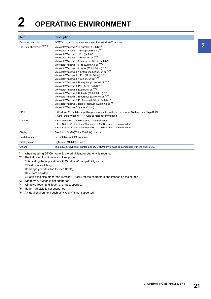# <span id="page-22-0"></span>**2 OPERATING ENVIRONMENT**

| <b>Item</b>                | <b>Description</b>                                                                                                                                                                                                                                                                                                                                                                                                                                                                                                                                                                                                                                                                                                                                                                                                                                                                                                                                                                                                                                                        |
|----------------------------|---------------------------------------------------------------------------------------------------------------------------------------------------------------------------------------------------------------------------------------------------------------------------------------------------------------------------------------------------------------------------------------------------------------------------------------------------------------------------------------------------------------------------------------------------------------------------------------------------------------------------------------------------------------------------------------------------------------------------------------------------------------------------------------------------------------------------------------------------------------------------------------------------------------------------------------------------------------------------------------------------------------------------------------------------------------------------|
| Personal computer          | PC/AT compatible personal computer that Windows® runs on                                                                                                                                                                                                                                                                                                                                                                                                                                                                                                                                                                                                                                                                                                                                                                                                                                                                                                                                                                                                                  |
| OS (English version)*1*2*6 | Microsoft Windows 11 Education (64 bit) <sup>*4*5</sup><br>Microsoft Windows 11 Enterprise (64 bit) <sup>*4*5</sup><br>Microsoft Windows 11 Pro (64 bit)*4*5<br>Microsoft Windows 11 Home (64 bit)*4*5<br>Microsoft Windows 10 Enterprise (32 bit, 64 bit) <sup>*4*5</sup><br>Microsoft Windows 10 Pro (32 bit, 64 bit) <sup>*4*5</sup><br>Microsoft Windows 10 Home (32 bit, 64 bit) <sup>*4*5</sup><br>Microsoft Windows 8.1 Enterprise (32 bit, 64 bit) <sup>*4*5</sup><br>Microsoft Windows 8.1 Pro (32 bit, 64 bit) <sup>*4*5</sup><br>Microsoft Windows 8.1 (32 bit, 64 bit) <sup>*4*5</sup><br>Microsoft Windows 8 Enterprise (32 bit, 64 bit) <sup>*4*5</sup><br>Microsoft Windows 8 Pro (32 bit, 64 bit) <sup>*4*5</sup><br>Microsoft Windows 8 (32 bit, 64 bit)*4*5<br>Microsoft Windows 7 Ultimate (32 bit, 64 bit) <sup>*3*4</sup><br>Microsoft Windows 7 Enterprise (32 bit, 64 bit)*3*4<br>Microsoft Windows 7 Professional (32 bit, 64 bit)*3*4<br>Microsoft Windows 7 Home Premium (32 bit, 64 bit) <sup>*4</sup><br>Microsoft Windows 7 Starter (32 bit) |
| CPU                        | . Windows 11: 64 bit-compatible processor with dual-core or more or System on a Chip (SoC)<br>• Other than Windows 11: 1 GHz or more recommended                                                                                                                                                                                                                                                                                                                                                                                                                                                                                                                                                                                                                                                                                                                                                                                                                                                                                                                          |
| Memory                     | • For Windows 11: 4 GB or more recommended<br>• For 64-bit OS other than Windows 11: 2 GB or more recommended<br>• For 32-bit OS other than Windows 11: 1 GB or more recommended                                                                                                                                                                                                                                                                                                                                                                                                                                                                                                                                                                                                                                                                                                                                                                                                                                                                                          |
| Display                    | Resolution SVGA(800 × 600 dots) or more                                                                                                                                                                                                                                                                                                                                                                                                                                                                                                                                                                                                                                                                                                                                                                                                                                                                                                                                                                                                                                   |
| Hard disk space            | For installation: 20MB or more                                                                                                                                                                                                                                                                                                                                                                                                                                                                                                                                                                                                                                                                                                                                                                                                                                                                                                                                                                                                                                            |
| Display color              | High Color (16 bits) or more                                                                                                                                                                                                                                                                                                                                                                                                                                                                                                                                                                                                                                                                                                                                                                                                                                                                                                                                                                                                                                              |
| <b>Others</b>              | The mouse, keyboard, printer, and DVD-ROM drive must be compatible with the above OS.                                                                                                                                                                                                                                                                                                                                                                                                                                                                                                                                                                                                                                                                                                                                                                                                                                                                                                                                                                                     |

<span id="page-22-2"></span>\*1 When installing GT Converter2, the administrator authority is required.

<span id="page-22-1"></span>\*2 The following functions are not supported.

- $\diamondsuit$  Activating the application with Windows® compatibility mode
- $\diamond$ Fast user switching
- $\Diamond$ Change your desktop themes (fonts)
- $\diamond$ Remote desktop
- $\Diamond$ Setting the size other than [Smaller 100%] for the characters and images on the screen
- <span id="page-22-6"></span>\*3 Windows XP Mode is not supported.
- <span id="page-22-4"></span>\*4 Windows Touch and Touch are not supported.
- <span id="page-22-5"></span>\*5 Modern UI style is not supported.
- <span id="page-22-3"></span>\*6 A virtual environment such as Hyper-V is not supported.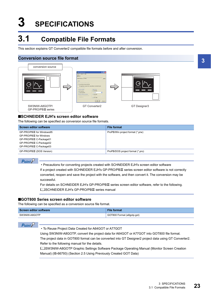# <span id="page-24-0"></span>**3 SPECIFICATIONS**

# <span id="page-24-2"></span><span id="page-24-1"></span>**3.1 Compatible File Formats**

This section explains GT Converter2 compatible file formats before and after conversion.

### **Conversion source file format**



#### ■**SCHNEIDER EJH's screen editor software**

The following can be specified as conversion source file formats.

| <b>Screen editor software</b> | <b>File format</b>               |
|-------------------------------|----------------------------------|
| GP-PRO/PBIII for Windows95    | ProPB/Win project format (*.prw) |
| GP-PRO/PBIII for Windows      |                                  |
| GP-PRO/PBIII C-Package01      |                                  |
| GP-PRO/PBIII C-Package02      |                                  |
| GP-PRO/PBIII C-Package03      |                                  |
| GP-PRO/PBIII (DOS Version)    | ProPB/DOS project format (*.pro) |

 $Point$ 

• Precautions for converting projects created with SCHNEIDER EJH's screen editor software

If a project created with SCHNEIDER EJH's GP-PRO/PBII series screen editor software is not correctly converted, reopen and save the project with the software, and then convert it. The conversion may be successful.

For details on SCHNEIDER EJH's GP-PRO/PBIII series screen editor software, refer to the following. **LUSCHNEIDER EJH's GP-PRO/PBIII series manual** 

#### ■**GOT800 Series screen editor software**

The following can be specified as a conversion source file format.

| <b>Screen editor software</b> | <b>File format</b>         |
|-------------------------------|----------------------------|
| SW3NIW-A8GOTP                 | GOT800 Format (a8gotp.got) |



• To Reuse Project Data Created for A64GOT or A77GOT

Using SW3NIW-A8GOTP, convert the project data for A64GOT or A77GOT into GOT800 file format.

The project data in GOT800 format can be converted into GT Designer2 project data using GT Converter2. Refer to the following manual for the details.

SW3NIW-A8GOTP Graphic Settings Software Package Operating Manual (Monitor Screen Creation Manual) (IB-66793) (Section 2.5 Using Previously Created GOT Data)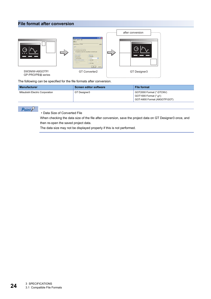### **File format after conversion**



The following can be specified for the file formats after conversion.

| Manufacturer                    | <b>Screen editor software</b> | <b>File format</b>                                                                |
|---------------------------------|-------------------------------|-----------------------------------------------------------------------------------|
| Mitsubishi Electric Corporation | GT Designer3                  | GOT2000 Format (*.GTCNV)<br>GOT1000 Format (*.g1)<br>GOT-A900 Format (A9GOTP.GOT) |

### $Point  $\rho$$

• Data Size of Converted File

When checking the data size of the file after conversion, save the project data on GT Designer3 once, and then re-open the saved project data.

The data size may not be displayed properly if this is not performed.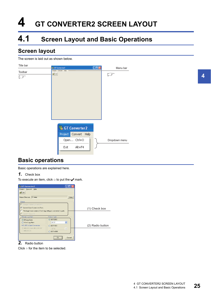# <span id="page-26-0"></span>**4 GT CONVERTER2 SCREEN LAYOUT**

# <span id="page-26-1"></span>**4.1 Screen Layout and Basic Operations**

### <span id="page-26-2"></span>**Screen layout**

#### The screen is laid out as shown below.



### <span id="page-26-3"></span>**Basic operations**

Basic operations are explained here.

*1.* Check box

To execute an item, click  $\Box$  to put the  $\blacktriangledown$  mark.



### *2.* Radio button

Click ○ for the item to be selected.

**4**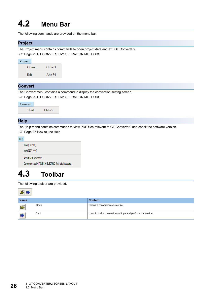# <span id="page-27-0"></span>**4.2 Menu Bar**

The following commands are provided on the menu bar.

### **Project**

The Project menu contains commands to open project data and exit GT Converter2. **Fage 29 GT CONVERTER2 OPERATION METHODS** 

| Project |      |            |
|---------|------|------------|
|         | Open | $Ctrl + O$ |
|         | Exit | $Alt + F4$ |

### **Convert**

The Convert menu contains a command to display the conversion setting screen.

**F** [Page 29 GT CONVERTER2 OPERATION METHODS](#page-30-2)

| Convert      |            |
|--------------|------------|
| <b>Start</b> | $Ctrl + S$ |

### **Help**

The Help menu contains commands to view PDF files relevant to GT Converter2 and check the software version.

[Page 27 How to use Help](#page-28-0)

| Help |                                                     |
|------|-----------------------------------------------------|
|      | Index(GOT900)                                       |
|      | Index(GOT1000)                                      |
|      | About GT Converter2                                 |
|      | Connection to MITSUBISHI ELECTRIC FA Global Website |

## <span id="page-27-1"></span>**4.3 Toolbar**

The following toolbar are provided.

| $ \vec{r} $ ) |       |                                                          |
|---------------|-------|----------------------------------------------------------|
| <b>Name</b>   |       | <b>Content</b>                                           |
| $\mathbf{E}$  | Open  | Opens a conversion source file.                          |
|               | Start | Used to make conversion settings and perform conversion. |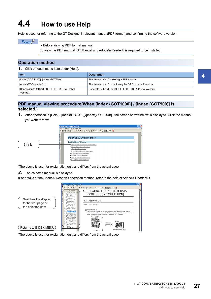# <span id="page-28-0"></span>**4.4 How to use Help**

Help is used for referring to the GT Designer3-relevant manual (PDF format) and confirming the software version.

### $Point$

• Before viewing PDF format manual

To view the PDF manual, GT Manual and Adobe® Reader® is required to be installed.

### **Operation method**

*1.* Click on each menu item under [Help].

| <b>Item</b>                                             | <b>Description</b>                                          |  |
|---------------------------------------------------------|-------------------------------------------------------------|--|
| [Index (GOT 1000)], [Index (GOT900)]                    | This item is used for viewing a PDF manual.                 |  |
| [About GT Converter2]                                   | This item is used for confirming the GT Converter2 version. |  |
| [Connection to MITSUBISHI ELECTRIC FA Global<br>Website | Connects to the MITSUBISHI ELECTRIC FA Global Website.      |  |

### **PDF manual viewing procedure(When [Index (GOT1000)] / [Index (GOT900)] is selected.)**

*1.* After operation in [Help] - [Index(GOT900)]/[Index(GOT1000)] , the screen shown below is displayed. Click the manual you want to view.



\*The above is user for explanation only and differs from the actual page.

*2.* The selected manual is displayed.

(For details of the Adobe® Reader® operation method, refer to the help of Adobe® Reader®.)



\*The above is user for explanation only and differs from the actual page.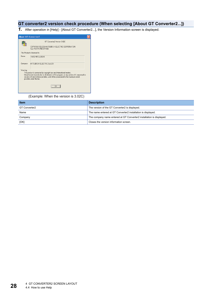### **GT converter2 version check procedure (When selecting [About GT Converter2...])**

*1.* After operation in [Help] - [About GT Converter2...], the Version Information screen is displayed.



(Example: When the version is 3.02C)

| <b>Item</b><br><b>Description</b> |                                                                      |
|-----------------------------------|----------------------------------------------------------------------|
| GT Converter2                     | The version of the GT Converter2 is displayed.                       |
| Name                              | The name entered at GT Converter2 installation is displayed.         |
| Company                           | The company name entered at GT Converter2 installation is displayed. |
| [OK]                              | Closes the version information screen.                               |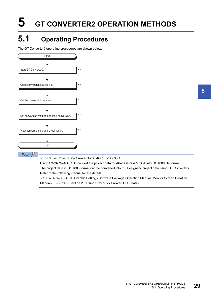# <span id="page-30-2"></span><span id="page-30-0"></span>**5 GT CONVERTER2 OPERATION METHODS**

# <span id="page-30-1"></span>**5.1 Operating Procedures**

The GT Converter2 operating procedures are shown below.



• To Reuse Project Data Created for A64GOT or A77GOT

Using SW3NIW-A8GOTP, convert the project data for A64GOT or A77GOT into GOT800 file format. The project data in GOT800 format can be converted into GT Designer2 project data using GT Converter2. Refer to the following manual for the details.

SW3NIW-A8GOTP Graphic Settings Software Package Operating Manual (Monitor Screen Creation Manual) (IB-66793) (Section 2.5 Using Previously Created GOT Data)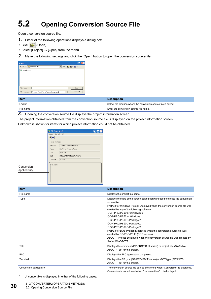# <span id="page-31-2"></span><span id="page-31-0"></span>**5.2 Opening Conversion Source File**

Open a conversion source file.

- *1.* Either of the following operations displays a dialog box.
- Click **[B** (Open).
- Select  $\overline{[\mathsf{Project}]} \rightarrow [\mathsf{Open}]$  from the menu.
- *2.* Make the following settings and click the [Open] button to open the conversion source file.

| Open                |                                        |  |  |         |
|---------------------|----------------------------------------|--|--|---------|
| Look in: ProjectDat |                                        |  |  | ▾◒▣6◈▥▾ |
| a8gotp.got          |                                        |  |  |         |
| File name:          |                                        |  |  | $Q$ pen |
| Files of type:      | Project Files (".prw;".pro;a8gotp.got) |  |  | Cancel  |

| <b>Item</b> | <b>Description</b>                                             |
|-------------|----------------------------------------------------------------|
| Lock in     | Select the location where the conversion source file is saved. |
| File name   | Enter the conversion source file name.                         |

*3.* Opening the conversion source file displays the project information screen.

The project information obtained from the conversion source file is displayed on the project information screen.

Unknown is shown for items for which project information could not be obtained.

| <b>GT</b> Converter 2<br>Project Convert Help |                             |  |
|-----------------------------------------------|-----------------------------|--|
| FB                                            |                             |  |
| Project Infomation                            |                             |  |
| Filename:                                     | C:\ProjectDat\Main-Line.prw |  |
| Type:                                         | ProPB3 for Windows Project  |  |
| Title:                                        | Main-Line                   |  |
| PLC                                           | MITSUBISHI MELSEC-QnA (CPU) |  |
| Terminal:                                     | GP-2400                     |  |
| Convertible                                   |                             |  |
|                                               |                             |  |
|                                               |                             |  |
|                                               |                             |  |

Conversion applicability

| <b>Item</b>              | <b>Description</b>                                                                                                                                                                                                                                                                                                                                                                                                                                                                                                                                                                        |
|--------------------------|-------------------------------------------------------------------------------------------------------------------------------------------------------------------------------------------------------------------------------------------------------------------------------------------------------------------------------------------------------------------------------------------------------------------------------------------------------------------------------------------------------------------------------------------------------------------------------------------|
| File name                | Displays the project file name.                                                                                                                                                                                                                                                                                                                                                                                                                                                                                                                                                           |
| Type                     | Displays the type of the screen editing software used to create the conversion<br>source file.<br>ProPB3 for Windows Project: Displayed when the conversion source file was<br>created by any of the following software.<br>◇GP-PRO/PBⅢ for Windows95<br>◇GP-PRO/PBⅢ for Windows<br>◇GP-PRO/PBIII C-Package01<br>◇GP-PRO/PBIII C-Package02<br>◇GP-PRO/PBIII C-Package03<br>ProPB3 for DOS Project: Displayed when the conversion source file was<br>created by GP-PRO/PB III (DOS version).<br>A8GOTP Project: Displayed when the conversion source file was created by<br>SW3NIW-A8GOTP. |
| Title                    | Displays the comment (GP-PRO/PB III series) or project title (SW3NIW-<br>A8GOTP) set for the project.                                                                                                                                                                                                                                                                                                                                                                                                                                                                                     |
| <b>PLC</b>               | Displays the PLC type set for the project.                                                                                                                                                                                                                                                                                                                                                                                                                                                                                                                                                |
| Terminal                 | Displays the GP type (GP-PRO/PB III series) or GOT type (SW3NIW-<br>A8GOTP) set for the project.                                                                                                                                                                                                                                                                                                                                                                                                                                                                                          |
| Conversion applicability | The conversion source file can be converted when "Convertible" is displayed.<br>Conversion is not allowed when "Unconvertible" <sup>*1</sup> is displayed.                                                                                                                                                                                                                                                                                                                                                                                                                                |

<span id="page-31-1"></span>\*1 Unconvertible is displayed in either of the following cases: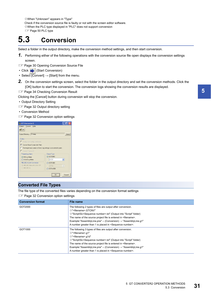$\diamond$ When "Unknown" appears in "Type" Check if the conversion source file is faulty or not with the screen editor software.  $\diamond$ When the PLC type displayed in "PLC" does not support conversion

### **FF** [Page 50 PLC type](#page-51-1)

# <span id="page-32-0"></span>**5.3 Conversion**

Select a folder in the output directory, make the conversion method settings, and then start conversion.

- *1.* Performing either of the following operations with the conversion source file open displays the conversion settings screen.
- **[Page 30 Opening Conversion Source File](#page-31-0)**
- Click (Start Conversion)
- Select  $[Convert] \rightarrow [Start]$  from the menu.
- *2.* On the conversion settings screen, select the folder in the output directory and set the conversion methods. Click the [OK] button to start the conversion. The conversion logs showing the conversion results are displayed.
- **[Page 34 Checking Conversion Result](#page-35-0)**

Clicking the [Cancel] button during conversion will stop the conversion.

- Output Directory Setting
- **[Page 32 Output directory setting](#page-33-0)**
- Conversion Method
- Fage 32 Conversion option settings



### **Converted File Types**

The file type of the converted files varies depending on the conversion format settings

**F** [Page 32 Conversion option settings](#page-33-1)

| <b>Conversion format</b> | File name                                                                                                                                                                                                                                                                                                                                                                                                                                                                                                         |
|--------------------------|-------------------------------------------------------------------------------------------------------------------------------------------------------------------------------------------------------------------------------------------------------------------------------------------------------------------------------------------------------------------------------------------------------------------------------------------------------------------------------------------------------------------|
| GOT2000                  | The following 2 types of files are output after conversion.<br>$\Diamond$ " <filename>.GTCNV"<br/><math>\Diamond</math>"Script\Sc<sequence number="">.txt" (Output into "Script" folder)<br/>The name of the source project file is entered in <filename>.</filename></sequence></filename>                                                                                                                                                                                                                       |
|                          | Example:"AssemblyLine.prw" -- (Conversion) → "AssemblyLine.g1"<br>A number greater than 1 is placed in <sequence number="">.</sequence>                                                                                                                                                                                                                                                                                                                                                                           |
| GOT1000                  | The following 3 types of files are output after conversion.<br>$\Diamond$ " <filename>.q1"<br/><math>\Diamond</math>"<filename>.g1d"<br/><math>\Diamond</math>"Script\Sc<sequence number="">.txt" (Output into "Script" folder)<br/>The name of the source project file is entered in <filename>.<br/>Example:"AssemblyLine.prw" -- (Conversion) <math>\rightarrow</math> "AssemblyLine.g1"<br/>A number greater than 1 is placed in <sequence number="">.</sequence></filename></sequence></filename></filename> |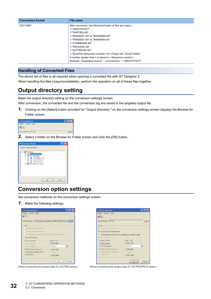| <b>Conversion format</b> | File name                                                                                |
|--------------------------|------------------------------------------------------------------------------------------|
| GOT-A900                 | After conversion, the following 8 types of files are output.                             |
|                          | ◇"A9GOTP.GOT"                                                                            |
|                          | $\Diamond$ "PARTS00.A9"                                                                  |
|                          | ◇"BAS00001.A9" to "BAS08999.A9"                                                          |
|                          | ◇"WIN00001.A9" to "WIN08999.A9"                                                          |
|                          | $\Diamond$ "COMMEN00.A9"                                                                 |
|                          | $\Diamond$ "PACKAGE.A9"                                                                  |
|                          | $\Diamond$ "GOTWAV00.A9"                                                                 |
|                          | $\Diamond$ "Script\Sc <sequence number="">.txt" (Output into "Script" folder)</sequence> |
|                          | A number greater than 1 is placed in <sequence number="">.</sequence>                    |
|                          | Example: "AssemblyLine.prw" -- (Conversion) → "A9GOTP.GOT"                               |

### **Handling of Converted Files**

The above set of files is all required when opening a converted file with GT Designer 2. When handling the files (copy/move/delete), perform the operation on all of these files together.

### <span id="page-33-0"></span>**Output directory setting**

Make the output directory setting on the conversion settings screen.

After conversion, the converted file and the conversion log are saved in the targeted output file.

*1.* Clicking on the [Select] button provided for "Output Directory:" on the conversion settings screen displays the Browse for Folder screen.

| <b>THE GT Converter 2</b> |        |
|---------------------------|--------|
| Project Convert Help      |        |
| $\tilde{\mathbf{r}}$      |        |
| Output Directory: C:\got  | Select |

*2.* Select a folder on the Browse for Folder screen and click the [OK] button.



### <span id="page-33-2"></span><span id="page-33-1"></span>**Conversion option settings**

Set conversion methods on the conversion settings screen.

*1.* Make the following settings.

| GT Converter2                                                       |                                                                           |
|---------------------------------------------------------------------|---------------------------------------------------------------------------|
| Project Convert Help<br>$\vec{z}$ $\Rightarrow$                     |                                                                           |
|                                                                     | Output Directory: E:\Documents and Settings\zf60840.MEIE0448\My Dc Select |
|                                                                     |                                                                           |
| <b>Option</b>                                                       |                                                                           |
| Change text background color.                                       |                                                                           |
| Convert Base Screen into Parts                                      |                                                                           |
| The target base screen of the L tag settings is converted to parts. |                                                                           |
| Convert Password.                                                   |                                                                           |
| Primary Log Alarm                                                   | <b>Output Type</b>                                                        |
| <b>Bit Log Alarm</b>                                                | ⊙ GOT2000                                                                 |
| ◯ Word Log Alarm                                                    | GT27<br>v                                                                 |
| MELSEC-A.OnA Conversion                                             | $\bigcirc$ GOT1000                                                        |
| MELSEC-QnA,MELDAS C6*                                               | GT16<br>$\checkmark$                                                      |
| ○ MELSEC-A                                                          | GOT-A900                                                                  |
|                                                                     |                                                                           |
|                                                                     | Cancel<br><b>DK</b>                                                       |
|                                                                     |                                                                           |

| GT Converter2                                                              |                     |
|----------------------------------------------------------------------------|---------------------|
| Project Convert Help                                                       |                     |
| التجتما                                                                    |                     |
| Dutput Directory: C:\temp                                                  | Select              |
| <b>Option:</b>                                                             |                     |
| Change text background color.                                              |                     |
| <b>V</b> Convert Base Screen into Parts                                    |                     |
| $\Box$ The target base screen of the L tag settings is converted to parts. |                     |
| Convert Password                                                           |                     |
| Primary Log Alarm                                                          | <b>Output Type:</b> |
| ⊙ Bit Log Alarm                                                            | <b>◎ GOT2000</b>    |
| ○ Word Log Alarm                                                           | v<br><b>GT27</b>    |
| MELSEC-A.OnA Conversion                                                    | COT1000             |
| MELSEC-QnA,MELDAS C6*                                                      | GT16<br>$\lor$      |
| O MELSEC-A                                                                 | GOT-A900            |
|                                                                            |                     |
|                                                                            | Cancel<br>ПK        |

(When converting the project data for GOT800 series.) (When converting the project data for GP-PRO/PB III series.)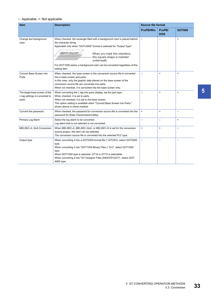### ○: Applicable, ×: Not applicable

| <b>Item</b>                                                               | <b>Description</b>                                                                                                                                                                                                                                                                                                                                                           | <b>Source file format</b> |                      |                |  |
|---------------------------------------------------------------------------|------------------------------------------------------------------------------------------------------------------------------------------------------------------------------------------------------------------------------------------------------------------------------------------------------------------------------------------------------------------------------|---------------------------|----------------------|----------------|--|
|                                                                           |                                                                                                                                                                                                                                                                                                                                                                              | <b>ProPB/Win</b>          | ProPB/<br><b>DOS</b> | <b>GOT800</b>  |  |
| Change text background<br>color                                           | When checked, the rectangle filled with a background color is placed behind<br>the character string.<br>Applicable only when "GOT-A900" format is selected for "Output Type".<br>Alarm buzzer<br>When you mark this checkbox,<br>this square shape is inserted<br>underneath.<br>For GOT1000 series, a background color can be converted regardless of this<br>setting item. | $\circ$                   | $\circ$              | $\pmb{\times}$ |  |
| Convert Base Screen into<br>Parts.                                        | When checked, the base screen in the conversion source file is converted<br>into a base screen and parts.<br>In this case, only the graphic data placed on the base screen of the<br>conversion source file are converted into parts.<br>When not checked, it is converted into the base screen only.                                                                        | $\circ$                   | $\pmb{\times}$       | $\pmb{\times}$ |  |
| The target base screen of the<br>L tag settings is converted to<br>parts. | When converting the L tag into parts display, set the part type.<br>When checked, it is set to parts.<br>When not checked, it is set to the base screen.<br>This option setting is available when "Convert Base Screen into Parts."<br>shown above is check-marked.                                                                                                          | $\circ$                   | $\pmb{\times}$       | $\pmb{\times}$ |  |
| Convert the password.                                                     | When checked, the password for conversion source file is converted into the<br>password for [Data Transmission/Utility].                                                                                                                                                                                                                                                     | $\pmb{\times}$            | $\pmb{\times}$       | $\circ$        |  |
| Primary Log Alarm                                                         | Select the log alarm to be converted.<br>Log alarm that is not selected is not converted.                                                                                                                                                                                                                                                                                    | $\circ$                   | $\circ$              | $\pmb{\times}$ |  |
| MELSEC-A, QnA Conversion                                                  | When MELSEC-A, MELSEC-QnA, or MELSEC-Q is set for the conversion<br>source project, this item can be selected.<br>The conversion source file is converted into the selected PLC type.                                                                                                                                                                                        | $\pmb{\times}$            | $\pmb{\times}$       | $\circ$        |  |
| Output type                                                               | When converting it into a GOT2000-format file (*.GTCNV), select GOT2000<br>type.<br>When converting it into "GOT1000 Binary Files (*.G1)", select GOT1000<br>type.<br>When GOT1000 type is selected, GT16 or GT15 is selectable.<br>When converting it into "GT Designer Files (A9GOTP.GOT)", select GOT-<br>A900 type.                                                      | $\circ$                   | $\circ$              | $\circ$        |  |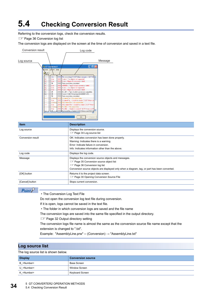# <span id="page-35-1"></span><span id="page-35-0"></span>**5.4 Checking Conversion Result**

Referring to the conversion logs, check the conversion results.

**F** [Page 36 Conversion log list](#page-37-0)

The conversion logs are displayed on the screen at the time of conversion and saved in a text file.

| <b>Conversion result</b> |                                                           |                                                                           |                              | Log code                                                                                                                                                                                                                                                                                                                                                                                                                                                    |         |
|--------------------------|-----------------------------------------------------------|---------------------------------------------------------------------------|------------------------------|-------------------------------------------------------------------------------------------------------------------------------------------------------------------------------------------------------------------------------------------------------------------------------------------------------------------------------------------------------------------------------------------------------------------------------------------------------------|---------|
| Log source               |                                                           |                                                                           |                              |                                                                                                                                                                                                                                                                                                                                                                                                                                                             | Message |
|                          |                                                           |                                                                           |                              |                                                                                                                                                                                                                                                                                                                                                                                                                                                             |         |
|                          | <b>The GT Converter 2</b>                                 |                                                                           |                              | I . 10                                                                                                                                                                                                                                                                                                                                                                                                                                                      |         |
|                          | Project                                                   | Convert Help                                                              |                              |                                                                                                                                                                                                                                                                                                                                                                                                                                                             |         |
|                          |                                                           |                                                                           |                              |                                                                                                                                                                                                                                                                                                                                                                                                                                                             |         |
|                          | <br>в.<br>IB_1<br>B_1<br>B.<br>B_1<br>$B_1$ 1<br>B 1<br>. | Info<br>Error<br>Error<br>0K<br>Error<br>Error<br>Error<br>ПK<br>ΠK<br>ΩK | 3001<br>3001                 | 1000 File converting (C:\GOT\Main-Line.prw -> GOT100 A<br>Scale > The objects not supported.<br>3003 Scale > Figure (1) conversion failed<br>2008 Data conversion completed.<br>3005 w00000 > Tag (D-Script) conversion failed.<br>Scale > The objects not supported.<br>3003 Scale > Figure [1] conversion failed.<br>3006 BS 001 -> Parts (Switch) conversion completed.<br>2000 Create C:\GOT\Main-Line\BAS00001.A10.<br>2008 Data conversion completed. |         |
|                          | .<br>.<br><br><br>.<br>m                                  | Warning<br>Error<br>Warning<br>Error<br>Warning<br>Error<br>nĸ            | 2010<br>2001<br>2001<br>2001 | CommentFile -> No output data.<br>CommentFile >> Unable to create CNGOTNMain-Lin<br>2010 ExCommentFile > No output data.<br>ExCommentFile > Unable to create C:\GOT\Main-L<br>2010 PartsFile -> No output data.<br>PartsFile > Unable to create C:\GOT\Main-Line\PA<br>2000 Dank anaFile > Create C-\GOT\MainJ ine\PACKAQ<br><b>OK</b><br>Cancel                                                                                                            |         |

| <b>Item</b>       | <b>Description</b>                                                                                                                                                                                                                                |  |
|-------------------|---------------------------------------------------------------------------------------------------------------------------------------------------------------------------------------------------------------------------------------------------|--|
| Log source        | Displays the conversion source.<br><b>Example 34 Log source list</b>                                                                                                                                                                              |  |
| Conversion result | OK: Indicates conversion has been done properly.<br>Warning: Indicates there is a warning.<br>Error: Indicate failure in conversion.<br>Info: Indicates information other than the above.                                                         |  |
| Log code          | Displays the log code.                                                                                                                                                                                                                            |  |
| Message           | Displays the conversion source objects and messages.<br><b>Example 25 Conversion source object list</b><br><b>Example 26 Conversion log list</b><br>Conversion source objects are displayed only when a diagram, tag, or part has been converted. |  |
| [OK] button       | Returns it to the project data screen.<br><b>Example 20 Opening Conversion Source File</b>                                                                                                                                                        |  |
| [Cancel] button   | Stops current conversion.                                                                                                                                                                                                                         |  |

### $Point<sup>0</sup>$

• The Conversion Log Text File

Do not open the conversion log text file during conversion.

If it is open, logs cannot be saved in the text file.

• The folder in which conversion logs are saved and the file name

The conversion logs are saved into the same file specified in the output directory.

**[Page 32 Output directory setting](#page-33-0)** 

The conversion logs file name is almost the same as the conversion source file name except that the extension is changed to ".txt".

Example: "AssemblyLine.prw" -- (Conversion) → "AssemblyLine.txt"

### <span id="page-35-2"></span>**Log source list**

The log source list is shown below.

| <b>Display</b>      | <b>Conversion source</b> |
|---------------------|--------------------------|
| B <number></number> | Base Screen              |
| U <number></number> | Window Screen            |
| K <number></number> | Keyboard Screen          |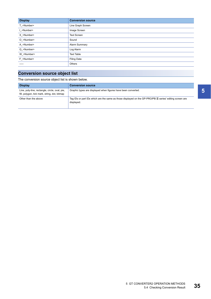| <b>Display</b>       | <b>Conversion source</b> |
|----------------------|--------------------------|
| T_ <number></number> | Line Graph Screen        |
| I <number></number>  | Image Screen             |
| X_ <number></number> | <b>Text Screen</b>       |
| O_ <number></number> | Sound                    |
| A_ <number></number> | Alarm Summary            |
| Q_ <number></number> | Log Alarm                |
| W_ <number></number> | <b>Text Table</b>        |
| F <number></number>  | <b>Filing Data</b>       |
| -----                | <b>Others</b>            |

### <span id="page-36-0"></span>**Conversion source object list**

The conversion source object list is shown below.

| <b>Display</b>                                                                                  | <b>Conversion source</b>                                                                                                        |
|-------------------------------------------------------------------------------------------------|---------------------------------------------------------------------------------------------------------------------------------|
| Line, poly-line, rectangle, circle, oval, pie,<br>fill, polygon, tick mark, string, dot, bitmap | Graphic types are displayed when figures have been converted.                                                                   |
| Other than the above                                                                            | Tag IDs or part IDs which are the same as those displayed on the GP-PRO/PB $\mathbb I$ series' editing screen are<br>displayed. |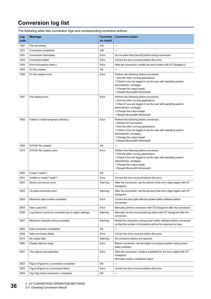## <span id="page-37-0"></span>**Conversion log list**

The following table lists conversion logs and corresponding corrective actions.

| Log<br>code | <b>Message</b>                                         | <b>Conversi</b><br>on result | <b>Corrective action</b>                                                                                                                                                                                                                                                                                |
|-------------|--------------------------------------------------------|------------------------------|---------------------------------------------------------------------------------------------------------------------------------------------------------------------------------------------------------------------------------------------------------------------------------------------------------|
| 1000        | File converting.                                       | Info                         | $---$                                                                                                                                                                                                                                                                                                   |
| 1001        | Conversion completed.                                  | Info                         | ---                                                                                                                                                                                                                                                                                                     |
| 1002        | Conversion Interrupted.                                | Error                        | Do not press the [Cancel] button during conversion.                                                                                                                                                                                                                                                     |
| 1003        | Conversion failed.                                     | Error                        | Correct the error occurred before this error.                                                                                                                                                                                                                                                           |
| 1004        | Error( <exception code="">).</exception>               | Error                        | After the conversion, modify the error screen with GT Designer 2.                                                                                                                                                                                                                                       |
| 1005        | G1 file created.                                       | OK                           |                                                                                                                                                                                                                                                                                                         |
| 1006        | G1 file creation error.                                | Error                        | Perform the following before conversion.<br>$\diamondsuit$ Exit the other running applications.<br>$\diamond$ Check if you are logged in as the user with operating system<br>administrator privileges.<br>$\Diamond$ Change the output target.<br>◇Restart Microsoft® Windows®.                        |
| 1007        | File reading error.                                    | Error                        | Perform the following before conversion.<br>$\Diamond$ Exit the other running applications.<br>$\Diamond$ Check if you are logged in as the user with operating system<br>administrator privileges.<br>$\Diamond$ Change the output target.<br>◇Restart Microsoft® Windows®.                            |
| 1008        | Failed to create temporary directory.                  | Error                        | Perform the following before conversion.<br>◇Restart GT Converter2.<br>$\Diamond$ Exit the other running applications.<br>$\diamond$ Check if you are logged in as the user with operating system<br>administrator privileges.<br>$\Diamond$ Change the output target.<br>◇Restart Microsoft® Windows®. |
| 1009        | GTCNV file created.                                    | OK                           |                                                                                                                                                                                                                                                                                                         |
| 1010        | GTCNV file creation error.                             | Error                        | Perform the following before conversion.<br>$\diamondsuit$ Exit the other running applications.<br>$\Diamond$ Check if you are logged in as the user with operating system<br>administrator privileges.<br>$\Diamond$ Change the output target.<br>◇Restart Microsoft® Windows®.                        |
| 2000        | Create " <path>".</path>                               | OK                           |                                                                                                                                                                                                                                                                                                         |
| 2001        | Unable to create " <path>".</path>                     | Error                        | Correct the error occurred before this error.                                                                                                                                                                                                                                                           |
| 2002        | Device conversion error.                               | Warning                      | After the conversion, set the device of the error object again with GT<br>Designer3.                                                                                                                                                                                                                    |
| 2003        | LS Area conversion error.                              | Warning                      | After the conversion, set the device of the error object again with GT<br>Designer3.                                                                                                                                                                                                                    |
| 2004        | Maximum data number exceeded.                          | Error                        | Correct the error data with the screen editor software before<br>conversion.                                                                                                                                                                                                                            |
| 2005        | Data code error.                                       | Error                        | Manually perform conversion with GT Designer3 after the conversion.                                                                                                                                                                                                                                     |
| 2006        | Log Alarms cannot be converted due to option settings. | Warning                      | Manually set the unconverted log alarm with GT Designer3 after the<br>conversion.                                                                                                                                                                                                                       |
| 2007        | Maximum character string exceeded.                     | Warning                      | Modify the characters using screen editor software before conversion<br>so that the number of characters will be the maximum or less.                                                                                                                                                                   |
| 2008        | Data conversion completed.                             | OK                           |                                                                                                                                                                                                                                                                                                         |
| 2009        | Data conversion failed.                                | Error                        | Correct the error occurred before this error.                                                                                                                                                                                                                                                           |
| 2010        | No output data.                                        | Warning                      | No corrective actions are required.                                                                                                                                                                                                                                                                     |
| 3000        | Display data too large.                                | Error                        | Before conversion, set the object in a proper position using screen<br>editor software.                                                                                                                                                                                                                 |
| 3001        | The objects not supported.                             | Error                        | After the conversion, create a substitute for the error object with GT<br>Designer3.<br>Manually create a substitute object.                                                                                                                                                                            |
| 3002        | Figure (Figure no.) conversion completed.              | ОK                           |                                                                                                                                                                                                                                                                                                         |
| 3003        | Figure (Figure no.) conversion failed.                 | Error                        | Correct the error occurred before this error.                                                                                                                                                                                                                                                           |
| 3004        | Tag (Tag name) conversion completed.                   | OK                           | ---                                                                                                                                                                                                                                                                                                     |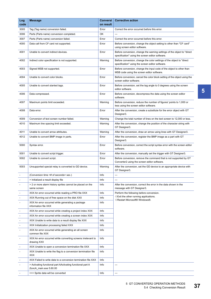| Log<br>code              | <b>Message</b>                                                                        | <b>Conversi</b><br>on result | <b>Corrective action</b>                                                                                                     |
|--------------------------|---------------------------------------------------------------------------------------|------------------------------|------------------------------------------------------------------------------------------------------------------------------|
| 3005                     | Tag (Tag name) conversion failed.                                                     | Error                        | Correct the error occurred before this error.                                                                                |
| 3006                     | Parts (Parts name) conversion completed.                                              | OK                           | $\overline{a}$                                                                                                               |
| 3007                     | Parts (Parts name) conversion failed.                                                 | Error                        | Correct the error occurred before this error.                                                                                |
| 4000                     | Data call from CF card not supported.                                                 | Error                        | Before conversion, change the object setting to other than "CF card"<br>using screen editor software.                        |
| 4001                     | Unable to convert indirect devices.                                                   | Error                        | Before conversion, change the warning settings of the object to "direct"<br>specification" using the screen editor software. |
| 4002                     | Indirect color specification is not supported.                                        | Warning                      | Before conversion, change the color settings of the object to "direct<br>specification" using the screen editor software.    |
| 4003                     | Signed MSB not supported.                                                             | Error                        | Before conversion, change the input code of the object to other than<br>MSB code using the screen editor software.           |
| 4004                     | Unable to convert color blocks.                                                       | Error                        | Before conversion, cancel the color block setting of the object using the<br>screen editor software.                         |
| 4005                     | Unable to convert slanted tags.                                                       | Error                        | Before conversion, set the tag angle to 0 degrees using the screen<br>editor software.                                       |
| 4006                     | Data compressed.                                                                      | Error                        | Before conversion, decompress the data using the screen editor<br>software.                                                  |
| 4007                     | Maximum points limit exceeded.                                                        | Warning                      | Before conversion, reduce the number of figures' points to 1,000 or<br>less using the screen editor software.                |
| 4008                     | Data error.                                                                           | Error                        | After the conversion, create a substitute for the error object with GT<br>Designer3.                                         |
| 4009                     | Conversion of text screen number failed.                                              | Warning                      | Change the total number of lines on the text screen to 12,000 or less.                                                       |
| 4010                     | Maximum line spacing limit exceeded.                                                  | Warning                      | After the conversion, change the position of the character string with<br>GT Designer3.                                      |
| 4011                     | Unable to convert arrow attributes.                                                   | Warning                      | After the conversion, draw an arrow using lines with GT Designer3.                                                           |
| 4012                     | Unable to convert BMP image in parts.                                                 | Error                        | After the conversion, register the BMP image as a part with GT<br>Designer3.                                                 |
| 5000                     | Syntax error.                                                                         | Error                        | Before conversion, correct the script syntax error with the screen editor<br>software.                                       |
| 5001                     | Unable to convert script trigger.                                                     | Error                        | After the conversion, manually set the trigger with GT Designer3.                                                            |
| 5002                     | Unable to convert script.                                                             | Error                        | Before conversion, remove the command that is not supported by GT<br>Converter2 using the screen editor software.            |
| 5003                     | Unsupported special relay is converted to GD device.                                  | Warning                      | After the conversion, set the GD device to an appropriate device with<br>GT Designer3.                                       |
|                          | (Conversion time <# of seconds> sec.)                                                 | Info                         | ---                                                                                                                          |
|                          | > Initialized a result display file                                                   | Info                         | ---                                                                                                                          |
|                          | > 2 or more alarm history sprites cannot be placed on the<br>same screen              | Info                         | After the conversion, correct the error in the data shown in the<br>message with GT Designer3.                               |
| $\overline{\phantom{a}}$ | XXX An error occurred while reading a PRO file XXX                                    | Info                         | Perform the following before conversion.                                                                                     |
|                          | XXX Running out of free space on the disk XXX                                         | Info                         | $\diamondsuit$ Exit the other running applications.<br>◇Restart Microsoft® Windows®.                                         |
|                          | XXX An error occurred while generating a package<br>information file XXX              | Info                         |                                                                                                                              |
|                          | XXX An error occurred while creating a project index XXX                              | Info                         |                                                                                                                              |
|                          | XXX An error occurred while creating a screen index XXX                               | Info                         |                                                                                                                              |
|                          | XXX Unable to write data to a result display file XXX                                 | Info                         |                                                                                                                              |
|                          | XXX Initialization processing failed XXX                                              | Info                         |                                                                                                                              |
|                          | XXX An error occurred while generating an all screen<br>common file XXX               | Info                         |                                                                                                                              |
|                          | XXX An error occurred while converting screens irrelevant to<br>drawing XXX           | Info                         |                                                                                                                              |
|                          | XXX Unable to open a conversion termination file XXX                                  | Info                         |                                                                                                                              |
|                          | XXX Unable to write the flag to a conversion termination file<br><b>XXX</b>           | Info                         |                                                                                                                              |
|                          | XXX Failed to write data to a conversion termination file XXX                         | Info                         |                                                                                                                              |
|                          | > Activating functional part AActivating functional part A<br>(funcA_main.exe 5.60.00 | Info                         | ---                                                                                                                          |
|                          | === Sprite data will be converted                                                     | Info                         |                                                                                                                              |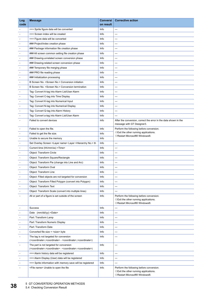| Log<br>code              | <b>Message</b>                                                                                                                                          | <b>Conversi</b><br>on result | <b>Corrective action</b>                                                                                                     |
|--------------------------|---------------------------------------------------------------------------------------------------------------------------------------------------------|------------------------------|------------------------------------------------------------------------------------------------------------------------------|
|                          | === Sprite figure data will be converted                                                                                                                | Info                         | $---$                                                                                                                        |
|                          | === Screen index will be created                                                                                                                        | Info                         | ---                                                                                                                          |
|                          | === Figure data will be converted                                                                                                                       | Info                         | $\overline{a}$                                                                                                               |
| $\overline{\phantom{a}}$ | ### Project/index creation phase                                                                                                                        | Info                         | ---                                                                                                                          |
| $\overline{\phantom{a}}$ | ### Package information file creation phase                                                                                                             | Info                         | $\overline{a}$                                                                                                               |
|                          | ### All screen common setting file creation phase                                                                                                       | Info                         | ---                                                                                                                          |
|                          | ### Drawing-unrelated screen conversion phase                                                                                                           | Info                         | ---                                                                                                                          |
| $\overline{\phantom{a}}$ | ### Drawing-related screen conversion phase                                                                                                             | Info                         | ---                                                                                                                          |
| $\overline{\phantom{a}}$ | ### Temporary file merging phase                                                                                                                        | Info                         | $---$                                                                                                                        |
|                          | ### PRO file reading phase                                                                                                                              | Info                         | ---                                                                                                                          |
|                          | ### Initialization processing                                                                                                                           | Info                         | $\overline{a}$                                                                                                               |
| $\overline{\phantom{a}}$ | B Screen No. < Screen No.> Conversion initiation                                                                                                        | Info                         | ---                                                                                                                          |
| $\overline{\phantom{a}}$ | B Screen No. < Screen No.> Conversion termination                                                                                                       | Info                         | ---                                                                                                                          |
|                          | Tag: Convert A-tag into Alarm List/User Alarm                                                                                                           | Info                         | ---                                                                                                                          |
|                          | Tag: Convert C-tag into Time Display                                                                                                                    | Info                         | ---                                                                                                                          |
|                          | Tag: Convert K-tag into Numerical Input                                                                                                                 | Info                         | ---                                                                                                                          |
|                          | Tag: Convert N-tag into Numerical Display                                                                                                               | Info                         | $\overline{a}$                                                                                                               |
|                          | Tag: Convert Q-tag into Alarm History                                                                                                                   | Info                         | ---                                                                                                                          |
|                          | Tag: Convert a-tag into Alarm List/User Alarm                                                                                                           | Info                         | ---                                                                                                                          |
|                          | Failed to convert devices                                                                                                                               | Info                         | After the conversion, correct the error in the data shown in the<br>message with GT Designer3.                               |
|                          | Failed to open the file.                                                                                                                                | Info                         | Perform the following before conversion.                                                                                     |
|                          | Failed to get the file size.                                                                                                                            | Info                         | $\diamondsuit$ Exit the other running applications.<br>◇Restart Microsoft® Windows®.                                         |
|                          | Unable to secure the memory                                                                                                                             | Info                         |                                                                                                                              |
|                          | Set Overlay Screen <layer name=""> Layer <hierarchy no.=""> th</hierarchy></layer>                                                                      | Info                         | ---                                                                                                                          |
|                          | Current time (hh/mm/ss) <time></time>                                                                                                                   | Info                         | ---                                                                                                                          |
|                          | Object: Transform Circle                                                                                                                                | Info                         | ---                                                                                                                          |
|                          | Object: Transform Square/Rectangle                                                                                                                      | Info                         | ---                                                                                                                          |
|                          | Object: Transform Pie (change into Line and Arc)                                                                                                        | Info                         | ---                                                                                                                          |
|                          | Object: Transform Oval                                                                                                                                  | Info                         | ---                                                                                                                          |
|                          | Object: Transform Line                                                                                                                                  | Info                         | ---                                                                                                                          |
|                          | Object: Filled objects are not targeted for conversion                                                                                                  | Info                         |                                                                                                                              |
|                          | Object: Transform Filled Polygon (convert into Polygon)                                                                                                 | Info                         | ---                                                                                                                          |
|                          | Object: Transform Text                                                                                                                                  | Info                         | ---                                                                                                                          |
|                          | Object: Transform Scale (convert into multiple lines)                                                                                                   | Info                         | ---                                                                                                                          |
|                          | All or part of a figure is set outside of the screen                                                                                                    | Info                         | Perform the following before conversion.<br>$\Diamond$ Exit the other running applications.<br>◇Restart Microsoft® Windows®. |
|                          | <b>Success</b>                                                                                                                                          | Info                         | ---                                                                                                                          |
|                          | Date (mm/dd/yy) <date></date>                                                                                                                           | Info                         | ---                                                                                                                          |
|                          | Part: Transform Lamp                                                                                                                                    | Info                         | ---                                                                                                                          |
|                          | Part: Transform Numeric Display                                                                                                                         | Info                         | ---                                                                                                                          |
|                          | Part: Transform Date                                                                                                                                    | Info                         | ---                                                                                                                          |
|                          | Converted file size = <size> byte</size>                                                                                                                | Info                         | ---                                                                                                                          |
|                          | The tag is not targeted for conversion<br>( <coordinate>,<coordinate> - <coordinate>,<coordinate>)</coordinate></coordinate></coordinate></coordinate>  | Info                         | ---                                                                                                                          |
|                          | The part is not targeted for conversion<br>( <coordinate>,<coordinate> - <coordinate>,<coordinate>)</coordinate></coordinate></coordinate></coordinate> | Info                         | ---                                                                                                                          |
|                          | === Alarm history data will be registered                                                                                                               | Info                         | ---                                                                                                                          |
|                          | === Alarm Display (User) data will be registered                                                                                                        | Info                         | ---                                                                                                                          |
|                          | === Sprite information with memory save will be registered                                                                                              | Info                         | ---                                                                                                                          |
|                          | <file name=""> Unable to open the file</file>                                                                                                           | Info                         | Perform the following before conversion.<br>$\Diamond$ Exit the other running applications.<br>◇Restart Microsoft® Windows®. |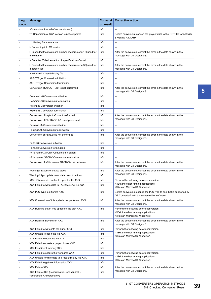| Log<br>code              | <b>Message</b>                                                                                                                    | <b>Conversi</b><br>on result | <b>Corrective action</b>                                                                                                     |
|--------------------------|-----------------------------------------------------------------------------------------------------------------------------------|------------------------------|------------------------------------------------------------------------------------------------------------------------------|
|                          | (Conversion time <# of seconds> sec.)                                                                                             | Info                         | ---                                                                                                                          |
|                          | *** Conversion of SW1 version is not supported                                                                                    | Info                         | Before conversion, convert the project data to the GOT800 format with<br>SW3NIW-A8GOTP.                                      |
|                          | *** Getting file information                                                                                                      | Info                         | ---                                                                                                                          |
|                          | > Converting into M0 device                                                                                                       | Info                         | ---                                                                                                                          |
|                          | > Exceeded the maximum number of characters (12) used for<br>a file name                                                          | Info                         | After the conversion, correct the error in the data shown in the<br>message with GT Designer3.                               |
|                          | > Detected Z device set for bit specification of word.                                                                            | Info                         | ---                                                                                                                          |
|                          | > Exceeded the maximum number of characters (32) used for<br>a screen title                                                       | Info                         | After the conversion, correct the error in the data shown in the<br>message with GT Designer3.                               |
|                          | > Initialized a result display file                                                                                               | Info                         | ---                                                                                                                          |
|                          | A8GOTP.got Conversion initiation                                                                                                  | Info                         | ---                                                                                                                          |
|                          | A8GOTP.got Conversion termination                                                                                                 | Info                         | ---                                                                                                                          |
|                          | Conversion of A8GOTP.got is not performed                                                                                         | Info                         | After the conversion, correct the error in the data shown in the<br>message with GT Designer3.                               |
|                          | Comment.a8 Conversion initiation                                                                                                  | Info                         | ---                                                                                                                          |
|                          | Comment.a8 Conversion termination                                                                                                 | Info                         | ---                                                                                                                          |
| $\overline{\phantom{a}}$ | Hqfont.a8 Conversion initiation                                                                                                   | Info                         | ---                                                                                                                          |
|                          | Hqfont.a8 Conversion termination                                                                                                  | Info                         | ---                                                                                                                          |
|                          | Conversion of Hqfont.a8 is not performed                                                                                          | Info                         | After the conversion, correct the error in the data shown in the                                                             |
| $\overline{\phantom{a}}$ | Conversion of PACKAGE.A8 is not performed                                                                                         | Info                         | message with GT Designer3.                                                                                                   |
| $\blacksquare$           | Package.a8 Conversion initiation                                                                                                  | Info                         | ---                                                                                                                          |
|                          | Package.a8 Conversion termination                                                                                                 | Info                         | ---                                                                                                                          |
|                          | Conversion of Parts.a8 is not performed                                                                                           | Info                         | After the conversion, correct the error in the data shown in the<br>message with GT Designer3.                               |
|                          | Parts.a8 Conversion initiation                                                                                                    | Info                         | ---                                                                                                                          |
|                          | Parts.a8 Conversion termination                                                                                                   | Info                         | ---                                                                                                                          |
|                          | <file name="">.GTCNV Conversion initiation</file>                                                                                 | Info                         | ---                                                                                                                          |
|                          | <file name="">.GTCNV Conversion termination</file>                                                                                | Info                         | ---                                                                                                                          |
|                          | Conversion of <file name="">.GTCNV is not performed</file>                                                                        | Info                         | After the conversion, correct the error in the data shown in the<br>message with GT Designer3.                               |
|                          | Warning!! Excess of device types                                                                                                  | Info                         | After the conversion, correct the error in the data shown in the                                                             |
|                          | Warning!! Appropriate color data cannot be found                                                                                  | Info                         | message with GT Designer3.                                                                                                   |
|                          | XXX <file name=""> Unable to open the file XXX</file>                                                                             | Info                         | Perform the following before conversion.                                                                                     |
|                          | XXX Failed to write data to PACKAGE.A9 file XXX                                                                                   | Info                         | $\diamondsuit$ Exit the other running applications.<br>◇Restart Microsoft® Windows®.                                         |
|                          | XXX PLC Type is different XXX                                                                                                     | Info                         | Before conversion, change the PLC type to one that is supported by<br>GT Converter2 with the screen editor software.         |
|                          | XXX Conversion of this sprite is not performed XXX                                                                                | Info                         | After the conversion, correct the error in the data shown in the<br>message with GT Designer3.                               |
|                          | XXX Running out of free space on the disk XXX                                                                                     | Info                         | Perform the following before conversion.<br>$\Diamond$ Exit the other running applications.<br>◇Restart Microsoft® Windows®. |
|                          | XXX Reaffirm Device No. XXX                                                                                                       | Info                         | After the conversion, correct the error in the data shown in the<br>message with GT Designer3.                               |
|                          | XXX Failed to write into the buffer XXX                                                                                           | Info                         | Perform the following before conversion.                                                                                     |
|                          | XXX Unable to open the file XXX                                                                                                   | Info                         | $\diamondsuit$ Exit the other running applications.                                                                          |
|                          | XXX Failed to open the file XXX                                                                                                   | Info                         | ◇Restart Microsoft® Windows®.                                                                                                |
|                          | XXX Failed to create a project index XXX                                                                                          | Info                         |                                                                                                                              |
|                          | XXX Insufficient memory XXX                                                                                                       | Info                         |                                                                                                                              |
|                          | XXX Failed to secure the work area XXX                                                                                            | Info                         | Perform the following before conversion.                                                                                     |
|                          | XXX Unable to write data to a result display file XXX                                                                             | Info                         | $\diamondsuit$ Exit the other running applications.                                                                          |
|                          | XXX Failed to get row information XXX                                                                                             | Info                         | ◇Restart Microsoft® Windows®.                                                                                                |
|                          | XXX Failure XXX                                                                                                                   | Info                         | After the conversion, correct the error in the data shown in the                                                             |
|                          | XXX Failure XXX ( <coordinate>, <coordinate> -<br/><coordinate>,<coordinate>)</coordinate></coordinate></coordinate></coordinate> | Info                         | message with GT Designer3.                                                                                                   |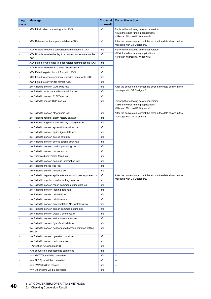| Log                      | <b>Message</b>                                                              | <b>Conversi</b><br>on result | <b>Corrective action</b>                                                                                                         |
|--------------------------|-----------------------------------------------------------------------------|------------------------------|----------------------------------------------------------------------------------------------------------------------------------|
| code                     |                                                                             |                              |                                                                                                                                  |
|                          | XXX Initialization processing failed XXX                                    | Info                         | Perform the following before conversion.<br>$\Diamond$ Exit the other running applications.<br>◇Restart Microsoft® Windows®.     |
|                          | XXX Detected an improperly set device XXX                                   | Info                         | After the conversion, correct the error in the data shown in the<br>message with GT Designer3.                                   |
|                          | XXX Unable to open a conversion termination file XXX                        | Info                         | Perform the following before conversion.                                                                                         |
|                          | XXX Unable to write the flag to a conversion termination file<br><b>XXX</b> | Info                         | $\diamondsuit$ Exit the other running applications.<br>◇Restart Microsoft® Windows®.                                             |
| $\overline{\phantom{a}}$ | XXX Failed to write data to a conversion termination file XXX               | Info                         |                                                                                                                                  |
| $\blacksquare$           | XXX Unable to write into a save destination XXX                             | Info                         |                                                                                                                                  |
|                          | XXX Failed to get column information XXX                                    | Info                         |                                                                                                                                  |
|                          | XXX Failed to secure continuous device index table XXX                      | Info                         |                                                                                                                                  |
| $\overline{\phantom{a}}$ | XXX Failed to convert file format XXX                                       | Info                         |                                                                                                                                  |
| $\overline{\phantom{a}}$ | xxx Failed to convert GOT Type xxx                                          | Info                         | After the conversion, correct the error in the data shown in the                                                                 |
|                          | xxx Failed to write data to Hqfont.a9 file xxx                              | Info                         | message with GT Designer3.                                                                                                       |
|                          | xxx Failed to convert PLC Type xxx                                          | Info                         |                                                                                                                                  |
| $\overline{\phantom{a}}$ | xxx Failed to merge TMP files xxx                                           | Info                         | Perform the following before conversion.<br>$\diamondsuit$ Exit the other running applications.<br>◇Restart Microsoft® Windows®. |
|                          | xxx Failed to convert other items xxx                                       | Info                         | After the conversion, correct the error in the data shown in the                                                                 |
| $\overline{\phantom{a}}$ | xxx Failed to register alarm history data xxx                               | Info                         | message with GT Designer3.                                                                                                       |
| $\overline{\phantom{a}}$ | xxx Failed to register Alarm Display (User) data xxx                        | Info                         |                                                                                                                                  |
| $\overline{\phantom{a}}$ | xxx Failed to convert system information xxx                                | Info                         |                                                                                                                                  |
|                          | xxx Failed to convert sprite figure data xxx                                | Info                         |                                                                                                                                  |
| $\overline{\phantom{a}}$ | xxx Failed to convert device data xxx                                       | Info                         |                                                                                                                                  |
| $\overline{\phantom{a}}$ | xxx Failed to convert device setting array xxx                              | Info                         |                                                                                                                                  |
| $\overline{\phantom{a}}$ | xxx Failed to convert hard copy setting xxx                                 | Info                         |                                                                                                                                  |
|                          | xxx Failed to convert bar code xxx                                          | Info                         |                                                                                                                                  |
|                          | xxx Password conversion failed xxx                                          | Info                         |                                                                                                                                  |
|                          | xxx Failed to convert package information xxx                               | Info                         |                                                                                                                                  |
|                          | xxx Failed to merge files xxx                                               | Info                         |                                                                                                                                  |
|                          | xxx Failed to convert headers xxx                                           | Info                         |                                                                                                                                  |
|                          | xxx Failed to register sprite information with memory save xxx              | Info                         | After the conversion, correct the error in the data shown in the                                                                 |
|                          | xxx Failed to register monitor setting data xxx                             | Info                         | message with GT Designer3.                                                                                                       |
|                          | xxx Failed to convert report common setting data xxx                        | Info                         |                                                                                                                                  |
|                          | xxx Failed to convert logging data xxx                                      | Info                         |                                                                                                                                  |
|                          | xxx Failed to convert print data xxx                                        | Info                         |                                                                                                                                  |
|                          | xxx Failed to convert print format xxx                                      | Info                         |                                                                                                                                  |
|                          | xxx Failed to convert screen/station No. switching xxx                      | Info                         |                                                                                                                                  |
|                          | xxx Failed to convert screen common setting xxx                             | Info                         |                                                                                                                                  |
|                          | xxx Failed to convert Detail Comment xxx                                    | Info                         |                                                                                                                                  |
|                          | xxx Failed to convert status observation xxx                                | Info                         |                                                                                                                                  |
|                          | xxx Failed to convert figure/script data xxx                                | Info                         |                                                                                                                                  |
|                          | xxx Failed to convert headers of all screen common setting                  | Info                         |                                                                                                                                  |
|                          | file xxx                                                                    |                              |                                                                                                                                  |
|                          | xxx Failed to convert operation panel xxx                                   | Info                         |                                                                                                                                  |
|                          | xxx Failed to convert parts data xxx                                        | Info                         |                                                                                                                                  |
| $\overline{\phantom{a}}$ | > Activating functional part B                                              | Info                         | ---                                                                                                                              |
| $\overline{\phantom{a}}$ | > All conversion processing is completed                                    | Info                         | ---                                                                                                                              |
|                          | === GOT Type will be converted                                              | Info                         | ---                                                                                                                              |
|                          | === PLC Type will be converted                                              | Info                         | ---                                                                                                                              |
|                          | $==$ TMP fill will be merged                                                | Info                         | ---                                                                                                                              |
|                          | === Other items will be converted                                           | Info                         | ---                                                                                                                              |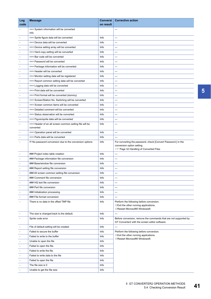| Log                      | <b>Message</b>                                           | Conversi  | <b>Corrective action</b>                                                                                                     |
|--------------------------|----------------------------------------------------------|-----------|------------------------------------------------------------------------------------------------------------------------------|
| code                     |                                                          | on result |                                                                                                                              |
|                          | === System information will be converted<br>Info         |           | ---                                                                                                                          |
|                          | === Sprite figure data will be converted                 | Info      | ---                                                                                                                          |
|                          | === Device data will be converted                        | Info      | ---                                                                                                                          |
|                          | === Device setting array will be converted               | Info      | ---                                                                                                                          |
|                          | === Hard copy setting will be converted                  | Info      | ---                                                                                                                          |
|                          | === Bar code will be converted                           | Info      | ---                                                                                                                          |
|                          | === Password will be converted                           | Info      | ---                                                                                                                          |
|                          | === Package information will be converted                | Info      | ---                                                                                                                          |
|                          | === Header will be converted                             | Info      | ---                                                                                                                          |
|                          | === Monitor setting data will be registered              | Info      | ---                                                                                                                          |
|                          | === Report common setting data will be converted         | Info      | ---                                                                                                                          |
|                          | === Logging data will be converted                       | Info      | ---                                                                                                                          |
|                          | === Print data will be converted                         | Info      | ---                                                                                                                          |
|                          | === Print format will be converted (dummy)               | Info      | ---                                                                                                                          |
|                          | === Screen/Station No. Switching will be converted       | Info      | ---                                                                                                                          |
|                          | === Screen common items will be converted                | Info      | ---                                                                                                                          |
|                          | === Detailed comment will be converted                   | Info      | ---                                                                                                                          |
|                          | === Status observation will be converted                 | Info      | ---                                                                                                                          |
|                          | === Figure/sprite data will be converted                 | Info      | ---                                                                                                                          |
|                          | === Header of an all screen common setting file will be  | Info      | ---                                                                                                                          |
|                          | converted                                                |           |                                                                                                                              |
|                          | === Operation panel will be converted                    | Info      | ---                                                                                                                          |
|                          | === Parts data will be converted                         | Info      | ---                                                                                                                          |
|                          | !!! No password conversion due to the conversion options | Info      | For converting the password, check [Convert Password.] in the<br>conversion option setting.                                  |
|                          |                                                          |           | <b>Example 32 Handling of Converted Files</b>                                                                                |
|                          | ### Project index table creation                         | Info      | ---                                                                                                                          |
|                          | ### Package information file conversion                  | Info      | ---                                                                                                                          |
|                          | ### Base/window file conversion                          | Info      | ---                                                                                                                          |
|                          | ### Report setting file conversion                       | Info      | ---                                                                                                                          |
|                          | ### All screen common setting file conversion            | Info      | ---                                                                                                                          |
|                          | ### Comment file conversion                              | Info      |                                                                                                                              |
| $\overline{\phantom{a}}$ | ### HQ text file conversion                              | Info      | ---                                                                                                                          |
|                          | ### Part file conversion                                 | Info      | ---                                                                                                                          |
|                          | ### Initialization processing                            | Info      | ---                                                                                                                          |
|                          | ### File format conversion                               | Info      | ---                                                                                                                          |
|                          | There is no data in the offset TMP file                  | Info      | Perform the following before conversion.<br>$\Diamond$ Exit the other running applications.<br>◇Restart Microsoft® Windows®. |
|                          | The size is changed back to the default.                 | Info      | ---                                                                                                                          |
|                          | Sprite code error                                        | Info      | Before conversion, remove the commands that are not supported by<br>GT Converter2 with the screen editor software.           |
|                          | File of default setting will be created.                 | Info      |                                                                                                                              |
| $\overline{\phantom{a}}$ | Failed to secure the buffer                              | Info      | Perform the following before conversion.                                                                                     |
|                          | Failed to write to the buffer                            | Info      | $\Diamond$ Exit the other running applications.                                                                              |
|                          | Unable to open the file                                  | Info      | ◇Restart Microsoft® Windows®.                                                                                                |
|                          | Failed to open the file.                                 | Info      |                                                                                                                              |
| $\overline{\phantom{a}}$ | Failed to write the file.                                | Info      |                                                                                                                              |
|                          | Failed to write data to the file                         | Info      |                                                                                                                              |
|                          | Failed to open the file                                  | Info      |                                                                                                                              |
|                          | The file size is 0                                       | Info      |                                                                                                                              |
| $\overline{\phantom{a}}$ | Unable to get the file size                              | Info      |                                                                                                                              |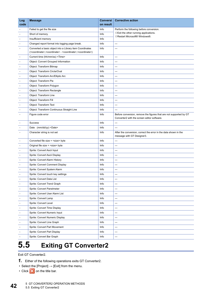| Log                      | <b>Message</b>                                                                                               | <b>Conversi</b> | <b>Corrective action</b>                                                                                          |
|--------------------------|--------------------------------------------------------------------------------------------------------------|-----------------|-------------------------------------------------------------------------------------------------------------------|
| code                     |                                                                                                              | on result       |                                                                                                                   |
|                          | Failed to get the file size                                                                                  | Info            | Perform the following before conversion.                                                                          |
|                          | Short of memory.                                                                                             | Info            | $\Diamond$ Exit the other running applications.<br>◇Restart Microsoft® Windows®.                                  |
|                          | Insufficient memory                                                                                          | Info            |                                                                                                                   |
| $\overline{\phantom{a}}$ | Changed report format into logging page break.                                                               | Info            | ---                                                                                                               |
|                          | Converted a basic object into a Library item Coordinates                                                     | Info            | ---                                                                                                               |
|                          | ( <coordinate>,<coordinate> - <coordinate>,<coordinate>)</coordinate></coordinate></coordinate></coordinate> |                 |                                                                                                                   |
|                          | Current time (hh/mm/ss) <time></time>                                                                        | Info            | ---                                                                                                               |
|                          | Object: Convert Grouped Information                                                                          | Info            | ---                                                                                                               |
|                          | Object: Transform Bitmap                                                                                     | Info            | ---                                                                                                               |
|                          | Object: Transform Circle/Oval                                                                                | Info            | ---                                                                                                               |
|                          | Object: Transform Arc/Elliptic Arc                                                                           | Info            | ---                                                                                                               |
|                          | Object: Transform Pie                                                                                        | Info            | ---                                                                                                               |
|                          | Object: Transform Polygon                                                                                    | Info            | $\overline{a}$                                                                                                    |
|                          | Object: Transform Rectangle                                                                                  | Info            | ---                                                                                                               |
| $\blacksquare$           | Object: Transform Line                                                                                       | Info            | ---                                                                                                               |
|                          | Object: Transform Fill                                                                                       | Info            | ---                                                                                                               |
|                          | Object: Transform Text                                                                                       | Info            | $---$                                                                                                             |
|                          | Object: Transform Continuous Straight Line                                                                   | Info            | ---                                                                                                               |
|                          | Figure code error                                                                                            | Info            | Before conversion, remove the figures that are not supported by GT<br>Converter2 with the screen editor software. |
|                          | <b>Success</b>                                                                                               | Info            | ---                                                                                                               |
|                          | Date (mm/dd/yy) <date></date>                                                                                | Info            | $\overline{a}$                                                                                                    |
|                          | Character string is not set                                                                                  | Info            | After the conversion, correct the error in the data shown in the<br>message with GT Designer3.                    |
|                          | Converted file size = <size> byte</size>                                                                     | Info            | ---                                                                                                               |
| $\overline{\phantom{a}}$ | Original file size = <size> byte</size>                                                                      | Info            | ---                                                                                                               |
| $\overline{\phantom{a}}$ | Sprite: Convert Ascii Input                                                                                  | Info            | ---                                                                                                               |
| $\blacksquare$           | Sprite: Convert Ascii Display                                                                                | Info            | ---                                                                                                               |
|                          | Sprite: Convert Alarm History                                                                                | Info            | ---                                                                                                               |
|                          | Sprite: Convert Comment Display                                                                              | Info            | ---                                                                                                               |
|                          | Sprite: Convert System Alarm                                                                                 | Info            | ---                                                                                                               |
|                          | Sprite: Convert touch key settings                                                                           | Info            | ---                                                                                                               |
|                          | Sprite: Convert Data List                                                                                    | Info            | ---                                                                                                               |
| $\overline{\phantom{a}}$ | Sprite: Convert Trend Graph                                                                                  | Info            | ---                                                                                                               |
| $\blacksquare$           | Sprite: Convert Panelmeter                                                                                   | Info            | ---                                                                                                               |
| $\overline{\phantom{a}}$ | Sprite: Convert User Alarm List                                                                              | Info            | ---                                                                                                               |
| $\blacksquare$           | Sprite: Convert Lamp                                                                                         | Info            | ---                                                                                                               |
| $\overline{\phantom{a}}$ | Sprite: Convert Level                                                                                        | Info            | ---                                                                                                               |
| $\blacksquare$           | Sprite: Convert Time Display                                                                                 | Info            | ---                                                                                                               |
| $\blacksquare$           | Sprite: Convert Numeric Input                                                                                | Info            | ---                                                                                                               |
| $\overline{\phantom{a}}$ | Sprite: Convert Numeric Display                                                                              | Info            | ---                                                                                                               |
| $\blacksquare$           | Sprite: Convert Line Graph                                                                                   | Info            | ---                                                                                                               |
| $\overline{\phantom{a}}$ | Sprite: Convert Part Movement                                                                                | Info            | ---                                                                                                               |
|                          | Sprite: Convert Part Display                                                                                 | Info            | ---                                                                                                               |
|                          | Sprite: Convert Bar Graph                                                                                    | Info            | ---                                                                                                               |
|                          |                                                                                                              |                 |                                                                                                                   |

# <span id="page-43-0"></span>**5.5 Exiting GT Converter2**

Exit GT Converter2.

- *1.* Either of the following operations exits GT Converter2.
- Select the [Project]  $\rightarrow$  [Exit] from the menu.
- Click  $\times$  on the title bar.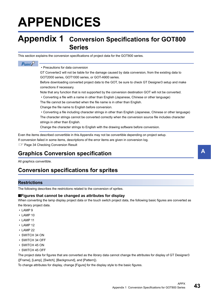# <span id="page-44-0"></span>**APPENDICES**

## <span id="page-44-1"></span>**Appendix 1 Conversion Specifications for GOT800 Series**

This section explains the conversion specifications of project data for the GOT800 series.

### $Point<sup>9</sup>$

#### • Precautions for data conversion

GT Converter2 will not be liable for the damage caused by data conversion, from the existing data to GOT2000 series, GOT1000 series, or GOT-A900 series.

Before downloading converted project data to the GOT, be sure to check GT Designer3 setup and make corrections if necessary.

Note that any function that is not supported by the conversion destination GOT will not be converted.

• Converting a file with a name in other than English (Japanese, Chinese or other language)

The file cannot be converted when the file name is in other than English.

Change the file name to English before conversion.

 • Converting a file including character strings in other than English (Japanese, Chinese or other language) The character strings cannot be converted correctly when the conversion source file includes character strings in other than English.

Change the character strings to English with the drawing software before conversion.

Even the items described convertible in this Appendix may not be convertible depending on project setup. If conversion failed in some items, descriptions of the error items are given in conversion log. **Fage 34 Checking Conversion Result** 

### <span id="page-44-2"></span>**Graphics Conversion specification**

All graphics convertible.

### <span id="page-44-3"></span>**Conversion specifications for sprites**

### **Restrictions**

The following describes the restrictions related to the conversion of sprites.

#### ■**Figures that cannot be changed as attributes for display**

When converting the lamp display project data or the touch switch project data, the following basic figures are converted as the library project data.

• LAMP 9

- LAMP 10
- LAMP 11
- LAMP 12
- LAMP 22
- SWITCH 34 ON
- SWITCH 34 OFF
- SWITCH 45 ON
- SWITCH 45 OFF

The project data for figures that are converted as the library data cannot change the attributes for display of GT Designer3 ([Frame], [Lamp], [Switch], [Background], and [Pattern]).

To change attributes for display, change [Figure] for the display style to the basic figures.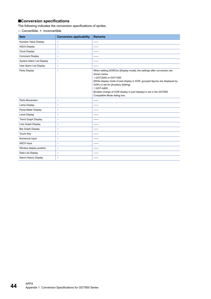### ■**Conversion specifications**

The following indicates the conversion specifications of sprites.

| <b>Item</b>                  | <b>Conversion applicability</b> | <b>Remarks</b>                                                                                                                                                                                                                                                                                                                                              |
|------------------------------|---------------------------------|-------------------------------------------------------------------------------------------------------------------------------------------------------------------------------------------------------------------------------------------------------------------------------------------------------------------------------------------------------------|
| Numeric Value Display        | $\circ$                         | ------                                                                                                                                                                                                                                                                                                                                                      |
| <b>ASCII Display</b>         | $\circ$                         | ------                                                                                                                                                                                                                                                                                                                                                      |
| Clock Display                | $\circ$                         | ------                                                                                                                                                                                                                                                                                                                                                      |
| <b>Comment Display</b>       | $\circ$                         | ------                                                                                                                                                                                                                                                                                                                                                      |
| System Alarm List Display    | $\circ$                         | -----                                                                                                                                                                                                                                                                                                                                                       |
| User Alarm List Display      | $\circ$                         | ------                                                                                                                                                                                                                                                                                                                                                      |
| Parts Display                | $\circ$                         | When setting [XOR] for [Display mode], the settings after conversion are<br>shown below.<br>◇GOT2000 or GOT1000<br>[While display mode of part display is XOR, grouped figures are displayed by<br>XOR.] is set for [Auxiliary Setting].<br>◇GOT-A900<br>[Enable change of XOR display in part display] is set in the GOT800<br>Compatible Mode dialog box. |
| Parts Movement               | $\circ$                         | ------                                                                                                                                                                                                                                                                                                                                                      |
| Lamp Display                 | $\circ$                         | ------                                                                                                                                                                                                                                                                                                                                                      |
| Panel Meter Display          | $\circ$                         | ------                                                                                                                                                                                                                                                                                                                                                      |
| <b>Level Display</b>         | $\circ$                         | ------                                                                                                                                                                                                                                                                                                                                                      |
| <b>Trend Graph Display</b>   | $\circ$                         | ------                                                                                                                                                                                                                                                                                                                                                      |
| Line Graph Display           | $\circ$                         | ------                                                                                                                                                                                                                                                                                                                                                      |
| Bar Graph Display            | $\circ$                         | ------                                                                                                                                                                                                                                                                                                                                                      |
| Touch Key                    | $\circ$                         | ------                                                                                                                                                                                                                                                                                                                                                      |
| Numerical Input              | $\circ$                         | -----                                                                                                                                                                                                                                                                                                                                                       |
| <b>ASCII Input</b>           | $\circ$                         | ------                                                                                                                                                                                                                                                                                                                                                      |
| Window display position      | $\circ$                         | ------                                                                                                                                                                                                                                                                                                                                                      |
| Data List Display            | $\circ$                         | ------                                                                                                                                                                                                                                                                                                                                                      |
| <b>Alarm History Display</b> | $\circ$                         | ------                                                                                                                                                                                                                                                                                                                                                      |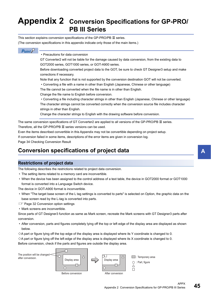## <span id="page-46-0"></span>**Appendix 2 Conversion Specifications for GP-PRO/ PB III Series**

This section explains conversion specifications of the GP-PRO/PB  $I\!I\!I$  series.

(The conversion specifications in this appendix indicate only those of the main items.)

### $Point<sup>9</sup>$

• Precautions for data conversion

GT Converter2 will not be liable for the damage caused by data conversion, from the existing data to GOT2000 series, GOT1000 series, or GOT-A900 series.

Before downloading converted project data to the GOT, be sure to check GT Designer3 setup and make corrections if necessary.

Note that any function that is not supported by the conversion destination GOT will not be converted.

• Converting a file with a name in other than English (Japanese, Chinese or other language)

The file cannot be converted when the file name is in other than English.

Change the file name to English before conversion.

 • Converting a file including character strings in other than English (Japanese, Chinese or other language) The character strings cannot be converted correctly when the conversion source file includes character strings in other than English.

Change the character strings to English with the drawing software before conversion.

The same conversion specifications of GT Converter2 are applied to all versions of the GP-PRO/PB  $\mathbb I$  series. Therefore, all the GP-PRO/PB  $I\!I\!I$  series versions can be used.

Even the items described convertible in this Appendix may not be convertible depending on project setup.

If conversion failed in some items, descriptions of the error items are given in conversion log.

[Page 34 Checking Conversion Result](#page-35-1)

### <span id="page-46-1"></span>**Conversion specifications of project data**

### **Restrictions of project data**

The following describes the restrictions related to project data conversion.

- The setting items related to a memory card are inconvertible.
- When the device has been assigned to the control address of a text table, the device in GOT2000 format or GOT1000 format is converted into a Language Switch device.

The device in GOT-A900 format is inconvertible.

- When "The target base screen of the L tag settings is converted to parts" is selected on Option, the graphic data on the base screen read by the L-tag is converted into parts.
- **F** [Page 32 Conversion option settings](#page-33-2)
- Mark screens are inconvertible.

Since parts of GT Designer3 function as same as Mark screen, recreate the Mark screens with GT Designer3 parts after conversion.

 • After conversion, parts and figures completely lying off the top or left edge of the display area are displayed as shown below.

 $\diamond$ A part or figure lying off the top edge of the display area is displayed where its Y coordinate is changed to 0.

 $\diamond$ A part or figure lying off the left edge of the display area is displayed where its X coordinate is changed to 0. Before conversion, check if the parts and figures are outside the display area.

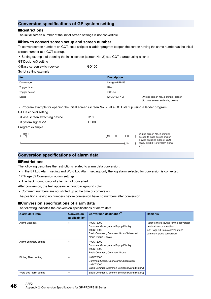### **Conversion specifications of GP system setting**

#### ■**Restrictions**

The initial screen number of the initial screen settings is not convertible.

#### ■**How to convert screen setup and screen number**

To convert screen numbers on GOT, set a script or a ladder program to open the screen having the same number as the initial screen number at a GOT startup.

• Setting example of opening the initial screen (screen No. 2) at a GOT startup using a script

GT Designer3 setting

 $\Diamond$ Base screen switch device GD100

Script setting example

| <b>Item</b>    | <b>Description</b>                                                                                |
|----------------|---------------------------------------------------------------------------------------------------|
| Data range     | Unsigned BIN16                                                                                    |
| Trigger type   | <b>Rise</b>                                                                                       |
| Trigger device | GS0.b4                                                                                            |
| Script         | $w:GD100$ ] = 2;<br>//Writes screen No. 2 of initial screen<br>//to base screen switching device. |

• Program example for opening the initial screen (screen No. 2) at a GOT startup using a ladder program

GT Designer3 setting

| $\diamondsuit$ Base screen switching device | D <sub>100</sub> |
|---------------------------------------------|------------------|
| $\diamond$ System signal 2-1                | D300             |

#### Program example

| 0ŀ          | D300.1 | - TMOV | K2 | D100        | Writ    |
|-------------|--------|--------|----|-------------|---------|
|             |        |        |    |             | scre    |
|             |        |        |    |             | dev     |
| $\sim$<br>۰ |        |        |    | <b>FEND</b> | read    |
|             |        |        |    | ш.          | $2 - 1$ |
|             |        |        |    |             |         |

#### tes screen No. 2 of initial sen to base screen switch rice on rising edge of GOT dy bit (bit 1 of system signal 2-1).

### <span id="page-47-0"></span>**Conversion specifications of alarm data**

#### ■**Restrictions**

The following describes the restrictions related to alarm data conversion.

- In the Bit Log Alarm setting and Word Log Alarm setting, only the log alarm selected for conversion is converted.
- **F** [Page 32 Conversion option settings](#page-33-2)
- The background color of a text is not converted.
- After conversion, the text appears without background color.

• Comment numbers are not shifted up at the time of conversion.

The positions having no numbers before conversion have no numbers after conversion.

#### ■**Conversion specifications of alarm data**

The following indicates the conversion specifications of alarm data.

| Alarm data item        | <b>Conversion</b><br>applicability | <b>Conversion destination*1</b>                                                                                                      | <b>Remarks</b>                                                                                                                          |
|------------------------|------------------------------------|--------------------------------------------------------------------------------------------------------------------------------------|-----------------------------------------------------------------------------------------------------------------------------------------|
| Alarm Message          | $\circ$                            | ◇GOT2000<br>Comment Group, Alarm Popup Display<br>$\Diamond$ GOT1000<br>Basic Comment, Comment Group/Advanced<br>Alarm Popup Display | Refer to the following for the conversion<br>destination comment No.<br><b>Example 48 Basic comment and</b><br>comment group conversion |
| Alarm Summary setting  | $\circ$                            | ◇GOT2000<br>Comment Group, Alarm Popup Display<br>$\Diamond$ GOT1000<br>Basic Comment, Comment Group                                 |                                                                                                                                         |
| Bit Log Alarm setting  | $\circ$                            | $\Diamond$ GOT2000<br>Comment Group, User Alarm Observation<br>$\Diamond$ GOT1000<br>Basic Comment/Common Settings (Alarm History)   |                                                                                                                                         |
| Word Log Alarm setting | $\circ$                            | Basic Comment/Common Settings (Alarm History)                                                                                        |                                                                                                                                         |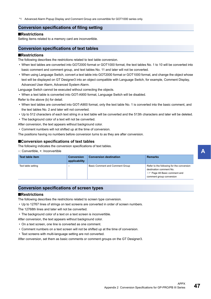<span id="page-48-0"></span>\*1 Advanced Alarm Popup Display and Comment Group are convertible for GOT1000 series only.

### **Conversion specifications of filing setting**

#### ■**Restrictions**

Setting items related to a memory card are inconvertible.

### <span id="page-48-1"></span>**Conversion specifications of text tables**

#### ■**Restrictions**

The following describes the restrictions related to text table conversion.

- When text tables are converted into GOT2000 format or GOT1000 format, the text tables No. 1 to 10 will be converted into basic comment and comment group, and text tables No. 11 and later will not be converted.
- When using Language Switch, convert a text table into GOT2000 format or GOT1000 format, and change the object whose text will be displayed on GT Designer3 into an object compatible with Language Switch, for example, Comment Display, Advanced User Alarm, Advanced System Alarm.

Language Switch cannot be executed without correcting the objects.

• When a text table is converted into GOT-A900 format, Language Switch will be disabled.

Refer to the above (b) for detail.

- When text tables are converted into GOT-A900 format, only the text table No. 1 is converted into the basic comment, and the text tables No. 2 and later will not converted.
- Up to 512 characters of each text string in a text table will be converted and the 513th characters and later will be deleted.
- The background color of a text will not be converted.
- After conversion, the text appears without background color.
- Comment numbers will not shifted up at the time of conversion.

The positions having no numbers before conversion turns to as they are after conversion.

#### ■**Conversion specifications of text tables**

The following indicates the conversion specifications of text tables.

○: Convertible, ×: Inconvertible

| Text table item    | <b>Conversion</b><br>applicability | <b>Conversion destination</b>          | <b>Remarks</b>                                                                                                                                |
|--------------------|------------------------------------|----------------------------------------|-----------------------------------------------------------------------------------------------------------------------------------------------|
| Text table setting |                                    | <b>Basic Comment and Comment Group</b> | Refer to the following for the conversion<br>destination comment No.<br><b>EXECUTE:</b> Page 48 Basic comment and<br>comment group conversion |

### <span id="page-48-2"></span>**Conversion specifications of screen types**

#### ■**Restrictions**

The following describes the restrictions related to screen type conversion.

• Up to 12767 lines of strings on text screens are converted in order of screen numbers.

The 12768th lines and later will not be converted.

• The background color of a text on a text screen is inconvertible.

After conversion, the text appears without background color.

- On a text screen, one line is converted as one comment.
- Comment numbers on a text screen will not be shifted up at the time of conversion.
- Text screens with multi-language setting are not converted.

After conversion, set them as basic comments or comment groups on the GT Designer3.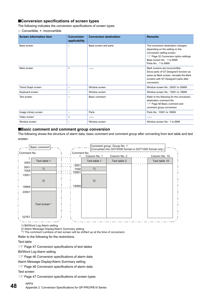### ■**Conversion specifications of screen types**

The following indicates the conversion specifications of screen types.

○: Convertible, ×: Inconvertible

| <b>Screen information item</b> | <b>Conversion</b><br>applicability | <b>Conversion destination</b> | <b>Remarks</b>                                                                                                                                                                                             |
|--------------------------------|------------------------------------|-------------------------------|------------------------------------------------------------------------------------------------------------------------------------------------------------------------------------------------------------|
| Base screen                    | $\circ$                            | Base screen and parts         | The conversion destination changes,<br>depending on the setting on the<br>Conversion setting screen.<br><b>Example 32 Conversion option settings</b><br>Base screen No.: 1 to 8999<br>Parts No.: 1 to 8999 |
| Mark screen                    | $\times$                           | ------                        | Mark screens are inconvertible.<br>Since parts of GT Designer3 function as<br>same as Mark screen, recreate the Mark<br>screens with GT Designer3 parts after<br>conversion.                               |
| Trend Graph screen             | $\circ$                            | Window screen                 | Window screen No.: 20001 to 28999                                                                                                                                                                          |
| Keyboard screen                | $\circ$                            | Window screen                 | Window screen No.: 10001 to 18999                                                                                                                                                                          |
| Text screen                    | $\circ$                            | Basic comment                 | Refer to the following for the conversion<br>destination comment No.<br>Page 48 Basic comment and<br>comment group conversion                                                                              |
| Image Library screen           | $\circ$                            | Parts                         | Parts No.: 10001 to 18999                                                                                                                                                                                  |
| Video screen                   | $\pmb{\times}$                     |                               |                                                                                                                                                                                                            |
| Window screen                  | $\circ$                            | Window screen                 | Window screen No.: 1 to 8999                                                                                                                                                                               |

#### <span id="page-49-0"></span>■**Basic comment and comment group conversion**

The following shows the structure of alarm data, basic comment and comment group after converting from text table and text screen.



1) Bit/Word Log Alarm setting<br>2) Alarm Message Display/Alarm Summary setting

\*1 The comment numbers of text screen will be shifted up at the time of conversion.

The comment numbers of the comment numbers of the comment of the shifted up at the shifted up at the time of conversion.

#### Text table

Fage 47 Conversion specifications of text tables

Bit/Word Log Alarm setting

Fage 46 Conversion specifications of alarm data

Alarm Message Display/Alarm Summary setting

Fage 46 Conversion specifications of alarm data

Text screen

F[Page 47 Conversion specifications of screen types](#page-48-2)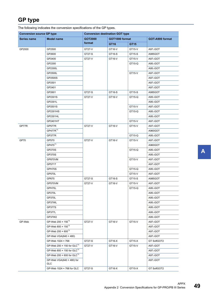### <span id="page-50-0"></span>**GP type**

The following indicates the conversion specifications of the GP types.

| <b>Conversion source GP type</b> |                                                 | <b>Conversion destination GOT type</b> |                |        |                      |  |
|----------------------------------|-------------------------------------------------|----------------------------------------|----------------|--------|----------------------|--|
| Series name                      | <b>Model name</b>                               | GOT2000                                | GOT1000 format |        | GOT-A900 format      |  |
|                                  |                                                 | format                                 | GT16           | GT15   |                      |  |
| GP2000                           | GP2500                                          | GT27-V                                 | GT16-V         | GT15-V | A97 <sup>D</sup> GOT |  |
|                                  | GP2600                                          | GT27-S                                 | GT16-S         | GT15-S | A985GOT              |  |
|                                  | GP2400                                          | GT27-V                                 | GT16-V         | GT15-V | A97 <sub>□</sub> GOT |  |
|                                  | GP2300                                          |                                        |                | GT15-Q | A95 <sub>□</sub> GOT |  |
|                                  | GP2300L                                         |                                        |                |        | A95 <sup>O</sup> GOT |  |
|                                  | GP2500L                                         |                                        |                | GT15-V | A97 <sup>D</sup> GOT |  |
|                                  | GP2500S                                         |                                        |                |        | A97 <sup>D</sup> GOT |  |
|                                  | GP2501                                          |                                        |                |        | A97 <sup>D</sup> GOT |  |
|                                  | GP2401                                          |                                        |                |        | A97 <sup>D</sup> GOT |  |
|                                  | GP2601                                          | GT27-S                                 | GT16-S         | GT15-S | A985GOT              |  |
|                                  | GP2301S                                         | GT27-V                                 | GT16-V         | GT15-Q | A95 <sub>□</sub> GOT |  |
|                                  | GP2301L                                         |                                        |                |        | A95 <sub>□</sub> GOT |  |
|                                  | GP2501S                                         |                                        |                | GT15-V | A97 <sub>□</sub> GOT |  |
|                                  | GP2301HS                                        |                                        |                | GT15-Q | A95 <sup>O</sup> GOT |  |
|                                  | GP2301HL                                        |                                        |                |        | A95 <sup>O</sup> GOT |  |
|                                  | GP2401HT                                        |                                        |                | GT15-V | A97□GOT              |  |
| GP77R                            | GP577R                                          | GT27-V                                 | GT16-V         | GT15-V | A97 <sup>D</sup> GOT |  |
|                                  | GP477R <sup>*1</sup>                            |                                        |                |        | A960GOT              |  |
|                                  | GP377R                                          |                                        |                | GT15-Q | A95 <sup>O</sup> GOT |  |
| <b>GP70</b>                      | GP570                                           | GT27-V                                 | GT16-V         | GT15-V | A97 <sub>□</sub> GOT |  |
|                                  | GP470 <sup>*1</sup>                             |                                        |                |        | A960GOT              |  |
|                                  | <b>GP270S</b>                                   |                                        |                | GT15-Q | A95 <sup>O</sup> GOT |  |
|                                  | GP370S                                          |                                        |                |        | A95 <sup>O</sup> GOT |  |
|                                  | GP870VM                                         |                                        |                | GT15-V | A97 <sup>D</sup> GOT |  |
|                                  | GP571T                                          |                                        |                |        | A97 <sup>D</sup> GOT |  |
|                                  | GPH70S                                          |                                        |                | GT15-Q | A95 <sup>O</sup> GOT |  |
|                                  | GP570L                                          |                                        |                | GT15-V | A97 <sup>D</sup> GOT |  |
|                                  | GP675                                           | GT27-S                                 | GT16-S         | GT15-S | A985GOT              |  |
|                                  | GP570VM                                         | GT27-V                                 | GT16-V         | GT15-V | A97□GOT              |  |
|                                  | GPH70L                                          |                                        |                | GT15-Q | A95 <sup>O</sup> GOT |  |
|                                  | GP270L                                          |                                        |                |        | A95 <sup>O</sup> GOT |  |
|                                  | GP370L                                          |                                        |                |        | A95 <sup>O</sup> GOT |  |
|                                  | GP37WL                                          |                                        |                |        | A95 <sub>□</sub> GOT |  |
|                                  | GP377S                                          |                                        |                |        | A95 <sup>O</sup> GOT |  |
|                                  | <b>GP377L</b>                                   |                                        |                |        | A95 <sub>□</sub> GOT |  |
|                                  | GP37W2                                          |                                        |                |        | A95 <sup>O</sup> GOT |  |
| GP-Web                           | GP-Web 200 × 150 <sup>*1</sup>                  | GT27-V                                 | GT16-V         | GT15-V | A97 <sup>D</sup> GOT |  |
|                                  | GP-Web 800 × 150 <sup>*1</sup>                  |                                        |                |        | A97□GOT              |  |
|                                  | GP-Web 200 × 600 <sup>*1</sup>                  |                                        |                |        | A97 <sub>□</sub> GOT |  |
|                                  | GP-Web VGA(640 × 480)                           |                                        |                |        | A97□GOT              |  |
|                                  | GP-Web 1024 × 768                               | GT27-S                                 | GT16-X         | GT15-X | GT SoftGOT2          |  |
|                                  | GP-Web 200 × 150 for GLC <sup>*1</sup>          | GT27-V                                 | GT16-V         | GT15-V | A97 <sup>D</sup> GOT |  |
|                                  | GP-Web 800 × 150 for GLC <sup>*1</sup>          |                                        |                |        | A97 <sup>D</sup> GOT |  |
|                                  | GP-Web 200 $\times$ 600 for GLC <sup>*1</sup>   |                                        |                |        | A97 <sub>□</sub> GOT |  |
|                                  | GP-Web VGA $(640 \times 480)$ for<br><b>GLC</b> |                                        |                |        | A97□GOT              |  |
|                                  | GP-Web 1024 × 768 for GLC                       | GT27-S                                 | GT16-X         | GT15-X | GT SoftGOT2          |  |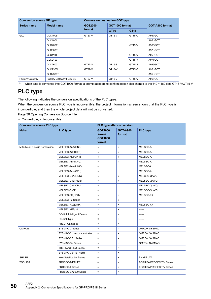| <b>Conversion source GP type</b> |                        | <b>Conversion destination GOT type</b> |                |        |                   |  |  |
|----------------------------------|------------------------|----------------------------------------|----------------|--------|-------------------|--|--|
| <b>Series name</b>               | <b>Model name</b>      | <b>GOT2000</b>                         | GOT1000 format |        | GOT-A900 format   |  |  |
|                                  |                        | format                                 | GT16           | GT15   |                   |  |  |
| <b>GLC</b>                       | <b>GLC100S</b>         | GT27-V                                 | GT16-V         | GT15-Q | $A95 \square GOT$ |  |  |
|                                  | <b>GLC100L</b>         |                                        |                |        | $A95 \Box GOT$    |  |  |
|                                  | GLC200E <sup>*1</sup>  |                                        |                | GT15-V | A960GOT           |  |  |
|                                  | GLC300T                |                                        |                |        | $A97 \Box GOT$    |  |  |
|                                  | GLC110T                |                                        |                | GT15-Q | $A95 \square GOT$ |  |  |
|                                  | GLC2400                |                                        |                | GT15-V | $A97 \Box GOT$    |  |  |
|                                  | GLC2600                | GT27-S                                 | GT16-S         | GT15-S | A985GOT           |  |  |
|                                  | GLC2300L               | GT27-V                                 | GT16-V         | GT15-Q | $A95 \square GOT$ |  |  |
|                                  | GLC2300T               |                                        |                |        | $A95 \Box GOT$    |  |  |
| <b>Factory Gateway</b>           | Factory Gateway FGW-SE | GT27-V                                 | GT16-V         | GT15-Q | $A95 \square GOT$ |  |  |

<span id="page-51-2"></span><span id="page-51-1"></span>\*1 When data is converted into GOT1000 format, a prompt appears to confirm screen size change to the 640 × 480 dots GT16-V/GT15-V.

## <span id="page-51-0"></span>**PLC type**

The following indicates the conversion specifications of the PLC types.

When the conversion source PLC type is inconvertible, the project information screen shows that the PLC type is inconvertible, and then the whole project data will not be converted.

[Page 30 Opening Conversion Source File](#page-31-2)

| <b>Conversion source PLC type</b> | PLC type after conversion         |                                                      |                           |                                  |
|-----------------------------------|-----------------------------------|------------------------------------------------------|---------------------------|----------------------------------|
| <b>Maker</b>                      | <b>PLC type</b>                   | <b>GOT2000</b><br>format<br><b>GOT1000</b><br>format | <b>GOT-A900</b><br>format | <b>PLC type</b>                  |
| Mitsubishi Electric Corporation   | MELSEC-AnA(LINK)                  | $\circ$                                              | $\circ$                   | MELSEC-A                         |
|                                   | MELSEC-A(ETHER)                   | $\circ$                                              | $\circ$                   | MELSEC-A                         |
|                                   | MELSEC-A(JPCN1)                   | $\circ$                                              | $\circ$                   | MELSEC-A                         |
|                                   | MELSEC-AnA(CPU)                   | $\circ$                                              | $\circ$                   | MELSEC-A                         |
|                                   | MELSEC-AnN(LINK)                  | $\circ$                                              | $\circ$                   | MELSEC-A                         |
|                                   | MELSEC-AnN(CPU)                   | $\circ$                                              | $\circ$                   | MELSEC-A                         |
|                                   | MELSEC-QnA(LINK)                  | $\circ$                                              | $\circ$                   | MELSEC-QnA/Q                     |
|                                   | MELSEC-Q(ETHER)                   | $\circ$                                              | $\circ$                   | MELSEC-QnA/Q                     |
|                                   | MELSEC-QnA(CPU)                   | $\circ$                                              | $\circ$                   | MELSEC-QnA/Q                     |
|                                   | MELSEC-Q(CPU)                     | $\circ$                                              | $\circ$                   | MELSEC-QnA/Q                     |
|                                   | MELSEC-FX(CPU)                    | $\circ$                                              | $\circ$                   | MELSEC-FX                        |
|                                   | MELSEC-F2 Series                  | $\pmb{\times}$                                       | $\circ$                   | ------                           |
|                                   | MELSEC-FX2(LINK)                  | $\circ$                                              | $\pmb{\times}$            | MELSEC-FX                        |
|                                   | MELSEC NET/10                     | $\pmb{\times}$                                       | $\pmb{\times}$            | ------                           |
|                                   | <b>CC-Link Intelligent Device</b> | $\pmb{\times}$                                       | $\pmb{\times}$            | ------                           |
|                                   | CC-Link type                      | $\pmb{\times}$                                       | $\mathsf{x}$              | ------                           |
|                                   | <b>FREQROL Series</b>             | $\pmb{\times}$                                       | $\pmb{\times}$            | ------                           |
| <b>OMRON</b>                      | <b>SYSMAC-C Series</b>            | $\circ$                                              | $\circ$                   | <b>OMRON SYSMAC</b>              |
|                                   | SYSMAC-C 1:n communication        | $\circ$                                              | $\pmb{\times}$            | <b>OMRON SYSMAC</b>              |
|                                   | SYSMAC-CS1 Series                 | $\circ$                                              | $\pmb{\times}$            | <b>OMRON SYSMAC</b>              |
|                                   | <b>SYSMAC-CV Series</b>           | $\circ$                                              | $\circ$                   | <b>OMRON SYSMAC</b>              |
|                                   | <b>THERMAC NEO Series</b>         | $\pmb{\times}$                                       | $\pmb{\times}$            | ------                           |
|                                   | SYSMAC-CS1(ETHER)                 | $\pmb{\times}$                                       | $\pmb{\times}$            | ------                           |
| <b>SHARP</b>                      | New Satellite JW Series           | $\circ$                                              | $\pmb{\times}$            | <b>SHARP JW</b>                  |
| <b>TOSHIBA</b>                    | PROSEC-T(ETHER)                   | $\circ$                                              | $\pmb{\times}$            | <b>TOSHIBA PROSEC T/V Series</b> |
|                                   | PROSEC-T Series                   | $\circ$                                              | $\circ$                   | <b>TOSHIBA PROSEC T/V Series</b> |
|                                   | PROSEC-EX2000 Series              | $\pmb{\times}$                                       | $\pmb{\times}$            | $-----1$                         |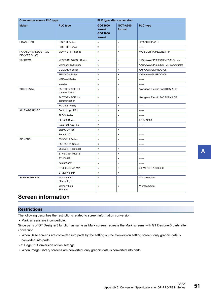| <b>Conversion source PLC type</b>           | PLC type after conversion        |                                                      |                           |                                  |
|---------------------------------------------|----------------------------------|------------------------------------------------------|---------------------------|----------------------------------|
| <b>Maker</b>                                | <b>PLC</b> type                  | <b>GOT2000</b><br>format<br><b>GOT1000</b><br>format | <b>GOT-A900</b><br>format | <b>PLC type</b>                  |
| <b>HITACHI IES</b>                          | <b>HIDIC H Series</b>            | $\circ$                                              | $\pmb{\times}$            | HITACHI HIDIC H                  |
|                                             | <b>HIDIC H2 Series</b>           | $\pmb{\times}$                                       | $\pmb{\times}$            | ------                           |
| PANASONIC INDUSTRIAL<br><b>DEVICES SUNX</b> | <b>MEWNET-FP Series</b>          | $\circ$                                              | $\pmb{\times}$            | MATSUSHITA MEWNET-FP             |
| YASKAWA                                     | MP900/CP9200SH Series            | $\circ$                                              | $\pmb{\times}$            | YASKAWA CP9200SH/MP900 Series    |
|                                             | Memocon-SC Series                | $\circ$                                              | $\pmb{\times}$            | YASKAWA CP9300MS (MC compatible) |
|                                             | GL120/130 Series                 | $\circ$                                              | $\circ$                   | YASKAWA GL/PROGIC8               |
|                                             | PROGIC8 Series                   | $\circ$                                              | $\pmb{\times}$            | YASKAWA GL/PROGIC8               |
|                                             | <b>MPPanel Series</b>            | $\times$                                             | $\pmb{\times}$            | ------                           |
|                                             | Inverter                         | $\pmb{\times}$                                       | $\pmb{\times}$            | ------                           |
| <b>YOKOGAWA</b>                             | FACTORY ACE 1:1<br>communication | $\circ$                                              | $\pmb{\times}$            | Yokogawa Electric FACTORY ACE    |
|                                             | FACTORY ACE 1:n<br>communication | $\circ$                                              | $\pmb{\times}$            | Yokogawa Electric FACTORY ACE    |
|                                             | FA-M3(ETHER)                     | $\pmb{\times}$                                       | $\pmb{\times}$            | ------                           |
| ALLEN-BRADLEY                               | ControlLogix DF1                 | $\pmb{\times}$                                       | $\pmb{\times}$            | ------                           |
|                                             | PLC-5 Series                     | $\pmb{\times}$                                       | $\pmb{\times}$            | ------                           |
|                                             | SLC500 Series                    | $\circ$                                              | $\pmb{\times}$            | AB SLC500                        |
|                                             | Data Highway Plus                | $\pmb{\times}$                                       | $\pmb{\times}$            | ------                           |
|                                             | SIc500 DH485                     | $\pmb{\times}$                                       | $\pmb{\times}$            | ------                           |
|                                             | Remoto IO                        | $\pmb{\times}$                                       | $\pmb{\times}$            | ------                           |
| <b>SIEMENS</b>                              | S5 90-115 Series                 | $\pmb{\times}$                                       | $\pmb{\times}$            | ------                           |
|                                             | S5 135-155 Series                | $\pmb{\times}$                                       | $\pmb{\times}$            | ------                           |
|                                             | S5 3964(R) protocol              | $\pmb{\times}$                                       | ×                         | ------                           |
|                                             | S7 via 3964/RK512                | $\pmb{\times}$                                       | $\pmb{\times}$            | ------                           |
|                                             | S7-200 PPI                       | $\pmb{\times}$                                       | $\pmb{\times}$            | ------                           |
|                                             | 545/555 CPU                      | $\pmb{\times}$                                       | $\pmb{\times}$            | ------                           |
|                                             | S7-300/400 via MPI               | $\circ$                                              | $\pmb{\times}$            | SIEMENS S7-300/400               |
|                                             | S7-200 via MPI                   | $\pmb{\times}$                                       | $\pmb{\times}$            | ------                           |
| <b>SCHNEIDER EJH</b>                        | Memory Link<br>Ethernet type     | $\circ$                                              | $\circ$                   | Microcomputer                    |
|                                             | Memory Link<br>SIO type          | $\circ$                                              | $\circ$                   | Microcomputer                    |

### <span id="page-52-0"></span>**Screen information**

### **Restrictions**

The following describes the restrictions related to screen information conversion.

• Mark screens are inconvertible.

Since parts of GT Designer3 function as same as Mark screen, recreate the Mark screens with GT Designer3 parts after conversion.

- When Base screens are converted into parts by the setting on the Conversion setting screen, only graphic data is converted into parts.
- **F** [Page 32 Conversion option settings](#page-33-2)
- When Image Library screens are converted, only graphic data is converted into parts.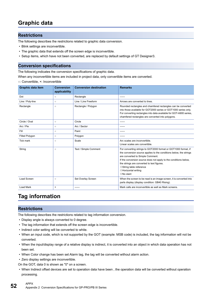### <span id="page-53-0"></span>**Graphic data**

### **Restrictions**

The following describes the restrictions related to graphic data conversion.

- Blink settings are inconvertible.
- The graphic data that extends off the screen edge is inconvertible.
- Setup items, which have not been converted, are replaced by default settings of GT Designer3.

### **Conversion specifications**

The following indicates the conversion specifications of graphic data.

When any inconvertible items are included in project data, only convertible items are converted.

○: Convertible, ×: Inconvertible

| <b>Graphic data item</b> | Conversion<br>applicability | <b>Conversion destination</b> | <b>Remarks</b>                                                                                                                                                                                                                                                                                                                                                                 |
|--------------------------|-----------------------------|-------------------------------|--------------------------------------------------------------------------------------------------------------------------------------------------------------------------------------------------------------------------------------------------------------------------------------------------------------------------------------------------------------------------------|
| Dot                      | $\circ$                     | Rectangle                     | ------                                                                                                                                                                                                                                                                                                                                                                         |
| Line / Poly-line         | $\circ$                     | Line / Line Freeform          | Arrows are converted to lines.                                                                                                                                                                                                                                                                                                                                                 |
| Rectangle                | $\circ$                     | Rectangle / Polygon           | Rounded rectangles and chamfered rectangles can be converted<br>into those available for GOT2000 series or GOT1000 series only.<br>For converting rectangles into data available for GOT-A900 series,<br>chamfered rectangles are converted into polygons.                                                                                                                     |
| Circle / Oval            | $\circ$                     | Circle                        | ------                                                                                                                                                                                                                                                                                                                                                                         |
| Arc / Pie                | $\circ$                     | Arc / Sector                  | ------                                                                                                                                                                                                                                                                                                                                                                         |
| Fill                     | $\circ$                     | Paint                         | ------                                                                                                                                                                                                                                                                                                                                                                         |
| <b>Filled Polygon</b>    | $\circ$                     | Polygon                       | ------                                                                                                                                                                                                                                                                                                                                                                         |
| <b>Tick mark</b>         | $\circ$                     | Scale                         | Arc scales are inconvertible.<br>Linear scales are convertible.                                                                                                                                                                                                                                                                                                                |
| String                   | $\circ$                     | Text / Simple Comment         | For converting strings to GOT2000 format or GOT1000 format, if<br>the conversion source applies to the conditions below, the strings<br>are converted to Simple Comment.<br>If the conversion source does not apply to the conditions below,<br>the strings are converted to text figures.<br>◇ String table reference<br>$\Diamond$ Horizontal writing<br>$\Diamond$ No slant |
| Load Screen              | $\circ$                     | Set Overlay Screen            | When the screen to be read is an image screen, it is converted into<br>parts display (display condition: GB40 Rising).                                                                                                                                                                                                                                                         |
| Load Mark                | $\times$                    | ------                        | Mark calls are inconvertible as well as Mark screens.                                                                                                                                                                                                                                                                                                                          |

### <span id="page-53-1"></span>**Tag information**

### **Restrictions**

The following describes the restrictions related to tag information conversion.

- Display angle is always converted to 0 degree.
- The tag information that extends off the screen edge is inconvertible.
- Indirect color setting will be converted to white.
- When an input code, which is not supported by the GOT (example: MSB code) is included, the tag information will not be converted.
- When the input/display range of a relative display is indirect, it is converted into an object in which data operation has not been set.
- When Color change has been set Alarm tag, the tag will be converted without alarm action.
- Zero display settings are inconvertible.

On the GOT, data 0 is shown as "0" on a screen.

 • When Indirect offset devices are set to operation data have been , the operation data will be converted without operation processing.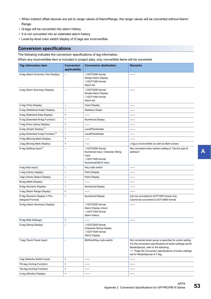- When Indirect offset devices are set to range values of Alarm/Range, the range values will be converted without Alarm/ Range.
- Q-tags will be converted into alarm history.
- It is not converted into an extended alarm history.
- Level-by-level color switch display of Q tags are inconvertible.

### **Conversion specifications**

The following indicates the conversion specifications of tag information.

When any inconvertible item is included in project data, only convertible items will be converted.

| <b>Tag information item</b>                        | <b>Conversion</b><br>applicability | <b>Conversion destination</b>                                                                             | <b>Remarks</b>                                                                                                                                                                                                                                                        |
|----------------------------------------------------|------------------------------------|-----------------------------------------------------------------------------------------------------------|-----------------------------------------------------------------------------------------------------------------------------------------------------------------------------------------------------------------------------------------------------------------------|
| A-tag (Alarm Summary Text Display)                 | $\circ$                            | ◇GOT2000 format<br>Simple Alarm Display<br>◇GOT1000 format<br>Alarm list                                  | ------                                                                                                                                                                                                                                                                |
| a-tag (Alarm Summary Display)                      | $\circ$                            | ◇GOT2000 format<br>Simple Alarm Display<br>◇GOT1000 format<br>Alarm list                                  |                                                                                                                                                                                                                                                                       |
| C-tag (Time Display)                               | $\circ$                            | <b>Clock Display</b>                                                                                      | ------                                                                                                                                                                                                                                                                |
| D-tag (Statistical Graph Display)                  | $\circ$                            | <b>Statistics Graph</b>                                                                                   | ------                                                                                                                                                                                                                                                                |
| d-tag (Statistical Data Display)                   | ×                                  |                                                                                                           | ------                                                                                                                                                                                                                                                                |
| E-tag (Extended N-tag Function)                    | $\circ$                            | <b>Numerical Display</b>                                                                                  | ------                                                                                                                                                                                                                                                                |
| F-tag (Free Library Display)                       | $\pmb{\times}$                     |                                                                                                           | ------                                                                                                                                                                                                                                                                |
| G-tag (Graph Display) <sup>*1</sup>                | $\circ$                            | Level/Panelmeter                                                                                          | ------                                                                                                                                                                                                                                                                |
| g-tag (Extended G-tag Function)*1                  | $\circ$                            | Level/Panelmeter                                                                                          | ------                                                                                                                                                                                                                                                                |
| H-tag (Moving Mark Display)                        | $\pmb{\times}$                     | ------                                                                                                    | ------                                                                                                                                                                                                                                                                |
| J-tag (Moving Mark Display)                        | $\pmb{\times}$                     | ------                                                                                                    | J-tag is inconvertible as well as Mark screen.                                                                                                                                                                                                                        |
| K-tag (Setting Input) <sup>*2</sup>                | $\circ$                            | ◇GOT2000 format<br>Numerical Input, Character String<br>Input<br>◇GOT1000 format<br>Numerical/ASCII Input | Not converted when indirect setting is "Device type &<br>address".                                                                                                                                                                                                    |
| k-tag (Key Input)                                  | $\circ$                            | Key code switch                                                                                           | ------                                                                                                                                                                                                                                                                |
| L-tag (Library display)                            | $\circ$                            | Parts Display                                                                                             |                                                                                                                                                                                                                                                                       |
| I-tag (Library Status Display)                     | $\circ$                            | Parts Display                                                                                             | ------                                                                                                                                                                                                                                                                |
| M-tag (Mark Display)                               | $\circ$                            |                                                                                                           | ------                                                                                                                                                                                                                                                                |
| N-tag (Numeric Display)                            | $\circ$                            | <b>Numerical Display</b>                                                                                  | ------                                                                                                                                                                                                                                                                |
| n-tag (Alarm Range Display)                        | $\pmb{\times}$                     |                                                                                                           | ------                                                                                                                                                                                                                                                                |
| P-tag (Numeric Display in Pre-<br>designed Format) | $\circ$                            | <b>Numerical Display</b>                                                                                  | Can be converted to GOT1000 format only.<br>Cannot be converted to GOT-A900 format.                                                                                                                                                                                   |
| Q-tag (Alarm Summary Display)                      | $\circ$                            | ◇GOT2000 format<br>Alarm Display (User)<br>◇GOT1000 format<br>Alarm history                               | $-----1$                                                                                                                                                                                                                                                              |
| R-tag (Rail Settings)                              | $\pmb{\times}$                     |                                                                                                           | -------                                                                                                                                                                                                                                                               |
| S-tag (String Display)                             | $\circ$                            | ◇GOT2000 format<br><b>Character String Display</b><br>◇GOT1000 format<br><b>ASCII Display</b>             |                                                                                                                                                                                                                                                                       |
| T-tag (Touch Panel Input)                          | $\circ$                            | Bit/Word/Key code switch                                                                                  | Not converted when group is specified for action setting.<br>For the conversion specifications of action settings set for<br>Mode/Special, refer to the following.<br><b>Example 54 Conversion specifications of action settings</b><br>set for Mode/Special of T-tag |
| t-tag (Selector Switch Input)                      | ×                                  | ------                                                                                                    | ------                                                                                                                                                                                                                                                                |
| Tih-tag (Inching Function)                         | ×                                  |                                                                                                           | ------                                                                                                                                                                                                                                                                |
| Tiw-tag (Inching Function)                         | ×                                  | ------                                                                                                    | ------                                                                                                                                                                                                                                                                |
| U-tag (Window Display)                             | $\pmb{\times}$                     | ------                                                                                                    | ------                                                                                                                                                                                                                                                                |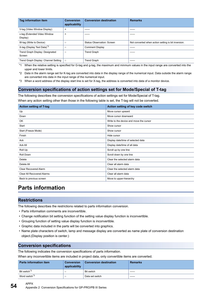| Tag information item                      | <b>Conversion</b><br>applicability | <b>Conversion destination</b>     | <b>Remarks</b>                                      |
|-------------------------------------------|------------------------------------|-----------------------------------|-----------------------------------------------------|
| V-tag (Video Window Display)              | $\times$                           | ------                            | ------                                              |
| v-tag (Extended Video Window<br>Display)  | $\times$                           | ------                            | ------                                              |
| W-tag (Write to Device)                   | $\circ$                            | <b>Status Observation: Screen</b> | Not converted when action setting is bit inversion. |
| X-tag (Display Text Data) <sup>*3</sup>   | $\circ$                            | <b>Comment Display</b>            | ------                                              |
| Trend Graph Display: Designated<br>Screen | $\circ$                            | <b>Trend Graph</b>                | -----                                               |
| Trend Graph Display: Channel Setting      | $\circ$                            | <b>Trend Graph</b>                | -----                                               |

<span id="page-55-1"></span>\*1 When the relative setting is specified for G-tag and g-tag, the maximum and minmum values in the input range are converted into the upper and lower limits.

- <span id="page-55-2"></span>\*2 Data in the alarm range set for K-tag are converted into data in the display range of the numerical input. Data outside the alarm range are converted into data in the input range of the numerical input.
- <span id="page-55-4"></span>\*3 When a word address of the display start line is set for X-tag, the address is converted into data of a monitor device.

### <span id="page-55-3"></span>**Conversion specifications of action settings set for Mode/Special of T-tag**

The following describes the conversion specifications of action settings set for Mode/Special of T-tag.

When any action setting other than those in the following table is set, the T-tag will not be converted.

| <b>Action setting of T-tag</b>    | Action setting of key code switch       |
|-----------------------------------|-----------------------------------------|
| Up                                | Move cursor upward                      |
| Down                              | Move cursor downward                    |
| OK                                | Write to the device and move the cursor |
| Start                             | Show cursor                             |
| Start (Freeze Mode)               | Show cursor                             |
| Finish                            | Hide cursor                             |
| Ack                               | Display date/time of selected data      |
| Ack All                           | Display date/time of all data           |
| Roll Up                           | Scroll up by one line                   |
| Roll Down                         | Scroll down by one line                 |
| Delete                            | Clear the selected alarm data           |
| Delete All                        | Clear all alarm data                    |
| Clear Recovered Alarm             | Clear the selected alarm data           |
| <b>Clear All Recovered Alarms</b> | Clear all alarm data                    |
| Back to previous screen           | Move to upper-hierarchy                 |

### <span id="page-55-0"></span>**Parts information**

### **Restrictions**

The following describes the restrictions related to parts information conversion.

- Parts information comments are inconvertible.
- Change notification bit setting function of the setting value display function is inconvertible.
- Grouping function of setting value display function is inconvertible.
- Graphic data included in the parts will be converted into graphics.
- Name plate characters of switch, lamp and message display are converted as name plate of conversion destination object.(Display position is center.)

#### **Conversion specifications**

The following indicates the conversion specifications of parts information.

When any inconvertible items are included in project data, only convertible items are converted.

| <b>Parts information item</b> | <b>Conversion</b><br>applicability | <b>Conversion destination</b> | <b>Remarks</b> |
|-------------------------------|------------------------------------|-------------------------------|----------------|
| Bit switch <sup>*3</sup>      |                                    | Bit switch                    | ------         |
| Word switch <sup>*3</sup>     |                                    | Data set switch               | ------         |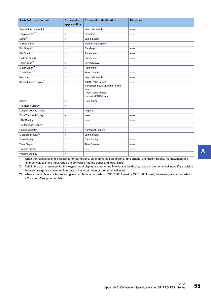| <b>Parts information item</b>         | <b>Conversion</b><br>applicability | <b>Conversion destination</b>                                                                             | <b>Remarks</b> |
|---------------------------------------|------------------------------------|-----------------------------------------------------------------------------------------------------------|----------------|
| Special function switch <sup>*3</sup> | $\circ$                            | Key code switch                                                                                           | ------         |
| Toggle switch <sup>*3</sup>           | $\circ$                            | Bit switch                                                                                                | ------         |
| $Lamp*3$                              | $\circ$                            | Lamp display                                                                                              |                |
| 4-State Lamp                          | $\circ$                            | Word Lamp display                                                                                         | ------         |
| Bar Graph <sup>*1</sup>               | $\circ$                            | Bar Graph                                                                                                 | ------         |
| Pie Graph <sup>*1</sup>               | $\circ$                            | Panelmeter                                                                                                | ------         |
| Half Pie Graph <sup>*1</sup>          | $\circ$                            | Panelmeter                                                                                                | ------         |
| Tank Graph <sup>*1</sup>              | $\circ$                            | Level display                                                                                             | ------         |
| Meter Graph <sup>*1</sup>             | $\circ$                            | Panelmeter                                                                                                | ------         |
| <b>Trend Graph</b>                    | $\circ$                            | <b>Trend Graph</b>                                                                                        | ------         |
| Keyboard                              | $\circ$                            | Key code switch                                                                                           | ------         |
| Keypad Input Display <sup>*2</sup>    | $\circ$                            | ◇GOT2000 format<br>Numerical Input, Character String<br>Input<br>◇GOT1000 format<br>Numerical/ASCII Input | ------         |
| Alarm                                 | $\circ$                            | User alarm                                                                                                | ------         |
| File Name Display                     | $\pmb{\times}$                     | ------                                                                                                    | -----          |
| Logging Display Device                | $\circ$                            | Logging                                                                                                   | ------         |
| Data Transfer Display                 | $\pmb{\times}$                     | ------                                                                                                    | ------         |
| <b>CSV Display</b>                    | $\pmb{\times}$                     | ------                                                                                                    | ------         |
| File Manager Display                  | $\pmb{\times}$                     |                                                                                                           | ------         |
| Numeric Display                       | $\circ$                            | <b>Numerical Display</b>                                                                                  | ------         |
| Message Display <sup>*3</sup>         | $\circ$                            | Lamp display                                                                                              | ------         |
| Date Display                          | $\circ$                            | Date display                                                                                              | ------         |
| <b>Time Display</b>                   | $\circ$                            | <b>Time Display</b>                                                                                       | ------         |
| Graphic display                       | $\pmb{\times}$                     | ------                                                                                                    | ------         |
| <b>Window Display</b>                 | $\pmb{\times}$                     | ------                                                                                                    | ------         |

<span id="page-56-1"></span>\*1 When the relative setting is specified for bar graphs, pie graphs, half pie graphs, tank graphs, and meter graphs, the maximum and minmum values in the input range are converted into the upper and lower limits.

<span id="page-56-2"></span>\*2 Data in the alarm range set for the keypad input display are converted into data in the display range of the numerical input. Data outside the alarm range are converted into data in the input range of the numerical input.

<span id="page-56-0"></span>\*3 When a name plate which is referring to a text table is converted to GOT2000 format or GOT1000 format, the name plate is converted to a Comment Group name plate.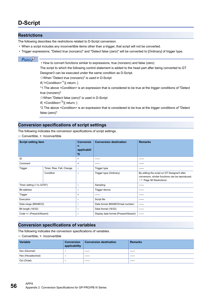### <span id="page-57-0"></span>**D-Script**

### <span id="page-57-1"></span>**Restrictions**

The following describes the restrictions related to D-Script conversion.

- When a script includes any inconvertible items other than a trigger, that script will not be converted.
- Trigger expressions, "Detect true (nonzero)" and "Detect false (zero)" will be converted to [Ordinary] of trigger type.

#### $Point<sup>9</sup>$

• How to convert functions similar to expressions, true (nonzero) and false (zero)

The script to which the following control statement is added to the head part after being converted to GT Designer3 can be executed under the same condition as D-Script.

When "Detect true (nonzero)" is used in D-Script

if( $!$ <Condition> $*$ <sup>1</sup>){ return; }

\*1 The above <Condition> is an expression that is considered to be true at the trigger conditions of "Detect true (nonzero)"

When "Detect false (zero)" is used in D-Script

if( $\leq$ Condition><sup>\*2</sup>){ return; }

\*2 The above <Condition> is an expression that is considered to be true at the trigger conditions of "Detect false (zero)"

### **Conversion specifications of script settings**

The following indicates the conversion specifications of script settings.

○: Convertible, ×: Inconvertible

| <b>Script setting item</b> |                           | <b>Conversio</b><br>n<br>applicabili<br>ty | <b>Conversion destination</b>        | <b>Remarks</b>                                                                                                                   |
|----------------------------|---------------------------|--------------------------------------------|--------------------------------------|----------------------------------------------------------------------------------------------------------------------------------|
| ID                         |                           | $\times$                                   | ------                               | ------                                                                                                                           |
| Comment                    |                           | $\times$                                   | ------                               | ------                                                                                                                           |
| Trigger                    | Timer, Rise, Fall, Change | $\circ$                                    | Trigger type                         | ------                                                                                                                           |
|                            | Condition                 | $\circ$                                    | Trigger type (Ordinary)              | By editing the script on GT Designer3 after<br>conversion, similar functions can be reproduced.<br><b>Figure 56 Restrictions</b> |
| Timer setting (1 to 32767) |                           | $\circ$                                    | Sampling                             | -----                                                                                                                            |
| <b>Bit address</b>         |                           | $\circ$                                    | Trigger device                       | ------                                                                                                                           |
| Trigger                    |                           | $\times$                                   | ------                               | ------                                                                                                                           |
| Execution                  |                           | $\circ$                                    | Script file                          | ------                                                                                                                           |
| Data range (BIN/BCD)       |                           | $\circ$                                    | Data format (BIN/BCD/real number)    | ------                                                                                                                           |
| Bit length (16/32)         |                           | $\circ$                                    | Data format (16/32)                  | ------                                                                                                                           |
| Code +/- (Present/Absent)  |                           | $\circ$                                    | Display data format (Present/Absent) | ------                                                                                                                           |

#### **Conversion specifications of variables**

The following indicates the conversion specifications of variables.

| <b>Variable</b>   | <b>Conversion</b><br>applicability | <b>Conversion destination</b> | <b>Remarks</b> |
|-------------------|------------------------------------|-------------------------------|----------------|
| Dec (Decimal)     |                                    | -------                       | ------         |
| Hex (Hexadecimal) |                                    | -------                       | -------        |
| Oct (Octal)       |                                    | -------                       | ------         |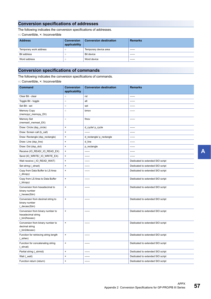### **Conversion specifications of addresses**

The following indicates the conversion specifications of addresses.

○: Convertible, ×: Inconvertible

| <b>Address</b>         | <b>Conversion</b><br>applicability | <b>Conversion destination</b> | <b>Remarks</b> |
|------------------------|------------------------------------|-------------------------------|----------------|
| Temporary work address | $\circ$                            | Temporary device area         | ------         |
| Bit address            | $\circ$                            | <b>Bit device</b>             | ------         |
| Word address           | u                                  | Word device                   | ------         |

### **Conversion specifications of commands**

The following indicates the conversion specifications of commands.

| <b>Command</b>                                                         | <b>Conversion</b><br>applicability | <b>Conversion destination</b> | <b>Remarks</b>                   |
|------------------------------------------------------------------------|------------------------------------|-------------------------------|----------------------------------|
| Clear Bit - clear                                                      | $\circ$                            | rst                           | ------                           |
| Toggle Bit - toggle                                                    | $\circ$                            | alt                           | ------                           |
| Set Bit - set                                                          | $\circ$                            | set                           | ------                           |
| <b>Memory Copy</b><br>(memcpy/_memcpy_EX)                              | $\circ$                            | bmov                          |                                  |
| Memory Set<br>(memset/_memset_EX)                                      | $\circ$                            | fmov                          | ------                           |
| Draw: Circle (dsp_circle)                                              | ×                                  | d_cycle/ p_cycle              | ------                           |
| Draw: Screen call (b call)                                             | ×                                  |                               | -------                          |
| Draw: Rectangle (dsp_rectangle)                                        | $\pmb{\times}$                     | d_rectangle/ p_rectangle      | ------                           |
| Draw: Line (dsp_line)                                                  | $\pmb{\times}$                     | d_line                        | ------                           |
| Draw: Dot (dsp_dot)                                                    | $\pmb{\times}$                     | p_rectangle                   | ------                           |
| Receive (IO_READ/_IO_READ_EX)                                          | $\pmb{\times}$                     |                               | ------                           |
| Send (IO_WRITE/_IO_WRITE_EX)                                           | $\pmb{\times}$                     | ------                        | ------                           |
| Wait receive (_IO_READ_WAIT)                                           | $\pmb{\times}$                     | ------                        | Dedicated to extended SIO script |
| Set string (_strset)                                                   | ×                                  | ------                        | Dedicated to extended SIO script |
| Copy from Data Buffer to LS Area<br>$(\_$ clcopy $)$                   | $\pmb{\times}$                     |                               | Dedicated to extended SIO script |
| Copy from LS Area to Data Buffer<br>(Idcopy)                           | $\pmb{\times}$                     | ------                        | Dedicated to extended SIO script |
| Conversion from hexadecimal to<br>binary number<br>(hexasc2bin)        | $\pmb{\times}$                     | ------                        | Dedicated to extended SIO script |
| Conversion from decimal string to<br>binary number<br>( decasc2bin)    | $\pmb{\times}$                     | ------                        | Dedicated to extended SIO script |
| Conversion from binary number to<br>hexadecimal string<br>(bin2hexasc) | $\pmb{\times}$                     | ------                        | Dedicated to extended SIO script |
| Conversion from binary number to<br>decimal string<br>(_bin2decasc)    | $\pmb{\times}$                     | ------                        | Dedicated to extended SIO script |
| Function for retrieving string length<br>$(\text{strlen})$             | $\pmb{\times}$                     |                               | Dedicated to extended SIO script |
| Function for concatenating string<br>(_strcat)                         | $\pmb{\times}$                     |                               | Dedicated to extended SIO script |
| Partial string (_strmid)                                               | $\pmb{\times}$                     | ------                        | Dedicated to extended SIO script |
| Wait (_wait)                                                           | $\pmb{\times}$                     | $- - - - -$                   | Dedicated to extended SIO script |
| Function return (return)                                               | $\pmb{\times}$                     | ------                        | Dedicated to extended SIO script |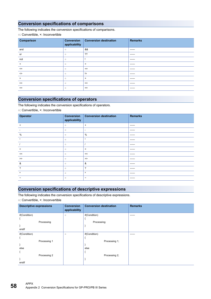### **Conversion specifications of comparisons**

The following indicates the conversion specifications of comparisons.

○: Convertible, ×: Inconvertible

| Comparison        | <b>Conversion</b><br>applicability | <b>Conversion destination</b> | <b>Remarks</b> |
|-------------------|------------------------------------|-------------------------------|----------------|
| and               | $\circ$                            | &&                            | -------        |
| or                | $\circ$                            | ??                            | -------        |
| not               | $\circ$                            |                               | -------        |
| $\prec$           | $\circ$                            | $\,<$                         | -------        |
| $\leq$            | $\circ$                            | $\leq$                        | -------        |
| $\leftrightarrow$ | $\circ$                            | $!=$                          | -------        |
| $\geq$            | $\circ$                            | $\geq$                        | -------        |
| $>=$              | $\circ$                            | $>=$                          | -------        |
| $==$              | $\circ$                            | $==$                          | ------         |

### **Conversion specifications of operators**

The following indicates the conversion specifications of operators.

○: Convertible, ×: Inconvertible

| Operator                 | <b>Conversion</b><br>applicability | <b>Conversion destination</b> | <b>Remarks</b> |
|--------------------------|------------------------------------|-------------------------------|----------------|
| $\ddot{}$                | $\circ$                            | $\ddot{}$                     | -------        |
|                          | $\circ$                            | $\overline{\phantom{a}}$      | -------        |
| %                        | $\circ$                            | %                             | -------        |
| $\star$                  | $\circ$                            | $\star$                       | -------        |
|                          | $\circ$                            |                               | -------        |
| $=$                      | $\circ$                            | $\equiv$                      | -------        |
| <<                       | $\circ$                            | <<                            | ------         |
| $\gt$                    | $\circ$                            | $\gt$                         | -------        |
| &                        | $\circ$                            | &                             | -------        |
| $\overline{\mathcal{L}}$ | $\circ$                            | ?                             | -------        |
| $\Lambda$                | $\circ$                            | $\Lambda$                     | ------         |
| $\tilde{\phantom{a}}$    | $\circ$                            | $\tilde{\phantom{a}}$         | -------        |

### **Conversion specifications of descriptive expressions**

The following indicates the conversion specifications of descriptive expressions.

| <b>Descriptive expressions</b> | <b>Conversion</b><br>applicability | <b>Conversion destination</b> | <b>Remarks</b> |
|--------------------------------|------------------------------------|-------------------------------|----------------|
| if(Condition)                  | $\circ$                            | if(Condition)                 | ------         |
|                                |                                    |                               |                |
| Processing                     |                                    | Processing;                   |                |
| }                              |                                    |                               |                |
| endif                          |                                    |                               |                |
| if(Condition)                  | $\circ$                            | if(Condition)                 | ------         |
|                                |                                    |                               |                |
| Processing 1                   |                                    | Processing 1;                 |                |
| $\mathcal{E}$                  |                                    |                               |                |
| else                           |                                    | else                          |                |
|                                |                                    |                               |                |
| Processing 2                   |                                    | Processing 2;                 |                |
| $\mathcal{E}$                  |                                    |                               |                |
| endif                          |                                    |                               |                |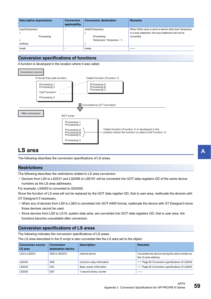| <b>Descriptive expressions</b> | <b>Conversion</b><br>applicability | <b>Conversion destination</b>            | <b>Remarks</b>                                                                                                  |
|--------------------------------|------------------------------------|------------------------------------------|-----------------------------------------------------------------------------------------------------------------|
| loop(Temporary)                | $\circ$                            | while(Temporary)                         | When Write value is set to a device other than Temporary<br>in a loop statement, the loop statement will not be |
| Processing<br>endloop          |                                    | Processing:<br>Temporary= Temporary - 1; | converted.                                                                                                      |
| break                          | $\circ$                            | break:                                   | ------                                                                                                          |

### **Conversion specifications of functions**

A function is developed in the location where it was called.



### <span id="page-60-0"></span>**LS area**

The following describes the conversion specifications of LS areas.

### **Restrictions**

The following describes the restrictions related to LS area conversion.

 • Devices from LS0 to LS2031 and LS2096 to LS8191 will be converted into GOT data registers GD of the same device numbers as the LS area addresses.

For example, LS4000 is converted to GD4000.

Since the function of LS area will not be replaced by the GOT data register GD, that is user area, reallocate the devices with

- GT Designer3 if necessary.
- When any of devices from LS0 to LS63 is converted into GOT-A900 format, reallocate the device with GT Designer3 since those devices cannot be used.
- Since devices from LS0 to LS19, system data area, are converted into GOT data registers GD, that is user area, the functions become unavailable after conversion.

### **Conversion specifications of LS areas**

The following indicates the conversion specifications of LS areas.

The LS area described in the D script is also converted like the LS area set to the object.

| <b>Conversion source</b><br>LS area | <b>Conversion</b><br>destination device | <b>Description</b>       | <b>Remarks</b>                                                          |
|-------------------------------------|-----------------------------------------|--------------------------|-------------------------------------------------------------------------|
| LS0 to LS2031                       | GD0 to GD2031                           | Internal device          | Converted into device having the same number as<br>the LS area address. |
| LS2032                              | GS <sub>0</sub>                         | Common relay information | <b>Example 20 Conversion specifications of LS2032</b>                   |
| LS2033                              | GS1                                     | Base screen information  | <b>Example 20 Conversion specifications of LS2033</b>                   |
| LS2035                              | GS7                                     | 1-second binary counter  | ------                                                                  |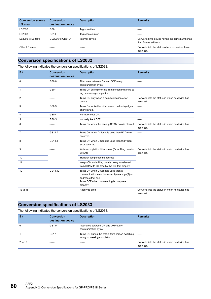| <b>Conversion source</b><br>LS area | <b>Conversion</b><br>destination device | <b>Description</b> | <b>Remarks</b>                                                          |
|-------------------------------------|-----------------------------------------|--------------------|-------------------------------------------------------------------------|
| LS2036                              | GS8                                     | Tag scan time      | ------                                                                  |
| LS2038                              | GS <sub>10</sub>                        | Tag scan counter   | ------                                                                  |
| LS2096 to LS8191                    | GD2096 to GD8191                        | Internal device    | Converted into device having the same number as<br>the LS area address. |
| Other LS areas                      | ------                                  | ------             | Converts into the status where no devices have<br>been set.             |

## <span id="page-61-0"></span>**Conversion specifications of LS2032**

| <b>DI</b> | Convention                                                       | $\Box$ |  |  |  |
|-----------|------------------------------------------------------------------|--------|--|--|--|
|           | The following indicates the conversion specifications of LS2032. |        |  |  |  |

| <b>Bit</b>     | <b>Conversion</b>  | <b>Description</b>                                                                                                                                                      | <b>Remarks</b>                                               |
|----------------|--------------------|-------------------------------------------------------------------------------------------------------------------------------------------------------------------------|--------------------------------------------------------------|
|                | destination device |                                                                                                                                                                         |                                                              |
| $\Omega$       | GS0.0              | Alternates between ON and OFF every<br>communication cycle.                                                                                                             |                                                              |
| $\mathbf 1$    | GS0.1              | Turns ON during the time from screen switching to<br>tag processing completion.                                                                                         | ------                                                       |
| $\overline{2}$ | ------             | Turns ON only when a communication error<br>occurs.                                                                                                                     | Converts into the status in which no device has<br>been set. |
| 3              | GS0.3              | Turns ON while the initial screen is displayed just<br>after startup.                                                                                                   | ------                                                       |
| $\overline{4}$ | GS <sub>0.4</sub>  | Normally kept ON.                                                                                                                                                       | ------                                                       |
| 5              | GS0.5              | Normally kept OFF.                                                                                                                                                      | ------                                                       |
| 6              | ------             | Turns ON when the backup SRAM data is cleared.                                                                                                                          | Converts into the status in which no device has<br>been set. |
| $\overline{7}$ | GS14.7             | Turns ON when D-Script is used then BCD error<br>occurred.                                                                                                              | ------                                                       |
| 8              | GS14.8             | Turns ON when D-Script is used then 0 division<br>error occurred.                                                                                                       | ------                                                       |
| 9              |                    | Writes completion bit address (From filing data to<br>SRAM)                                                                                                             | Converts into the status in which no device has<br>been set. |
| 10             |                    | Transfer completion bit address                                                                                                                                         |                                                              |
| 11             |                    | Keeps ON while filing data is being transferred<br>from SRAM to LS area by the file item display.                                                                       |                                                              |
| 12             | GS14.12            | Turns ON when D-Script is used then a<br>communication error is caused by memcpy(?) or<br>address offset call.<br>Turns OFF when data reading is completed<br>properly. | ------                                                       |
| 13 to 15       |                    | Reserved area                                                                                                                                                           | Converts into the status in which no device has<br>been set. |

### <span id="page-61-1"></span>**Conversion specifications of LS2033**

The following indicates the conversion specifications of LS2033.

| <b>Bit</b> | <b>Conversion</b><br>destination device | <b>Description</b>                                                                | <b>Remarks</b>                                               |
|------------|-----------------------------------------|-----------------------------------------------------------------------------------|--------------------------------------------------------------|
| 0          | GS1.0                                   | Alternates between ON and OFF every<br>communication cycle.                       | ------                                                       |
|            | GS1.1                                   | Turns ON during the status from screen switching<br>to tag processing completion. | ------                                                       |
| 2 to 15    | ------                                  | ------                                                                            | Converts into the status in which no device has<br>been set. |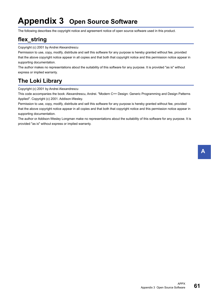# <span id="page-62-0"></span>**Appendix 3 Open Source Software**

The following describes the copyright notice and agreement notice of open source software used in this product.

### <span id="page-62-1"></span>**flex\_string**

Copyright (c) 2001 by Andrei Alexandrescu

Permission to use, copy, modify, distribute and sell this software for any purpose is hereby granted without fee, provided that the above copyright notice appear in all copies and that both that copyright notice and this permission notice appear in supporting documentation.

The author makes no representations about the suitability of this software for any purpose. It is provided "as is" without express or implied warranty.

### <span id="page-62-2"></span>**The Loki Library**

Copyright (c) 2001 by Andrei Alexandrescu

This code accompanies the book: Alexandrescu, Andrei. "Modern C++ Design: Generic Programming and Design Patterns Applied". Copyright (c) 2001. Addison-Wesley.

Permission to use, copy, modify, distribute and sell this software for any purpose is hereby granted without fee, provided that the above copyright notice appear in all copies and that both that copyright notice and this permission notice appear in supporting documentation.

The author or Addison-Wesley Longman make no representations about the suitability of this software for any purpose. It is provided "as is" without express or implied warranty.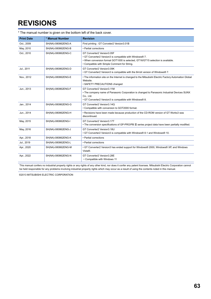# <span id="page-64-0"></span>**REVISIONS**

| <b>Print Date</b> | * Manual Number    | <b>Revision</b>                                                                                                                                                                                                          |
|-------------------|--------------------|--------------------------------------------------------------------------------------------------------------------------------------------------------------------------------------------------------------------------|
| Oct., 2009        | SH(NA)-080862ENG-A | First printing: GT Conveter2 Version3.01B                                                                                                                                                                                |
| May, 2010         | SH(NA)-080862ENG-B | • Partial corrections                                                                                                                                                                                                    |
| Oct., 2010        | SH(NA)-080862ENG-C | GT Converter2 Version3.05F<br>• GT Converter2 Version3 is compatible with Windows® 7.<br>. When conversion format GOT1000 is selected. GT16/GT15 selection is available.<br>• Compatible with Simple Comment for String. |
| Jul., 2011        | SH(NA)-080862ENG-D | GT Converter2 Version3.09K<br>. GT Converter2 Version3 is compatible with the 64-bit version of Windows® 7.                                                                                                              |
| Nov., 2012        | SH(NA)-080862ENG-E | • The information site on the Internet is changed to the Mitsubishi Electric Factory Automation Global<br>Website.<br>• SAFETY PRECAUTIONS changed                                                                       |
| Jun., 2013        | SH(NA)-080862ENG-F | GT Converter2 Version3.11M<br>• The company name of Panasonic Corporation is changed to Panasonic Industrial Devices SUNX<br>Co., Ltd.<br>• GT Converter2 Version3 is compatible with Windows® 8.                        |
| Jan., 2014        | SH(NA)-080862ENG-G | GT Converter2 Version3.14Q<br>• Compatible with conversion to GOT2000 format.                                                                                                                                            |
| Jun., 2014        | SH(NA)-080862ENG-H | • Revisions have been made because production of the CD-ROM version of GT Works3 was<br>discontinued.                                                                                                                    |
| May, 2015         | SH(NA)-080862ENG-I | GT Converter2 Version3.17T<br>• The conversion specifications of GP-PRO/PB III series project data have been partially modified.                                                                                         |
| May, 2016         | SH(NA)-080862ENG-J | GT Converter2 Version3.18U<br>• GT Converter2 Version3 is compatible with Windows® 8.1 and Windows® 10.                                                                                                                  |
| Apr., 2018        | SH(NA)-080862ENG-K | • Partial corrections                                                                                                                                                                                                    |
| Jul., 2019        | SH(NA)-080862ENG-L | • Partial corrections                                                                                                                                                                                                    |
| Apr., 2020        | SH(NA)-080862ENG-M | • GT Converter2 Version3 has ended support for Windows® 2000, Windows® XP, and Windows<br>Vista®.                                                                                                                        |
| Apr., 2022        | SH(NA)-080862ENG-N | GT Converter2 Version3.28E<br>• Compatible with Windows 11                                                                                                                                                               |

\* The manual number is given on the bottom left of the back cover.

<span id="page-64-1"></span>This manual confers no industrial property rights or any rights of any other kind, nor does it confer any patent licenses. Mitsubishi Electric Corporation cannot be held responsible for any problems involving industrial property rights which may occur as a result of using the contents noted in this manual.

©2013 MITSUBISHI ELECTRIC CORPORATION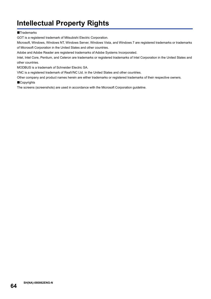# <span id="page-65-0"></span>**Intellectual Property Rights**

#### **Trademarks**

GOT is a registered trademark of Mitsubishi Electric Corporation.

Microsoft, Windows, Windows NT, Windows Server, Windows Vista, and Windows 7 are registered trademarks or trademarks of Microsoft Corporation in the United States and other countries.

Adobe and Adobe Reader are registered trademarks of Adobe Systems Incorporated.

Intel, Intel Core, Pentium, and Celeron are trademarks or registered trademarks of Intel Corporation in the United States and other countries.

MODBUS is a trademark of Schneider Electric SA.

VNC is a registered trademark of RealVNC Ltd. in the United States and other countries.

Other company and product names herein are either trademarks or registered trademarks of their respective owners. **Copyrights** 

The screens (screenshots) are used in accordance with the Microsoft Corporation guideline.